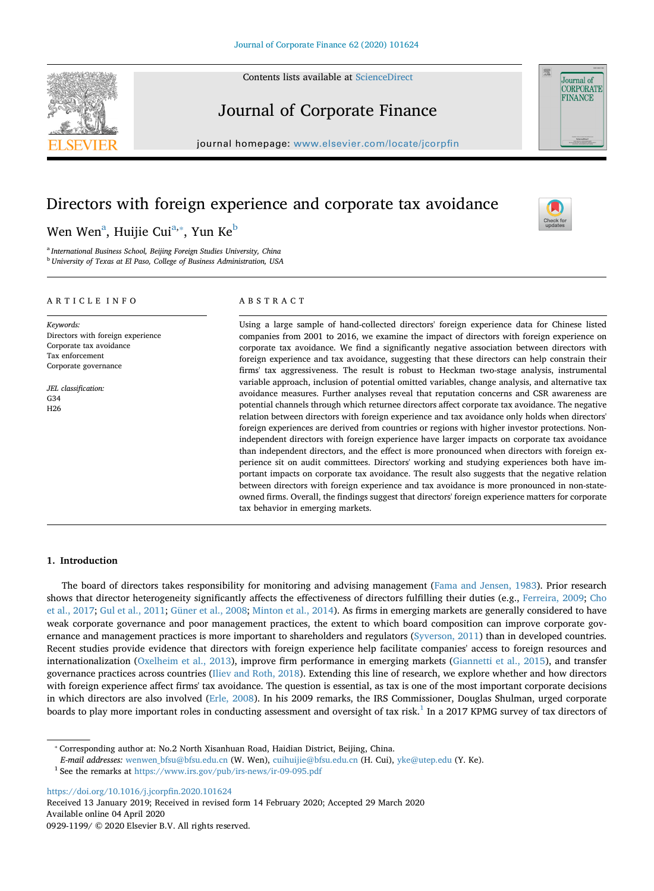Contents lists available at [ScienceDirect](http://www.sciencedirect.com/science/journal/09291199)





 $\frac{1}{10}$ 

# Journal of Corporate Finance

journal homepage: [www.elsevier.com/locate/jcorpfin](https://www.elsevier.com/locate/jcorpfin)

# Directors with foreign experience and corporate tax avoidance

# Wen Wen<sup>a</sup>, Huijie Cui<sup>[a,](#page-0-0)</sup>\*, Yun Ke<sup>[b](#page-0-2)</sup>

<span id="page-0-2"></span><span id="page-0-0"></span><sup>a</sup> *International Business School, Beijing Foreign Studies University, China* <sup>b</sup> *University of Texas at El Paso, College of Business Administration, USA*

# ARTICLE INFO

*Keywords:* Directors with foreign experience Corporate tax avoidance Tax enforcement Corporate governance

*JEL classification:* G34 H26

# ABSTRACT

Using a large sample of hand-collected directors' foreign experience data for Chinese listed companies from 2001 to 2016, we examine the impact of directors with foreign experience on corporate tax avoidance. We find a significantly negative association between directors with foreign experience and tax avoidance, suggesting that these directors can help constrain their firms' tax aggressiveness. The result is robust to Heckman two-stage analysis, instrumental variable approach, inclusion of potential omitted variables, change analysis, and alternative tax avoidance measures. Further analyses reveal that reputation concerns and CSR awareness are potential channels through which returnee directors affect corporate tax avoidance. The negative relation between directors with foreign experience and tax avoidance only holds when directors' foreign experiences are derived from countries or regions with higher investor protections. Nonindependent directors with foreign experience have larger impacts on corporate tax avoidance than independent directors, and the effect is more pronounced when directors with foreign experience sit on audit committees. Directors' working and studying experiences both have important impacts on corporate tax avoidance. The result also suggests that the negative relation between directors with foreign experience and tax avoidance is more pronounced in non-stateowned firms. Overall, the findings suggest that directors' foreign experience matters for corporate tax behavior in emerging markets.

#### **1. Introduction**

The board of directors takes responsibility for monitoring and advising management ([Fama and Jensen, 1983\)](#page-26-0). Prior research shows that director heterogeneity significantly affects the effectiveness of directors fulfilling their duties (e.g., [Ferreira, 2009](#page-26-1); [Cho](#page-26-2) [et al., 2017;](#page-26-2) [Gul et al., 2011;](#page-26-3) [Güner et al., 2008;](#page-26-4) [Minton et al., 2014\)](#page-27-0). As firms in emerging markets are generally considered to have weak corporate governance and poor management practices, the extent to which board composition can improve corporate governance and management practices is more important to shareholders and regulators ([Syverson, 2011](#page-27-1)) than in developed countries. Recent studies provide evidence that directors with foreign experience help facilitate companies' access to foreign resources and internationalization ([Oxelheim et al., 2013](#page-27-2)), improve firm performance in emerging markets [\(Giannetti et al., 2015](#page-26-5)), and transfer governance practices across countries ([Iliev and Roth, 2018\)](#page-27-3). Extending this line of research, we explore whether and how directors with foreign experience affect firms' tax avoidance. The question is essential, as tax is one of the most important corporate decisions in which directors are also involved [\(Erle, 2008](#page-26-6)). In his 2009 remarks, the IRS Commissioner, Douglas Shulman, urged corporate boards to play more important roles in conducting assessment and oversight of tax risk.<sup>[1](#page-0-3)</sup> In a 2017 KPMG survey of tax directors of

<span id="page-0-1"></span>⁎ Corresponding author at: No.2 North Xisanhuan Road, Haidian District, Beijing, China.

*E-mail addresses:* [wenwen\\_bfsu@bfsu.edu.cn](mailto:wenwen_bfsu@bfsu.edu.cn) (W. Wen), [cuihuijie@bfsu.edu.cn](mailto:cuihuijie@bfsu.edu.cn) (H. Cui), [yke@utep.edu](mailto:yke@utep.edu) (Y. Ke).

<span id="page-0-3"></span><sup>1</sup> See the remarks at <https://www.irs.gov/pub/irs-news/ir-09-095.pdf>

<https://doi.org/10.1016/j.jcorpfin.2020.101624>

Received 13 January 2019; Received in revised form 14 February 2020; Accepted 29 March 2020 Available online 04 April 2020 0929-1199/ © 2020 Elsevier B.V. All rights reserved.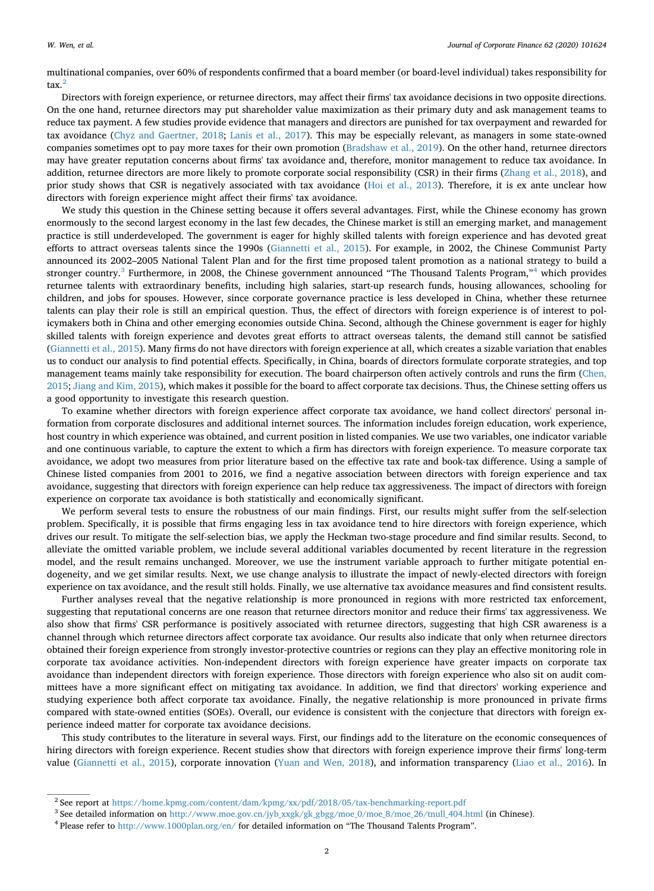multinational companies, over 60% of respondents confirmed that a board member (or board-level individual) takes responsibility for  $tan<sup>2</sup>$ 

Directors with foreign experience, or returnee directors, may affect their firms' tax avoidance decisions in two opposite directions. On the one hand, returnee directors may put shareholder value maximization as their primary duty and ask management teams to reduce tax payment. A few studies provide evidence that managers and directors are punished for tax overpayment and rewarded for tax avoidance ([Chyz and Gaertner, 2018](#page-26-7); [Lanis et al., 2017](#page-27-4)). This may be especially relevant, as managers in some state-owned companies sometimes opt to pay more taxes for their own promotion [\(Bradshaw et al., 2019](#page-26-8)). On the other hand, returnee directors may have greater reputation concerns about firms' tax avoidance and, therefore, monitor management to reduce tax avoidance. In addition, returnee directors are more likely to promote corporate social responsibility (CSR) in their firms ([Zhang et al., 2018](#page-27-5)), and prior study shows that CSR is negatively associated with tax avoidance [\(Hoi et al., 2013\)](#page-27-6). Therefore, it is ex ante unclear how directors with foreign experience might affect their firms' tax avoidance.

We study this question in the Chinese setting because it offers several advantages. First, while the Chinese economy has grown enormously to the second largest economy in the last few decades, the Chinese market is still an emerging market, and management practice is still underdeveloped. The government is eager for highly skilled talents with foreign experience and has devoted great efforts to attract overseas talents since the 1990s ([Giannetti et al., 2015](#page-26-5)). For example, in 2002, the Chinese Communist Party announced its 2002–2005 National Talent Plan and for the first time proposed talent promotion as a national strategy to build a stronger country.<sup>[3](#page-1-1)</sup> Furthermore, in 2008, the Chinese government announced "The Thousand Talents Program,"<sup>[4](#page-1-2)</sup> which provides returnee talents with extraordinary benefits, including high salaries, start-up research funds, housing allowances, schooling for children, and jobs for spouses. However, since corporate governance practice is less developed in China, whether these returnee talents can play their role is still an empirical question. Thus, the effect of directors with foreign experience is of interest to policymakers both in China and other emerging economies outside China. Second, although the Chinese government is eager for highly skilled talents with foreign experience and devotes great efforts to attract overseas talents, the demand still cannot be satisfied [\(Giannetti et al., 2015](#page-26-5)). Many firms do not have directors with foreign experience at all, which creates a sizable variation that enables us to conduct our analysis to find potential effects. Specifically, in China, boards of directors formulate corporate strategies, and top management teams mainly take responsibility for execution. The board chairperson often actively controls and runs the firm ([Chen,](#page-26-9) [2015;](#page-26-9) [Jiang and Kim, 2015](#page-27-7)), which makes it possible for the board to affect corporate tax decisions. Thus, the Chinese setting offers us a good opportunity to investigate this research question.

To examine whether directors with foreign experience affect corporate tax avoidance, we hand collect directors' personal information from corporate disclosures and additional internet sources. The information includes foreign education, work experience, host country in which experience was obtained, and current position in listed companies. We use two variables, one indicator variable and one continuous variable, to capture the extent to which a firm has directors with foreign experience. To measure corporate tax avoidance, we adopt two measures from prior literature based on the effective tax rate and book-tax difference. Using a sample of Chinese listed companies from 2001 to 2016, we find a negative association between directors with foreign experience and tax avoidance, suggesting that directors with foreign experience can help reduce tax aggressiveness. The impact of directors with foreign experience on corporate tax avoidance is both statistically and economically significant.

We perform several tests to ensure the robustness of our main findings. First, our results might suffer from the self-selection problem. Specifically, it is possible that firms engaging less in tax avoidance tend to hire directors with foreign experience, which drives our result. To mitigate the self-selection bias, we apply the Heckman two-stage procedure and find similar results. Second, to alleviate the omitted variable problem, we include several additional variables documented by recent literature in the regression model, and the result remains unchanged. Moreover, we use the instrument variable approach to further mitigate potential endogeneity, and we get similar results. Next, we use change analysis to illustrate the impact of newly-elected directors with foreign experience on tax avoidance, and the result still holds. Finally, we use alternative tax avoidance measures and find consistent results.

Further analyses reveal that the negative relationship is more pronounced in regions with more restricted tax enforcement, suggesting that reputational concerns are one reason that returnee directors monitor and reduce their firms' tax aggressiveness. We also show that firms' CSR performance is positively associated with returnee directors, suggesting that high CSR awareness is a channel through which returnee directors affect corporate tax avoidance. Our results also indicate that only when returnee directors obtained their foreign experience from strongly investor-protective countries or regions can they play an effective monitoring role in corporate tax avoidance activities. Non-independent directors with foreign experience have greater impacts on corporate tax avoidance than independent directors with foreign experience. Those directors with foreign experience who also sit on audit committees have a more significant effect on mitigating tax avoidance. In addition, we find that directors' working experience and studying experience both affect corporate tax avoidance. Finally, the negative relationship is more pronounced in private firms compared with state-owned entities (SOEs). Overall, our evidence is consistent with the conjecture that directors with foreign experience indeed matter for corporate tax avoidance decisions.

This study contributes to the literature in several ways. First, our findings add to the literature on the economic consequences of hiring directors with foreign experience. Recent studies show that directors with foreign experience improve their firms' long-term value [\(Giannetti et al., 2015\)](#page-26-5), corporate innovation ([Yuan and Wen, 2018](#page-27-8)), and information transparency ([Liao et al., 2016\)](#page-27-9). In

<span id="page-1-0"></span><sup>2</sup> See report at <https://home.kpmg.com/content/dam/kpmg/xx/pdf/2018/05/tax-benchmarking-report.pdf>

<span id="page-1-1"></span><sup>3</sup> See detailed information on [http://www.moe.gov.cn/jyb\\_xxgk/gk\\_gbgg/moe\\_0/moe\\_8/moe\\_26/tnull\\_404.html](http://www.moe.gov.cn/jyb_xxgk/gk_gbgg/moe_0/moe_8/moe_26/tnull_404.html) (in Chinese).

<span id="page-1-2"></span><sup>4</sup> Please refer to <http://www.1000plan.org/en/> for detailed information on "The Thousand Talents Program".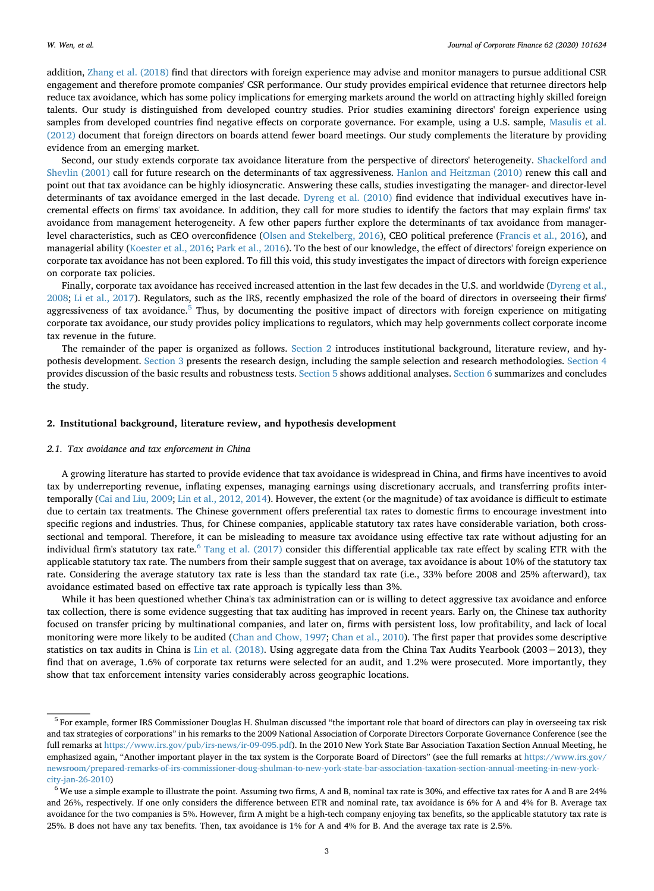addition, [Zhang et al. \(2018\)](#page-27-5) find that directors with foreign experience may advise and monitor managers to pursue additional CSR engagement and therefore promote companies' CSR performance. Our study provides empirical evidence that returnee directors help reduce tax avoidance, which has some policy implications for emerging markets around the world on attracting highly skilled foreign talents. Our study is distinguished from developed country studies. Prior studies examining directors' foreign experience using samples from developed countries find negative effects on corporate governance. For example, using a U.S. sample, [Masulis et al.](#page-27-10) [\(2012\)](#page-27-10) document that foreign directors on boards attend fewer board meetings. Our study complements the literature by providing evidence from an emerging market.

Second, our study extends corporate tax avoidance literature from the perspective of directors' heterogeneity. [Shackelford and](#page-27-11) [Shevlin \(2001\)](#page-27-11) call for future research on the determinants of tax aggressiveness. [Hanlon and Heitzman \(2010\)](#page-27-12) renew this call and point out that tax avoidance can be highly idiosyncratic. Answering these calls, studies investigating the manager- and director-level determinants of tax avoidance emerged in the last decade. [Dyreng et al. \(2010\)](#page-26-10) find evidence that individual executives have incremental effects on firms' tax avoidance. In addition, they call for more studies to identify the factors that may explain firms' tax avoidance from management heterogeneity. A few other papers further explore the determinants of tax avoidance from managerlevel characteristics, such as CEO overconfidence ([Olsen and Stekelberg, 2016](#page-27-13)), CEO political preference [\(Francis et al., 2016](#page-26-11)), and managerial ability [\(Koester et al., 2016;](#page-27-14) [Park et al., 2016\)](#page-27-15). To the best of our knowledge, the effect of directors' foreign experience on corporate tax avoidance has not been explored. To fill this void, this study investigates the impact of directors with foreign experience on corporate tax policies.

Finally, corporate tax avoidance has received increased attention in the last few decades in the U.S. and worldwide [\(Dyreng et al.,](#page-26-12) [2008;](#page-26-12) [Li et al., 2017\)](#page-27-16). Regulators, such as the IRS, recently emphasized the role of the board of directors in overseeing their firms' aggressiveness of tax avoidance.<sup>5</sup> Thus, by documenting the positive impact of directors with foreign experience on mitigating corporate tax avoidance, our study provides policy implications to regulators, which may help governments collect corporate income tax revenue in the future.

The remainder of the paper is organized as follows. [Section 2](#page-2-1) introduces institutional background, literature review, and hypothesis development. [Section 3](#page-4-0) presents the research design, including the sample selection and research methodologies. [Section 4](#page-9-0) provides discussion of the basic results and robustness tests. [Section 5](#page-15-0) shows additional analyses. [Section 6](#page-22-0) summarizes and concludes the study.

#### <span id="page-2-1"></span>**2. Institutional background, literature review, and hypothesis development**

# *2.1. Tax avoidance and tax enforcement in China*

A growing literature has started to provide evidence that tax avoidance is widespread in China, and firms have incentives to avoid tax by underreporting revenue, inflating expenses, managing earnings using discretionary accruals, and transferring profits intertemporally [\(Cai and Liu, 2009;](#page-26-13) [Lin et al., 2012, 2014](#page-27-17)). However, the extent (or the magnitude) of tax avoidance is difficult to estimate due to certain tax treatments. The Chinese government offers preferential tax rates to domestic firms to encourage investment into specific regions and industries. Thus, for Chinese companies, applicable statutory tax rates have considerable variation, both crosssectional and temporal. Therefore, it can be misleading to measure tax avoidance using effective tax rate without adjusting for an individual firm's statutory tax rate.<sup>[6](#page-2-2)</sup> [Tang et al. \(2017\)](#page-27-18) consider this differential applicable tax rate effect by scaling ETR with the applicable statutory tax rate. The numbers from their sample suggest that on average, tax avoidance is about 10% of the statutory tax rate. Considering the average statutory tax rate is less than the standard tax rate (i.e., 33% before 2008 and 25% afterward), tax avoidance estimated based on effective tax rate approach is typically less than 3%.

While it has been questioned whether China's tax administration can or is willing to detect aggressive tax avoidance and enforce tax collection, there is some evidence suggesting that tax auditing has improved in recent years. Early on, the Chinese tax authority focused on transfer pricing by multinational companies, and later on, firms with persistent loss, low profitability, and lack of local monitoring were more likely to be audited ([Chan and Chow, 1997;](#page-26-14) [Chan et al., 2010](#page-26-15)). The first paper that provides some descriptive statistics on tax audits in China is [Lin et al. \(2018\).](#page-27-19) Using aggregate data from the China Tax Audits Yearbook (2003−2013), they find that on average, 1.6% of corporate tax returns were selected for an audit, and 1.2% were prosecuted. More importantly, they show that tax enforcement intensity varies considerably across geographic locations.

<span id="page-2-0"></span><sup>&</sup>lt;sup>5</sup> For example, former IRS Commissioner Douglas H. Shulman discussed "the important role that board of directors can play in overseeing tax risk and tax strategies of corporations" in his remarks to the 2009 National Association of Corporate Directors Corporate Governance Conference (see the full remarks at [https://www.irs.gov/pub/irs-news/ir-09-095.pdf\)](https://www.irs.gov/pub/irs-news/ir-09-095.pdf). In the 2010 New York State Bar Association Taxation Section Annual Meeting, he emphasized again, "Another important player in the tax system is the Corporate Board of Directors" (see the full remarks at [https://www.irs.gov/](https://www.irs.gov/newsroom/prepared-remarks-of-irs-commissioner-doug-shulman-to-new-york-state-bar-association-taxation-section-annual-meeting-in-new-york-city-jan-26-2010) [newsroom/prepared-remarks-of-irs-commissioner-doug-shulman-to-new-york-state-bar-association-taxation-section-annual-meeting-in-new-york](https://www.irs.gov/newsroom/prepared-remarks-of-irs-commissioner-doug-shulman-to-new-york-state-bar-association-taxation-section-annual-meeting-in-new-york-city-jan-26-2010)[city-jan-26-2010\)](https://www.irs.gov/newsroom/prepared-remarks-of-irs-commissioner-doug-shulman-to-new-york-state-bar-association-taxation-section-annual-meeting-in-new-york-city-jan-26-2010)

<span id="page-2-2"></span> $^6$  We use a simple example to illustrate the point. Assuming two firms, A and B, nominal tax rate is 30%, and effective tax rates for A and B are 24% and 26%, respectively. If one only considers the difference between ETR and nominal rate, tax avoidance is 6% for A and 4% for B. Average tax avoidance for the two companies is 5%. However, firm A might be a high-tech company enjoying tax benefits, so the applicable statutory tax rate is 25%. B does not have any tax benefits. Then, tax avoidance is 1% for A and 4% for B. And the average tax rate is 2.5%.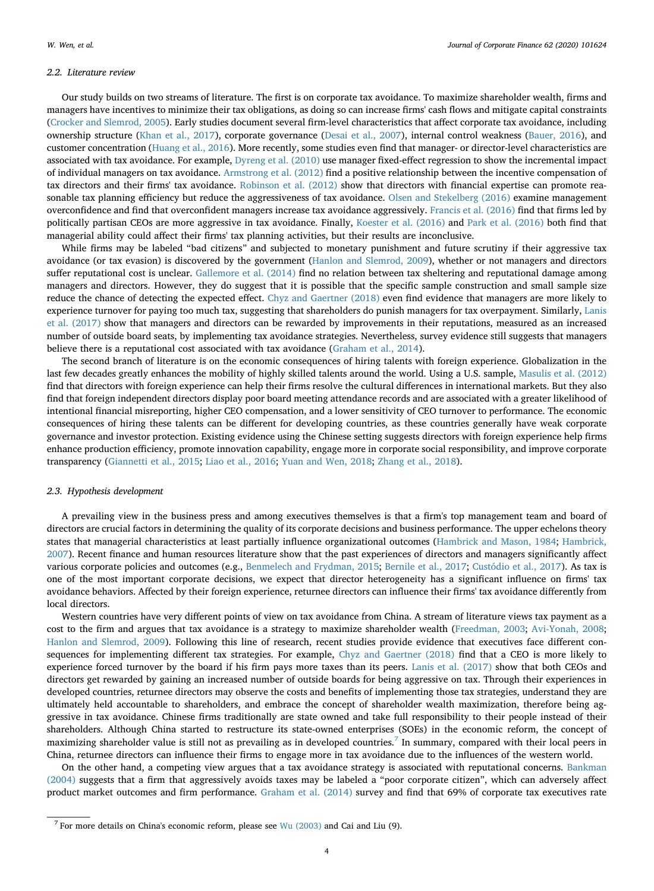# *2.2. Literature review*

Our study builds on two streams of literature. The first is on corporate tax avoidance. To maximize shareholder wealth, firms and managers have incentives to minimize their tax obligations, as doing so can increase firms' cash flows and mitigate capital constraints [\(Crocker and Slemrod, 2005](#page-26-16)). Early studies document several firm-level characteristics that affect corporate tax avoidance, including ownership structure [\(Khan et al., 2017](#page-27-20)), corporate governance [\(Desai et al., 2007](#page-26-17)), internal control weakness [\(Bauer, 2016\)](#page-26-18), and customer concentration ([Huang et al., 2016](#page-27-21)). More recently, some studies even find that manager- or director-level characteristics are associated with tax avoidance. For example, [Dyreng et al. \(2010\)](#page-26-10) use manager fixed-effect regression to show the incremental impact of individual managers on tax avoidance. [Armstrong et al. \(2012\)](#page-26-19) find a positive relationship between the incentive compensation of tax directors and their firms' tax avoidance. [Robinson et al. \(2012\)](#page-27-22) show that directors with financial expertise can promote reasonable tax planning efficiency but reduce the aggressiveness of tax avoidance. [Olsen and Stekelberg \(2016\)](#page-27-13) examine management overconfidence and find that overconfident managers increase tax avoidance aggressively. [Francis et al. \(2016\)](#page-26-11) find that firms led by politically partisan CEOs are more aggressive in tax avoidance. Finally, [Koester et al. \(2016\)](#page-27-14) and [Park et al. \(2016\)](#page-27-15) both find that managerial ability could affect their firms' tax planning activities, but their results are inconclusive.

While firms may be labeled "bad citizens" and subjected to monetary punishment and future scrutiny if their aggressive tax avoidance (or tax evasion) is discovered by the government ([Hanlon and Slemrod, 2009\)](#page-27-23), whether or not managers and directors suffer reputational cost is unclear. [Gallemore et al. \(2014\)](#page-26-20) find no relation between tax sheltering and reputational damage among managers and directors. However, they do suggest that it is possible that the specific sample construction and small sample size reduce the chance of detecting the expected effect. [Chyz and Gaertner \(2018\)](#page-26-7) even find evidence that managers are more likely to experience turnover for paying too much tax, suggesting that shareholders do punish managers for tax overpayment. Similarly, [Lanis](#page-27-4) [et al. \(2017\)](#page-27-4) show that managers and directors can be rewarded by improvements in their reputations, measured as an increased number of outside board seats, by implementing tax avoidance strategies. Nevertheless, survey evidence still suggests that managers believe there is a reputational cost associated with tax avoidance [\(Graham et al., 2014\)](#page-26-21).

The second branch of literature is on the economic consequences of hiring talents with foreign experience. Globalization in the last few decades greatly enhances the mobility of highly skilled talents around the world. Using a U.S. sample, [Masulis et al. \(2012\)](#page-27-10) find that directors with foreign experience can help their firms resolve the cultural differences in international markets. But they also find that foreign independent directors display poor board meeting attendance records and are associated with a greater likelihood of intentional financial misreporting, higher CEO compensation, and a lower sensitivity of CEO turnover to performance. The economic consequences of hiring these talents can be different for developing countries, as these countries generally have weak corporate governance and investor protection. Existing evidence using the Chinese setting suggests directors with foreign experience help firms enhance production efficiency, promote innovation capability, engage more in corporate social responsibility, and improve corporate transparency [\(Giannetti et al., 2015](#page-26-5); [Liao et al., 2016;](#page-27-9) [Yuan and Wen, 2018;](#page-27-8) [Zhang et al., 2018\)](#page-27-5).

#### *2.3. Hypothesis development*

A prevailing view in the business press and among executives themselves is that a firm's top management team and board of directors are crucial factors in determining the quality of its corporate decisions and business performance. The upper echelons theory states that managerial characteristics at least partially influence organizational outcomes ([Hambrick and Mason, 1984](#page-27-24); [Hambrick,](#page-27-25) [2007\)](#page-27-25). Recent finance and human resources literature show that the past experiences of directors and managers significantly affect various corporate policies and outcomes (e.g., [Benmelech and Frydman, 2015;](#page-26-22) [Bernile et al., 2017;](#page-26-23) [Custódio et al., 2017](#page-26-24)). As tax is one of the most important corporate decisions, we expect that director heterogeneity has a significant influence on firms' tax avoidance behaviors. Affected by their foreign experience, returnee directors can influence their firms' tax avoidance differently from local directors.

Western countries have very different points of view on tax avoidance from China. A stream of literature views tax payment as a cost to the firm and argues that tax avoidance is a strategy to maximize shareholder wealth [\(Freedman, 2003](#page-26-25); [Avi-Yonah, 2008](#page-26-26); [Hanlon and Slemrod, 2009](#page-27-23)). Following this line of research, recent studies provide evidence that executives face different consequences for implementing different tax strategies. For example, [Chyz and Gaertner \(2018\)](#page-26-7) find that a CEO is more likely to experience forced turnover by the board if his firm pays more taxes than its peers. [Lanis et al. \(2017\)](#page-27-4) show that both CEOs and directors get rewarded by gaining an increased number of outside boards for being aggressive on tax. Through their experiences in developed countries, returnee directors may observe the costs and benefits of implementing those tax strategies, understand they are ultimately held accountable to shareholders, and embrace the concept of shareholder wealth maximization, therefore being aggressive in tax avoidance. Chinese firms traditionally are state owned and take full responsibility to their people instead of their shareholders. Although China started to restructure its state-owned enterprises (SOEs) in the economic reform, the concept of maximizing shareholder value is still not as prevailing as in developed countries.<sup>7</sup> In summary, compared with their local peers in China, returnee directors can influence their firms to engage more in tax avoidance due to the influences of the western world.

On the other hand, a competing view argues that a tax avoidance strategy is associated with reputational concerns. [Bankman](#page-26-27) [\(2004\)](#page-26-27) suggests that a firm that aggressively avoids taxes may be labeled a "poor corporate citizen", which can adversely affect product market outcomes and firm performance. [Graham et al. \(2014\)](#page-26-21) survey and find that 69% of corporate tax executives rate

<span id="page-3-0"></span> $7$  For more details on China's economic reform, please see [Wu \(2003\)](#page-27-26) and Cai and Liu (9).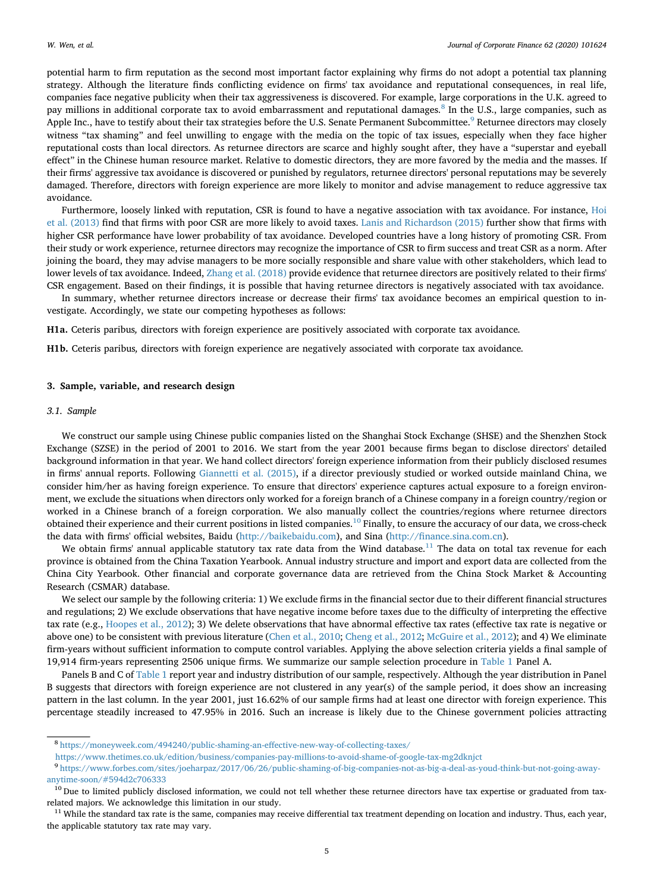potential harm to firm reputation as the second most important factor explaining why firms do not adopt a potential tax planning strategy. Although the literature finds conflicting evidence on firms' tax avoidance and reputational consequences, in real life, companies face negative publicity when their tax aggressiveness is discovered. For example, large corporations in the U.K. agreed to pay millions in additional corporate tax to avoid embarrassment and reputational damages.<sup>[8](#page-4-1)</sup> In the U.S., large companies, such as Apple Inc., have to testify about their tax strategies before the U.S. Senate Permanent Subcommittee.<sup>[9](#page-4-2)</sup> Returnee directors may closely witness "tax shaming" and feel unwilling to engage with the media on the topic of tax issues, especially when they face higher reputational costs than local directors. As returnee directors are scarce and highly sought after, they have a "superstar and eyeball effect" in the Chinese human resource market. Relative to domestic directors, they are more favored by the media and the masses. If their firms' aggressive tax avoidance is discovered or punished by regulators, returnee directors' personal reputations may be severely damaged. Therefore, directors with foreign experience are more likely to monitor and advise management to reduce aggressive tax avoidance.

Furthermore, loosely linked with reputation, CSR is found to have a negative association with tax avoidance. For instance, [Hoi](#page-27-6) [et al. \(2013\)](#page-27-6) find that firms with poor CSR are more likely to avoid taxes. [Lanis and Richardson \(2015\)](#page-27-27) further show that firms with higher CSR performance have lower probability of tax avoidance. Developed countries have a long history of promoting CSR. From their study or work experience, returnee directors may recognize the importance of CSR to firm success and treat CSR as a norm. After joining the board, they may advise managers to be more socially responsible and share value with other stakeholders, which lead to lower levels of tax avoidance. Indeed, [Zhang et al. \(2018\)](#page-27-5) provide evidence that returnee directors are positively related to their firms' CSR engagement. Based on their findings, it is possible that having returnee directors is negatively associated with tax avoidance.

In summary, whether returnee directors increase or decrease their firms' tax avoidance becomes an empirical question to investigate. Accordingly, we state our competing hypotheses as follows:

**H1a.** Ceteris paribus*,* directors with foreign experience are positively associated with corporate tax avoidance*.*

**H1b.** Ceteris paribus*,* directors with foreign experience are negatively associated with corporate tax avoidance*.*

# <span id="page-4-0"></span>**3. Sample, variable, and research design**

#### *3.1. Sample*

We construct our sample using Chinese public companies listed on the Shanghai Stock Exchange (SHSE) and the Shenzhen Stock Exchange (SZSE) in the period of 2001 to 2016. We start from the year 2001 because firms began to disclose directors' detailed background information in that year. We hand collect directors' foreign experience information from their publicly disclosed resumes in firms' annual reports. Following [Giannetti et al. \(2015\),](#page-26-5) if a director previously studied or worked outside mainland China, we consider him/her as having foreign experience. To ensure that directors' experience captures actual exposure to a foreign environment, we exclude the situations when directors only worked for a foreign branch of a Chinese company in a foreign country/region or worked in a Chinese branch of a foreign corporation. We also manually collect the countries/regions where returnee directors obtained their experience and their current positions in listed companies.[10](#page-4-3) Finally, to ensure the accuracy of our data, we cross-check the data with firms' official websites, Baidu [\(http://baikebaidu.com\)](http://baikebaidu.com), and Sina [\(http://finance.sina.com.cn\)](http://finance.sina.com.cn).

We obtain firms' annual applicable statutory tax rate data from the Wind database.<sup>[11](#page-4-4)</sup> The data on total tax revenue for each province is obtained from the China Taxation Yearbook. Annual industry structure and import and export data are collected from the China City Yearbook. Other financial and corporate governance data are retrieved from the China Stock Market & Accounting Research (CSMAR) database.

We select our sample by the following criteria: 1) We exclude firms in the financial sector due to their different financial structures and regulations; 2) We exclude observations that have negative income before taxes due to the difficulty of interpreting the effective tax rate (e.g., [Hoopes et al., 2012\)](#page-27-28); 3) We delete observations that have abnormal effective tax rates (effective tax rate is negative or above one) to be consistent with previous literature [\(Chen et al., 2010](#page-26-28); [Cheng et al., 2012](#page-26-29); [McGuire et al., 2012](#page-27-29)); and 4) We eliminate firm-years without sufficient information to compute control variables. Applying the above selection criteria yields a final sample of 19,914 firm-years representing 2506 unique firms. We summarize our sample selection procedure in [Table 1](#page-5-0) Panel A.

Panels B and C of [Table 1](#page-5-0) report year and industry distribution of our sample, respectively. Although the year distribution in Panel B suggests that directors with foreign experience are not clustered in any year(s) of the sample period, it does show an increasing pattern in the last column. In the year 2001, just 16.62% of our sample firms had at least one director with foreign experience. This percentage steadily increased to 47.95% in 2016. Such an increase is likely due to the Chinese government policies attracting

<https://www.thetimes.co.uk/edition/business/companies-pay-millions-to-avoid-shame-of-google-tax-mg2dknjct>

<span id="page-4-2"></span><sup>9</sup> [https://www.forbes.com/sites/joeharpaz/2017/06/26/public-shaming-of-big-companies-not-as-big-a-deal-as-youd-think-but-not-going-away](https://www.forbes.com/sites/joeharpaz/2017/06/26/public-shaming-of-big-companies-not-as-big-a-deal-as-youd-think-but-not-going-away-anytime-soon/#594d2c706333)[anytime-soon/#594d2c706333](https://www.forbes.com/sites/joeharpaz/2017/06/26/public-shaming-of-big-companies-not-as-big-a-deal-as-youd-think-but-not-going-away-anytime-soon/#594d2c706333)

<span id="page-4-1"></span><sup>8</sup> <https://moneyweek.com/494240/public-shaming-an-effective-new-way-of-collecting-taxes/>

<span id="page-4-3"></span> $10$  Due to limited publicly disclosed information, we could not tell whether these returnee directors have tax expertise or graduated from taxrelated majors. We acknowledge this limitation in our study.

<span id="page-4-4"></span> $11$  While the standard tax rate is the same, companies may receive differential tax treatment depending on location and industry. Thus, each year, the applicable statutory tax rate may vary.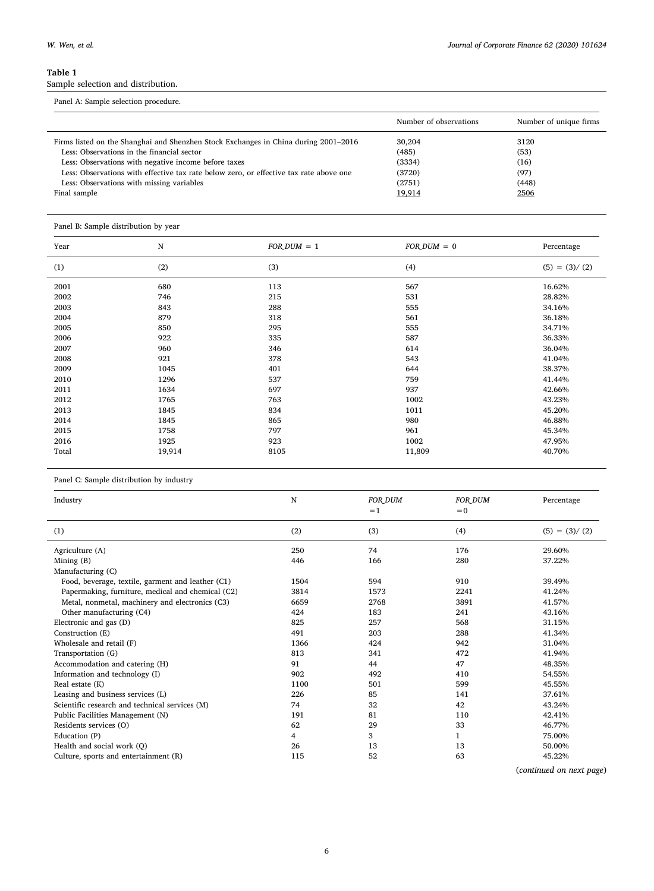<span id="page-5-0"></span>Panel A: Sample selection procedure.

|                                                                                        | Number of observations | Number of unique firms |
|----------------------------------------------------------------------------------------|------------------------|------------------------|
| Firms listed on the Shanghai and Shenzhen Stock Exchanges in China during 2001–2016    | 30,204                 | 3120                   |
| Less: Observations in the financial sector                                             | (485)                  | (53)                   |
| Less: Observations with negative income before taxes                                   | (3334)                 | (16)                   |
| Less: Observations with effective tax rate below zero, or effective tax rate above one | (3720)                 | (97)                   |
| Less: Observations with missing variables                                              | (2751)                 | (448)                  |
| Final sample                                                                           | 19,914                 | 2506                   |
|                                                                                        |                        |                        |

# Panel B: Sample distribution by year

| Year  | $\mathbf N$ | $FOR$ $DUM = 1$ | $FOR$ $DUM = 0$ | Percentage      |
|-------|-------------|-----------------|-----------------|-----------------|
| (1)   | (2)         | (3)             | (4)             | $(5) = (3)/(2)$ |
| 2001  | 680         | 113             | 567             | 16.62%          |
| 2002  | 746         | 215             | 531             | 28.82%          |
| 2003  | 843         | 288             | 555             | 34.16%          |
| 2004  | 879         | 318             | 561             | 36.18%          |
| 2005  | 850         | 295             | 555             | 34.71%          |
| 2006  | 922         | 335             | 587             | 36.33%          |
| 2007  | 960         | 346             | 614             | 36.04%          |
| 2008  | 921         | 378             | 543             | 41.04%          |
| 2009  | 1045        | 401             | 644             | 38.37%          |
| 2010  | 1296        | 537             | 759             | 41.44%          |
| 2011  | 1634        | 697             | 937             | 42.66%          |
| 2012  | 1765        | 763             | 1002            | 43.23%          |
| 2013  | 1845        | 834             | 1011            | 45.20%          |
| 2014  | 1845        | 865             | 980             | 46.88%          |
| 2015  | 1758        | 797             | 961             | 45.34%          |
| 2016  | 1925        | 923             | 1002            | 47.95%          |
| Total | 19,914      | 8105            | 11,809          | 40.70%          |

# Panel C: Sample distribution by industry

| Industry                                          | N    | FOR_DUM<br>$=1$ | <b>FOR_DUM</b><br>$= 0$ | Percentage      |
|---------------------------------------------------|------|-----------------|-------------------------|-----------------|
| (1)                                               | (2)  | (3)             | (4)                     | $(5) = (3)/(2)$ |
| Agriculture (A)                                   | 250  | 74              | 176                     | 29.60%          |
| Mining $(B)$                                      | 446  | 166             | 280                     | 37.22%          |
| Manufacturing (C)                                 |      |                 |                         |                 |
| Food, beverage, textile, garment and leather (C1) | 1504 | 594             | 910                     | 39.49%          |
| Papermaking, furniture, medical and chemical (C2) | 3814 | 1573            | 2241                    | 41.24%          |
| Metal, nonmetal, machinery and electronics (C3)   | 6659 | 2768            | 3891                    | 41.57%          |
| Other manufacturing (C4)                          | 424  | 183             | 241                     | 43.16%          |
| Electronic and gas (D)                            | 825  | 257             | 568                     | 31.15%          |
| Construction (E)                                  | 491  | 203             | 288                     | 41.34%          |
| Wholesale and retail (F)                          | 1366 | 424             | 942                     | 31.04%          |
| Transportation (G)                                | 813  | 341             | 472                     | 41.94%          |
| Accommodation and catering (H)                    | 91   | 44              | 47                      | 48.35%          |
| Information and technology (I)                    | 902  | 492             | 410                     | 54.55%          |
| Real estate (K)                                   | 1100 | 501             | 599                     | 45.55%          |
| Leasing and business services (L)                 | 226  | 85              | 141                     | 37.61%          |
| Scientific research and technical services (M)    | 74   | 32              | 42                      | 43.24%          |
| Public Facilities Management (N)                  | 191  | 81              | 110                     | 42.41%          |
| Residents services (O)                            | 62   | 29              | 33                      | 46.77%          |
| Education (P)                                     | 4    | 3               | 1                       | 75.00%          |
| Health and social work (O)                        | 26   | 13              | 13                      | 50.00%          |
| Culture, sports and entertainment (R)             | 115  | 52              | 63                      | 45.22%          |

(*continued on next page*)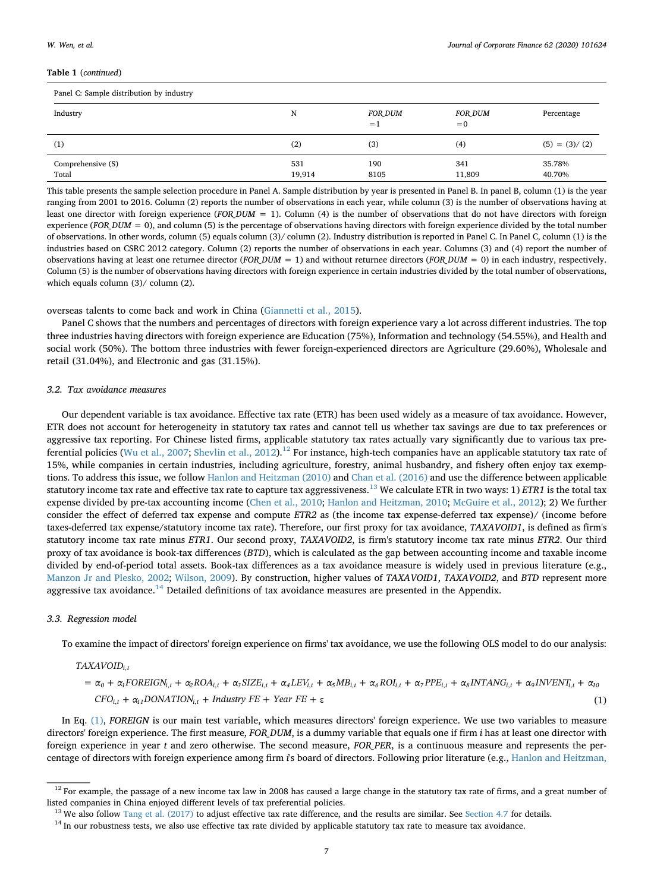#### *W. Wen, et al. Journal of Corporate Finance 62 (2020) 101624*

#### **Table 1** (*continued*)

| Panel C: Sample distribution by industry |               |                        |                         |                  |
|------------------------------------------|---------------|------------------------|-------------------------|------------------|
| Industry                                 | N             | <b>FOR DUM</b><br>$=1$ | <b>FOR DUM</b><br>$= 0$ | Percentage       |
| (1)                                      | (2)           | (3)                    | (4)                     | $(5) = (3)/(2)$  |
| Comprehensive (S)<br>Total               | 531<br>19,914 | 190<br>8105            | 341<br>11,809           | 35.78%<br>40.70% |

This table presents the sample selection procedure in Panel A. Sample distribution by year is presented in Panel B. In panel B, column (1) is the year ranging from 2001 to 2016. Column (2) reports the number of observations in each year, while column (3) is the number of observations having at least one director with foreign experience (*FOR DUM* = 1). Column (4) is the number of observations that do not have directors with foreign experience (*FOR\_DUM* = 0), and column (5) is the percentage of observations having directors with foreign experience divided by the total number of observations. In other words, column (5) equals column (3)/ column (2). Industry distribution is reported in Panel C. In Panel C, column (1) is the industries based on CSRC 2012 category. Column (2) reports the number of observations in each year. Columns (3) and (4) report the number of observations having at least one returnee director (*FOR\_DUM* = 1) and without returnee directors (*FOR\_DUM* = 0) in each industry, respectively. Column (5) is the number of observations having directors with foreign experience in certain industries divided by the total number of observations, which equals column (3)/ column (2).

overseas talents to come back and work in China ([Giannetti et al., 2015](#page-26-5)).

Panel C shows that the numbers and percentages of directors with foreign experience vary a lot across different industries. The top three industries having directors with foreign experience are Education (75%), Information and technology (54.55%), and Health and social work (50%). The bottom three industries with fewer foreign-experienced directors are Agriculture (29.60%), Wholesale and retail (31.04%), and Electronic and gas (31.15%).

# *3.2. Tax avoidance measures*

Our dependent variable is tax avoidance. Effective tax rate (ETR) has been used widely as a measure of tax avoidance. However, ETR does not account for heterogeneity in statutory tax rates and cannot tell us whether tax savings are due to tax preferences or aggressive tax reporting. For Chinese listed firms, applicable statutory tax rates actually vary significantly due to various tax pre-ferential policies ([Wu et al., 2007](#page-27-30); [Shevlin et al., 2012](#page-27-31)).<sup>[12](#page-6-0)</sup> For instance, high-tech companies have an applicable statutory tax rate of 15%, while companies in certain industries, including agriculture, forestry, animal husbandry, and fishery often enjoy tax exemptions. To address this issue, we follow [Hanlon and Heitzman \(2010\)](#page-27-12) and [Chan et al. \(2016\)](#page-26-30) and use the difference between applicable statutory income tax rate and effective tax rate to capture tax aggressiveness.[13](#page-6-1) We calculate ETR in two ways: 1) *ETR1* is the total tax expense divided by pre-tax accounting income ([Chen et al., 2010](#page-26-28); [Hanlon and Heitzman, 2010;](#page-27-12) [McGuire et al., 2012\)](#page-27-29); 2) We further consider the effect of deferred tax expense and compute *ETR2* as (the income tax expense-deferred tax expense)/ (income before taxes-deferred tax expense/statutory income tax rate). Therefore, our first proxy for tax avoidance, *TAXAVOID1*, is defined as firm's statutory income tax rate minus *ETR1*. Our second proxy, *TAXAVOID2*, is firm's statutory income tax rate minus *ETR2*. Our third proxy of tax avoidance is book-tax differences (*BTD*), which is calculated as the gap between accounting income and taxable income divided by end-of-period total assets. Book-tax differences as a tax avoidance measure is widely used in previous literature (e.g., [Manzon Jr and Plesko, 2002;](#page-27-32) [Wilson, 2009\)](#page-27-33). By construction, higher values of *TAXAVOID1*, *TAXAVOID2*, and *BTD* represent more aggressive tax avoidance.<sup>14</sup> Detailed definitions of tax avoidance measures are presented in the Appendix.

# *3.3. Regression model*

<span id="page-6-3"></span>To examine the impact of directors' foreign experience on firms' tax avoidance, we use the following OLS model to do our analysis:

#### *TAXAVOID*<sub>i,t</sub>

$$
= \alpha_0 + \alpha_i FOREIGN_{i,t} + \alpha_2 ROA_{i,t} + \alpha_3 SIZE_{i,t} + \alpha_4 LEV_{i,t} + \alpha_5 MB_{i,t} + \alpha_6 ROI_{i,t} + \alpha_7 PPE_{i,t} + \alpha_8 INTANG_{i,t} + \alpha_9 INVENT_{i,t} + \alpha_{10}
$$
  
\n
$$
CFO_{i,t} + \alpha_{11} DONATION_{i,t} + Industry FE + Year FE + \epsilon
$$
 (1)

In Eq. [\(1\)](#page-6-3), *FOREIGN* is our main test variable, which measures directors' foreign experience. We use two variables to measure directors' foreign experience. The first measure, *FOR\_DUM*, is a dummy variable that equals one if firm *i* has at least one director with foreign experience in year *t* and zero otherwise. The second measure, *FOR PER*, is a continuous measure and represents the percentage of directors with foreign experience among firm *i*'s board of directors. Following prior literature (e.g., [Hanlon and Heitzman,](#page-27-12)

<span id="page-6-0"></span> $12$  For example, the passage of a new income tax law in 2008 has caused a large change in the statutory tax rate of firms, and a great number of listed companies in China enjoyed different levels of tax preferential policies.

<span id="page-6-1"></span> $13$  We also follow [Tang et al. \(2017\)](#page-27-18) to adjust effective tax rate difference, and the results are similar. See [Section 4.7](#page-14-0) for details.

<span id="page-6-2"></span> $14$  In our robustness tests, we also use effective tax rate divided by applicable statutory tax rate to measure tax avoidance.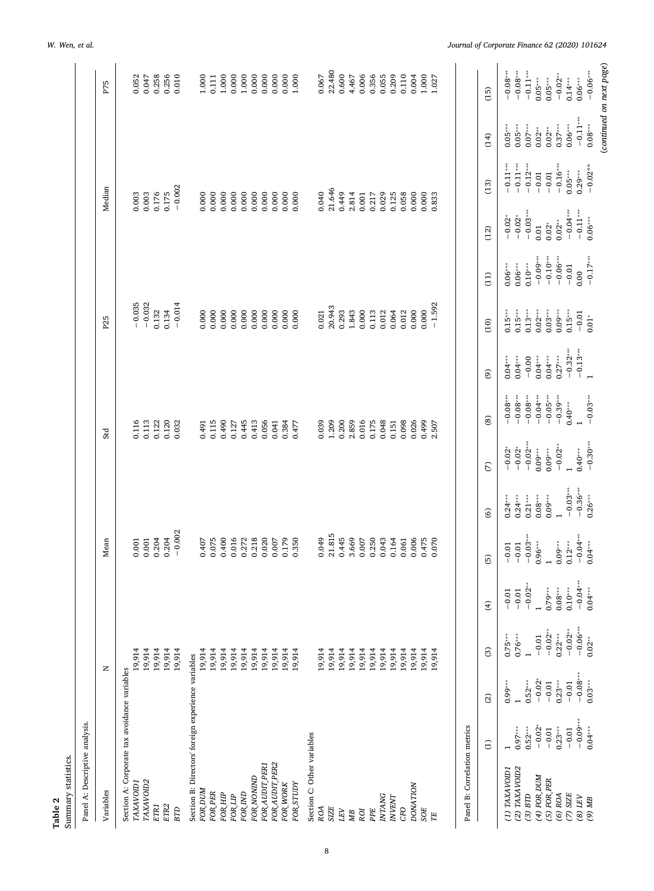<span id="page-7-0"></span>

| Summary statistics.<br>Table 2                     |                      |                      |                        |                         |                        |                        |               |                         |                         |                        |                                     |                         |                         |                        |                        |
|----------------------------------------------------|----------------------|----------------------|------------------------|-------------------------|------------------------|------------------------|---------------|-------------------------|-------------------------|------------------------|-------------------------------------|-------------------------|-------------------------|------------------------|------------------------|
| Panel A: Descriptive analysis.                     |                      |                      |                        |                         |                        |                        |               |                         |                         |                        |                                     |                         |                         |                        |                        |
| Variables                                          |                      | z                    |                        |                         | Mean                   |                        | Std           |                         |                         | P <sub>25</sub>        |                                     |                         | Median                  |                        | P75                    |
| Section A: Corporate tax avoidance variables       |                      |                      |                        |                         |                        |                        |               |                         |                         |                        |                                     |                         |                         |                        |                        |
| TAXAVOID <sub>1</sub>                              |                      |                      | 19,914                 |                         | 0.001                  |                        |               | 0.116                   |                         | $-0.035$               |                                     |                         | 0.003                   |                        | 0.052                  |
| TAXAVOID <sub>2</sub>                              |                      |                      | 19,914                 |                         | 0.001                  |                        |               | 0.113                   |                         | $-0.032$               |                                     |                         | 0.003                   |                        | 0.047                  |
| ETRI                                               |                      |                      | 19,914                 |                         | 0.204                  |                        |               | 0.122                   |                         | 0.132                  |                                     |                         | 0.176                   |                        | 0.258                  |
| ETR <sub>2</sub>                                   |                      |                      | 19,914                 |                         | 0.204                  |                        |               | 0.120                   |                         | 0.134                  |                                     |                         | 0.175                   |                        | 0.256                  |
| ВTD                                                |                      |                      | 19,914                 |                         | $-0.002$               |                        |               | 0.032                   |                         | $-0.014$               |                                     |                         | $-0.002$                |                        | 0.010                  |
| Section B: Directors' foreign experience variables |                      |                      |                        |                         |                        |                        |               |                         |                         |                        |                                     |                         |                         |                        |                        |
| FOR DUM                                            |                      |                      | 19,914                 |                         | 0.407                  |                        |               | 0.491                   |                         | 0.000                  |                                     |                         | 0.000                   |                        | 1.000                  |
| FOR_PER                                            |                      |                      | 19,914                 |                         | 0.075                  |                        |               | 0.115                   |                         | 0.000                  |                                     |                         | 0.000                   |                        | 0.111                  |
| FOR HIP                                            |                      |                      | 19,914                 |                         | 0.400                  |                        |               | 0.490                   |                         | 0.000                  |                                     |                         | 0.000                   |                        | 1.000                  |
| FOR LIP                                            |                      |                      | 19,914                 |                         | 0.016                  |                        |               | 0.127                   |                         | 0.000                  |                                     |                         | 0.000                   |                        | 0.000                  |
| FOR IND                                            |                      |                      | 19,914                 |                         | 0.272                  |                        |               | 0.445                   |                         | 0.000                  |                                     |                         | 0.000                   |                        | 1.000                  |
| FOR_NONIND                                         |                      |                      | 19,914                 |                         | 0.218                  |                        |               | 0.413                   |                         | 0.000                  |                                     |                         | 0.000                   |                        | 0.000                  |
| FOR_AUDIT_PER1                                     |                      |                      | 19,914                 |                         | 0.020                  |                        |               | 0.056                   |                         | 0.000                  |                                     |                         | 0.000                   |                        | 0.000                  |
| FOR_AUDIT_PER2                                     |                      |                      | 19,914                 |                         | 0.007                  |                        |               | 0.041                   |                         | 0.000                  |                                     |                         | 0.000                   |                        | 0.000                  |
| FOR WORK                                           |                      |                      | 19,914                 |                         | 0.179                  |                        |               | 0.384                   |                         | 0.000                  |                                     |                         | 0.000                   |                        | 0.000                  |
| FOR STUDY                                          |                      |                      | 19,914                 |                         | 0.350                  |                        |               | 0.477                   |                         | 0.000                  |                                     |                         | 0.000                   |                        | $1.000$                |
| Section C: Other variables                         |                      |                      |                        |                         |                        |                        |               |                         |                         |                        |                                     |                         |                         |                        |                        |
| ROA                                                |                      |                      | 19,914                 |                         | 0.049                  |                        |               | 0.039                   |                         | 0.021                  |                                     |                         | 0.040                   |                        | 0.067                  |
| SIZE                                               |                      |                      | 19,914                 |                         | 21.815                 |                        |               | 1.209                   |                         | 20.943                 |                                     |                         | 21.646                  |                        | 22.480                 |
| $LEV$                                              |                      |                      | 19,914                 |                         | 0.445                  |                        |               | 0.200                   |                         | 0.293                  |                                     |                         | 0.449                   |                        | 0.600                  |
| MВ                                                 |                      |                      | 19,914                 |                         | 3.669                  |                        |               | 2.859                   |                         | 1.843                  |                                     |                         | 2.814                   |                        | 4.467                  |
| ROI                                                |                      |                      | 19,914                 |                         | 0.007                  |                        |               | 0.016                   |                         | 0.000                  |                                     | 0.001                   |                         |                        | 0.006                  |
| PPE                                                |                      |                      | 19,914                 |                         | 0.250                  |                        |               | 0.175                   |                         | 0.113                  |                                     | 0.217                   |                         |                        | 0.356                  |
| <b>INTANG</b>                                      |                      |                      | 19,914                 |                         | 0.043                  |                        |               | 0.048                   |                         | 0.012                  |                                     |                         | 0.029                   |                        | 0.055                  |
| <b>INVENT</b>                                      |                      |                      | 19,914                 |                         | 0.164                  |                        |               | 0.151                   |                         | 0.064                  |                                     | 0.125                   |                         |                        | 0.209                  |
| <b>GFO</b>                                         |                      |                      | 19,914                 |                         | 0.061                  |                        |               | 0.098                   |                         | 0.012                  |                                     |                         | 0.058                   |                        | 0.110                  |
| <b>DONATION</b>                                    |                      |                      | 19,914                 |                         | 0.006                  |                        |               | 0.026                   |                         | 0.000                  |                                     |                         | 0.000                   |                        | 0.004                  |
| SOE<br>TE                                          |                      |                      | 19,914<br>19,914       |                         | 0.475<br>0.070         |                        |               | 0.499<br>2.507          |                         | $-1.592$<br>0.000      |                                     | 0.833                   | 0.000                   |                        | $1.000\,$<br>1.027     |
|                                                    |                      |                      |                        |                         |                        |                        |               |                         |                         |                        |                                     |                         |                         |                        |                        |
| Panel B: Correlation metrics                       |                      |                      |                        |                         |                        |                        |               |                         |                         |                        |                                     |                         |                         |                        |                        |
|                                                    | Э                    | $\odot$              | $\odot$                | $\widehat{\mathcal{F}}$ | $\overline{5}$         | $\widehat{\mathbf{e}}$ | $\mathcal{L}$ | $\circledR$             | ම                       | (10)                   | $\Xi$                               | (12)                    | (13)                    | (14)                   | (15)                   |
| $(1)$ TAXA VOIDI                                   |                      | $0.99***$            | $0.75***$              | $-0.01$                 | $-0.01$                | $0.24***$              | $-0.02*$      | $-0.08***$              | $0.04***$               | $0.15***$              | $0.06***$                           | $-0.02*$                | $-0.11***$              | $0.05***$              | $-0.08***$             |
| $(2)$ TAXAVOID2                                    | $0.97***$            |                      | $0.76***$              | $-0.01$                 | $-0.01$                | $0.24***$              | $-0.02*$      | $-0.08***$              | $0.04***$               | $0.15***$              | $0.06***$                           | $-0.02*$                | $-0.11***$              | $0.05***$              | $-0.08***$             |
| $(3)$ $BTD$                                        | $0.52***$            | $0.52***$            |                        | $-0.02**$               | $-0.03***$             | $0.21***$              | $-0.02***$    | $-0.08***$              | $-0.00$                 | $0.13***$              | $0.10^{\scriptscriptstyle\rm stat}$ | $-0.03***$              | $-0.12***$              | $0.07***$              | $-0.11***$             |
| $(4)$ FOR DUM                                      | $-0.02*$             | $-0.02*$             | $-0.01$                | $\overline{a}$          | $0.96***$              | $0.08***$              | $0.09***$     | $-0.04***$              | $0.04***$               | $0.02***$              | $-0.09***$                          | 0.01                    | $-0.01$                 | $0.02***$              | $0.05***$              |
| $(5)$ FOR_PER                                      | $-0.01$              | $-0.01$              | $-0.02**$              | $0.79***$               |                        | $0.09***$              | $0.09***$     | $-0.05***$              | $0.04***$               | $0.03***$              | $-0.10***$                          | $0.02*$                 | $-0.01$                 | $0.02**$               | $0.05***$              |
| $(7)$ SIZE<br>$(6)$ ROA                            | $0.23***$<br>$-0.01$ | $0.23***$<br>$-0.01$ | $-0.02**$<br>$0.22***$ | $0.10***$<br>$0.08***$  | $0.12***$<br>$0.09***$ | $-0.03***$             | $-0.02**$     | $-0.39***$<br>$0.40***$ | $-0.32***$<br>$0.27***$ | $0.15***$<br>$0.09***$ | $-0.06***$<br>$-0.01$               | $-0.04***$<br>$0.02***$ | $-0.16***$<br>$0.05***$ | $0.06***$<br>$0.37***$ | $-0.02**$<br>$0.14***$ |
| $(B)$ LEV                                          | $-0.09***$           | $-0.08***$           | $-0.06***$             | $-0.04***$              | $-0.04***$             | $-0.36***$             | $0.40***$     | $\overline{a}$          | $-0.13***$              | $-0.01$                | 0.00                                | $-0.11***$              | $0.29***$               | $-0.11***$             | $0.06***$              |
| (9)MB                                              | $0.04***$            | $0.03***$            | $0.02***$              | $0.04***$               | $0.04***$              | $0.26***$              | $-0.30***$    | $-0.03***$              |                         | $0.01*$                | $-0.17***$                          | $0.06***$               | $-0.02**$               | $0.08***$              | $-0.06***$             |

*W. Wen, et al. Journal of Corporate Finance 62 (2020) 101624*

(*continued on next page*)

 $\left( {continued\ on\ next\ page} \right)$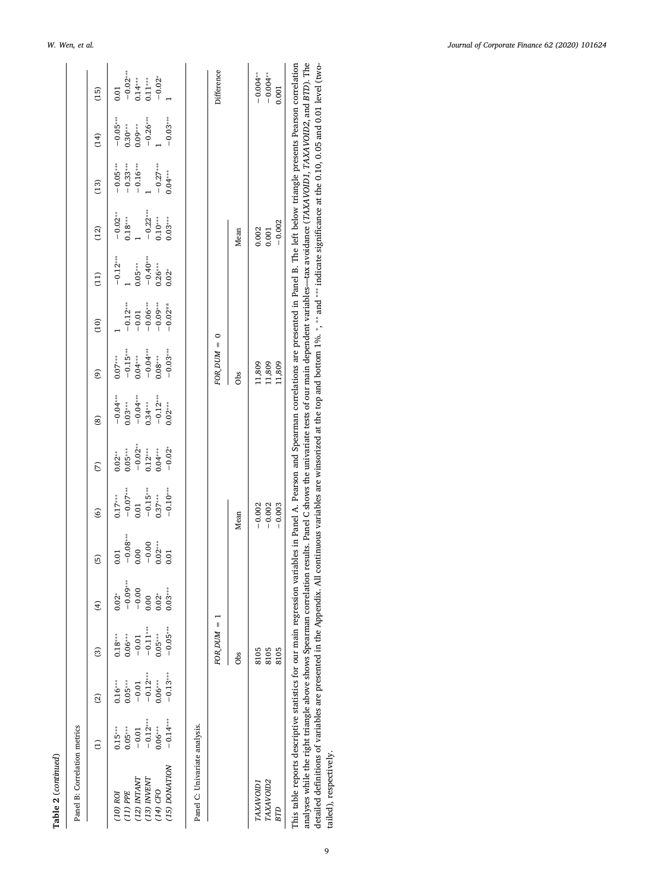| Panel B: Correlation metrics                                           |                                                              |                                                              |                                                              |                                                                                                                         |                                                                                                   |                                                            |                                                                    |                                                                                 |                                                                 |                                                     |                                                                    |                                                                                                                       |                                                   |                                                    |                                                                                             |
|------------------------------------------------------------------------|--------------------------------------------------------------|--------------------------------------------------------------|--------------------------------------------------------------|-------------------------------------------------------------------------------------------------------------------------|---------------------------------------------------------------------------------------------------|------------------------------------------------------------|--------------------------------------------------------------------|---------------------------------------------------------------------------------|-----------------------------------------------------------------|-----------------------------------------------------|--------------------------------------------------------------------|-----------------------------------------------------------------------------------------------------------------------|---------------------------------------------------|----------------------------------------------------|---------------------------------------------------------------------------------------------|
|                                                                        |                                                              | $\widehat{\omega}$                                           | ව                                                            | E                                                                                                                       | 6                                                                                                 | $\widehat{\mathbf{e}}$                                     | C)                                                                 | $\circledcirc$                                                                  | $\widehat{\mathcal{E}}$                                         | (10)                                                | $\left(11\right)$                                                  | (12)                                                                                                                  | (13)                                              | (14)                                               | (15)                                                                                        |
| $(13)$ INVENT<br>(12) INTANT<br>$(T4)$ CFO<br>$(11)$ PPE<br>$(10)$ ROI | $-0.12***$<br>$0.06***$<br>$0.05***$<br>$0.15***$<br>$-0.01$ | $-0.12***$<br>$0.06***$<br>$0.16***$<br>$0.05***$<br>$-0.01$ | $-0.11***$<br>$0.05***$<br>$0.18***$<br>$0.06***$<br>$-0.01$ | $\begin{array}{r} 0.02^* \\ -0.09^{***} \\ -0.00 \\ -0.00 \\ 0.01 \\ 0.03^{**} \\ 0.03^{***} \\ 0.03^{***} \end{array}$ | $\begin{array}{c} 0.01 \\ -0.08^{***} \\ 0.00 \\ -0.00 \\ 0.02^{***} \\ 0.01 \\ 0.01 \end{array}$ | $-0.07***$<br>$0.01$<br>$-0.15***$<br>0.37***<br>$0.17***$ | $0.02$<br>$+ 0.05$<br>$- 0.02$<br>$- 0.12$<br>$- 0.04$<br>$+ 0.04$ | $-0.04***$<br>$0.03***$<br>$-0.04***$<br>$-0.34***$<br>$-0.12***$<br>$-0.02***$ | $0.07***$<br>$-0.15***$<br>$0.04***$<br>$-0.04***$<br>$0.08***$ | $-0.12$<br>$-0.01$<br>$-0.06$<br>$-0.09$<br>$-0.02$ | $-0.12***$<br>$1 0.05***$<br>$-0.40***$<br>$-0.26***$<br>$0.26***$ | $\begin{array}{r} -0.02^{**} \\ 0.18^{***} \\ 1 \\ -0.22^{***} \\ 0.10^{***} \\ 0.10^{***} \\ 0.03^{***} \end{array}$ | $-0.05$<br>$-1.6$<br>$-1.6$<br>$-1.27$<br>$-1.27$ | $-0.05***$<br>0.30***<br>0.09***<br>-0.26***<br>i. | $\begin{array}{c} 0.01 \\ -0.02^{***} \\ 0.14^{***} \\ 0.11^{***} \\ -0.02^{*} \end{array}$ |
| Panel C: Univariate analysis.<br>(15) DONATION                         | $-0.14***$                                                   | $-0.13***$                                                   | $-0.05***$                                                   |                                                                                                                         |                                                                                                   | $-0.10***$                                                 | $-0.02*$                                                           |                                                                                 | $-0.03***$                                                      |                                                     |                                                                    |                                                                                                                       | $0.04***$                                         | $-0.03***$                                         |                                                                                             |
|                                                                        |                                                              |                                                              | $FOR$ $DUM = 1$<br>Obs                                       |                                                                                                                         |                                                                                                   | Mean                                                       |                                                                    |                                                                                 | $FOR_DUM = 0$<br>Obs                                            |                                                     |                                                                    | Mean                                                                                                                  |                                                   |                                                    | Difference                                                                                  |
| TAXAVOID <sub>2</sub><br>TAXAVOID I<br>ВTD                             |                                                              |                                                              | 8105<br>8105<br>8105                                         |                                                                                                                         |                                                                                                   | $-0.002$<br>$-0.002$<br>$-0.003$                           |                                                                    |                                                                                 | $\begin{array}{c} 11,809 \\ 11,809 \\ 11,809 \end{array}$       |                                                     |                                                                    | $-0.002$<br>$0.002$<br>$0.001$                                                                                        |                                                   |                                                    | $-0.004**$<br>0.001                                                                         |

This table reports descriptive statistics for our main regression variables in Panel A. Pearson and Spearman correlations are presented in Panel B. The left below triangle presents Pearson correlation<br>analyses while the ri detailed definitions of variables are presented in the Appendix. All continuous variables are winsorized at the top and bottom 1%. \*, \*\* and \*\*\* indicate significance at the 0.10, 0.05 and 0.01 level (two-This table reports descriptive statistics for our main regression variables in Panel A. Pearson and Spearman correlations are presented in Panel B. The left below triangle presents Pearson correlation analyses while the right triangle above shows Spearman correlation results. Panel C shows the univariate tests of our main dependent variables—tax avoidance (*TAXAVOID1, TAXAVOID2*, and *BTD*). The detailed definitions of variables are presented in the Appendix. All continuous variables are winsorized at the top and bottom 1%. <sub>\*, \*\*</sub> and \*\*\* indicate significance at the 0.10, 0.05 and 0.01 level (twotailed), respectively. tailed), respectively.

**Table 2** (*continued*)

Table 2 (continued)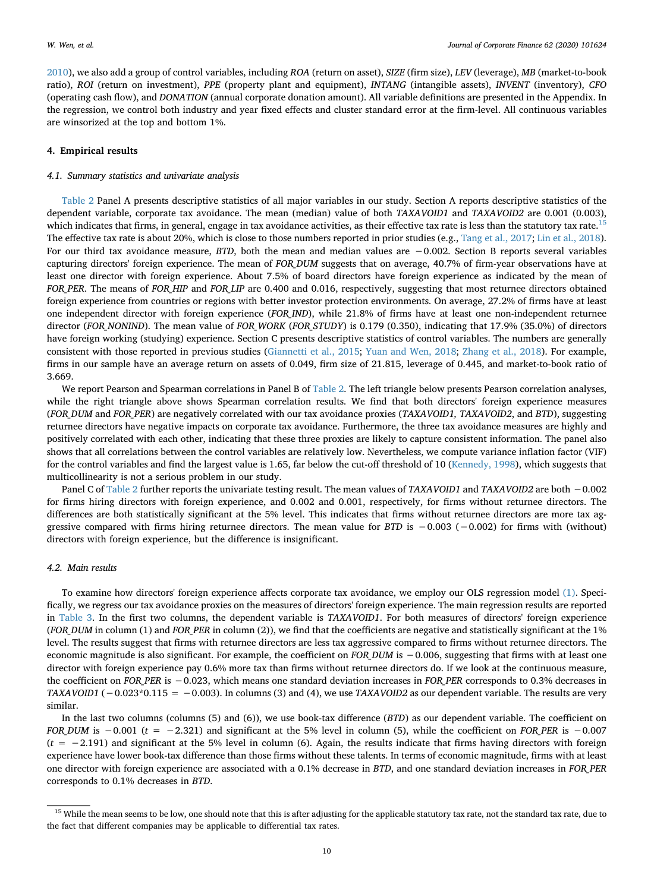[2010\)](#page-27-12), we also add a group of control variables, including *ROA* (return on asset), *SIZE* (firm size), *LEV* (leverage), *MB* (market-to-book ratio), *ROI* (return on investment), *PPE* (property plant and equipment), *INTANG* (intangible assets), *INVENT* (inventory), *CFO* (operating cash flow), and *DONATION* (annual corporate donation amount). All variable definitions are presented in the Appendix. In the regression, we control both industry and year fixed effects and cluster standard error at the firm-level. All continuous variables are winsorized at the top and bottom 1%.

#### <span id="page-9-0"></span>**4. Empirical results**

#### *4.1. Summary statistics and univariate analysis*

[Table 2](#page-7-0) Panel A presents descriptive statistics of all major variables in our study. Section A reports descriptive statistics of the dependent variable, corporate tax avoidance. The mean (median) value of both *TAXAVOID1* and *TAXAVOID2* are 0.001 (0.003), which indicates that firms, in general, engage in tax avoidance activities, as their effective tax rate is less than the statutory tax rate.<sup>[15](#page-9-1)</sup> The effective tax rate is about 20%, which is close to those numbers reported in prior studies (e.g., [Tang et al., 2017](#page-27-18); [Lin et al., 2018](#page-27-19)). For our third tax avoidance measure, *BTD*, both the mean and median values are −0.002. Section B reports several variables capturing directors' foreign experience. The mean of *FOR\_DUM* suggests that on average, 40.7% of firm-year observations have at least one director with foreign experience. About 7.5% of board directors have foreign experience as indicated by the mean of *FOR\_PER*. The means of *FOR\_HIP* and *FOR\_LIP* are 0.400 and 0.016, respectively, suggesting that most returnee directors obtained foreign experience from countries or regions with better investor protection environments. On average, 27.2% of firms have at least one independent director with foreign experience (*FOR\_IND*), while 21.8% of firms have at least one non-independent returnee director (*FOR\_NONIND*). The mean value of *FOR\_WORK* (*FOR\_STUDY*) is 0.179 (0.350), indicating that 17.9% (35.0%) of directors have foreign working (studying) experience. Section C presents descriptive statistics of control variables. The numbers are generally consistent with those reported in previous studies ([Giannetti et al., 2015;](#page-26-5) [Yuan and Wen, 2018](#page-27-8); [Zhang et al., 2018\)](#page-27-5). For example, firms in our sample have an average return on assets of 0.049, firm size of 21.815, leverage of 0.445, and market-to-book ratio of 3.669.

We report Pearson and Spearman correlations in Panel B of [Table 2](#page-7-0). The left triangle below presents Pearson correlation analyses, while the right triangle above shows Spearman correlation results. We find that both directors' foreign experience measures (*FOR\_DUM* and *FOR\_PER*) are negatively correlated with our tax avoidance proxies (*TAXAVOID1, TAXAVOID2*, and *BTD*), suggesting returnee directors have negative impacts on corporate tax avoidance. Furthermore, the three tax avoidance measures are highly and positively correlated with each other, indicating that these three proxies are likely to capture consistent information. The panel also shows that all correlations between the control variables are relatively low. Nevertheless, we compute variance inflation factor (VIF) for the control variables and find the largest value is 1.65, far below the cut-off threshold of 10 [\(Kennedy, 1998](#page-27-34)), which suggests that multicollinearity is not a serious problem in our study.

Panel C of [Table 2](#page-7-0) further reports the univariate testing result. The mean values of *TAXAVOID1* and *TAXAVOID2* are both −0.002 for firms hiring directors with foreign experience, and 0.002 and 0.001, respectively, for firms without returnee directors. The differences are both statistically significant at the 5% level. This indicates that firms without returnee directors are more tax aggressive compared with firms hiring returnee directors. The mean value for *BTD* is −0.003 (−0.002) for firms with (without) directors with foreign experience, but the difference is insignificant.

#### *4.2. Main results*

To examine how directors' foreign experience affects corporate tax avoidance, we employ our OLS regression model [\(1\)](#page-6-3). Specifically, we regress our tax avoidance proxies on the measures of directors' foreign experience. The main regression results are reported in [Table 3.](#page-10-0) In the first two columns, the dependent variable is *TAXAVOID1*. For both measures of directors' foreign experience (*FOR\_DUM* in column (1) and *FOR\_PER* in column (2)), we find that the coefficients are negative and statistically significant at the 1% level. The results suggest that firms with returnee directors are less tax aggressive compared to firms without returnee directors. The economic magnitude is also significant. For example, the coefficient on *FOR DUM* is −0.006, suggesting that firms with at least one director with foreign experience pay 0.6% more tax than firms without returnee directors do. If we look at the continuous measure, the coefficient on *FOR\_PER* is −0.023, which means one standard deviation increases in *FOR\_PER* corresponds to 0.3% decreases in *TAXAVOID1* (−0.023\*0.115 = −0.003). In columns (3) and (4), we use *TAXAVOID2* as our dependent variable. The results are very similar.

In the last two columns (columns (5) and (6)), we use book-tax difference (*BTD*) as our dependent variable. The coefficient on *FOR DUM* is −0.001 (*t* = −2.321) and significant at the 5% level in column (5), while the coefficient on *FOR PER* is −0.007 (*t* = −2.191) and significant at the 5% level in column (6). Again, the results indicate that firms having directors with foreign experience have lower book-tax difference than those firms without these talents. In terms of economic magnitude, firms with at least one director with foreign experience are associated with a 0.1% decrease in *BTD*, and one standard deviation increases in *FOR\_PER* corresponds to 0.1% decreases in *BTD*.

<span id="page-9-1"></span><sup>&</sup>lt;sup>15</sup> While the mean seems to be low, one should note that this is after adjusting for the applicable statutory tax rate, not the standard tax rate, due to the fact that different companies may be applicable to differential tax rates.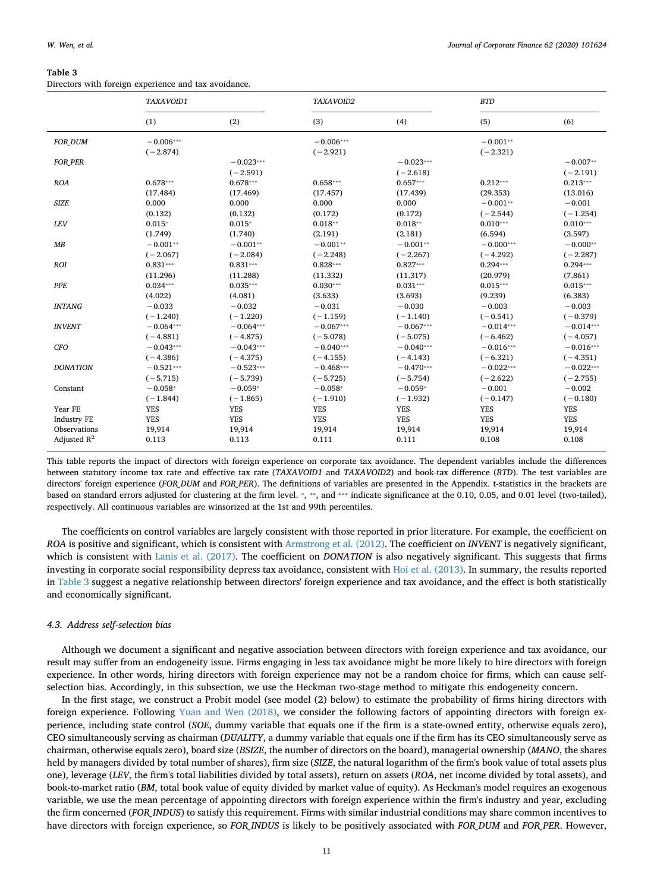<span id="page-10-0"></span>Directors with foreign experience and tax avoidance.

|                    | TAXAVOID1   |             | TAXAVOID2   |             | <b>BTD</b>  |             |
|--------------------|-------------|-------------|-------------|-------------|-------------|-------------|
|                    | (1)         | (2)         | (3)         | (4)         | (5)         | (6)         |
| <b>FOR DUM</b>     | $-0.006***$ |             | $-0.006***$ |             | $-0.001**$  |             |
|                    | $(-2.874)$  |             | $(-2.921)$  |             | $(-2.321)$  |             |
| <b>FOR PER</b>     |             | $-0.023***$ |             | $-0.023***$ |             | $-0.007**$  |
|                    |             | $(-2.591)$  |             | $(-2.618)$  |             | $(-2.191)$  |
| <b>ROA</b>         | $0.678***$  | $0.678***$  | $0.658***$  | $0.657***$  | $0.212***$  | $0.213***$  |
|                    | (17.484)    | (17.469)    | (17.457)    | (17.439)    | (29.353)    | (13.016)    |
| <b>SIZE</b>        | 0.000       | 0.000       | 0.000       | 0.000       | $-0.001**$  | $-0.001$    |
|                    | (0.132)     | (0.132)     | (0.172)     | (0.172)     | $(-2.544)$  | $(-1.254)$  |
| <b>LEV</b>         | $0.015*$    | $0.015*$    | $0.018**$   | $0.018**$   | $0.010***$  | $0.010***$  |
|                    | (1.749)     | (1.740)     | (2.191)     | (2.181)     | (6.594)     | (3.597)     |
| MB                 | $-0.001**$  | $-0.001**$  | $-0.001**$  | $-0.001**$  | $-0.000***$ | $-0.000**$  |
|                    | $(-2.067)$  | $(-2.084)$  | $(-2.248)$  | $(-2.267)$  | $(-4.292)$  | $(-2.287)$  |
| ROI                | $0.831***$  | $0.831***$  | $0.828***$  | $0.827***$  | $0.294***$  | $0.294***$  |
|                    | (11.296)    | (11.288)    | (11.332)    | (11.317)    | (20.979)    | (7.861)     |
| <b>PPE</b>         | $0.034***$  | $0.035***$  | $0.030***$  | $0.031***$  | $0.015***$  | $0.015***$  |
|                    | (4.022)     | (4.081)     | (3.633)     | (3.693)     | (9.239)     | (6.383)     |
| <b>INTANG</b>      | $-0.033$    | $-0.032$    | $-0.031$    | $-0.030$    | $-0.003$    | $-0.003$    |
|                    | $(-1.240)$  | $(-1.220)$  | $(-1.159)$  | $(-1.140)$  | $(-0.541)$  | $(-0.379)$  |
| <b>INVENT</b>      | $-0.064***$ | $-0.064***$ | $-0.067***$ | $-0.067***$ | $-0.014***$ | $-0.014***$ |
|                    | $(-4.881)$  | $(-4.875)$  | $(-5.078)$  | $(-5.075)$  | $(-6.462)$  | $(-4.057)$  |
| CFO                | $-0.043***$ | $-0.043***$ | $-0.040***$ | $-0.040***$ | $-0.016***$ | $-0.016***$ |
|                    | $(-4.386)$  | $(-4.375)$  | $(-4.155)$  | $(-4.143)$  | $(-6.321)$  | $(-4.351)$  |
| <b>DONATION</b>    | $-0.521***$ | $-0.523***$ | $-0.468***$ | $-0.470***$ | $-0.022***$ | $-0.022***$ |
|                    | $(-5.715)$  | $(-5.739)$  | $(-5.725)$  | $(-5.754)$  | $(-2.622)$  | $(-2.755)$  |
| Constant           | $-0.058*$   | $-0.059*$   | $-0.058*$   | $-0.059*$   | $-0.001$    | $-0.002$    |
|                    | $(-1.844)$  | $(-1.865)$  | $(-1.910)$  | $(-1.932)$  | $(-0.147)$  | $(-0.180)$  |
| Year FE            | <b>YES</b>  | <b>YES</b>  | <b>YES</b>  | <b>YES</b>  | <b>YES</b>  | <b>YES</b>  |
| <b>Industry FE</b> | <b>YES</b>  | <b>YES</b>  | <b>YES</b>  | <b>YES</b>  | <b>YES</b>  | <b>YES</b>  |
| Observations       | 19,914      | 19,914      | 19,914      | 19,914      | 19,914      | 19,914      |
| Adjusted $R^2$     | 0.113       | 0.113       | 0.111       | 0.111       | 0.108       | 0.108       |

This table reports the impact of directors with foreign experience on corporate tax avoidance. The dependent variables include the differences between statutory income tax rate and effective tax rate (*TAXAVOID1* and *TAXAVOID2*) and book-tax difference (*BTD*). The test variables are directors' foreign experience (*FOR\_DUM* and *FOR\_PER*). The definitions of variables are presented in the Appendix. t-statistics in the brackets are based on standard errors adjusted for clustering at the firm level. \*, \*\*, and \*\*\* indicate significance at the 0.10, 0.05, and 0.01 level (two-tailed), respectively. All continuous variables are winsorized at the 1st and 99th percentiles.

The coefficients on control variables are largely consistent with those reported in prior literature. For example, the coefficient on *ROA* is positive and significant, which is consistent with [Armstrong et al. \(2012\)](#page-26-19). The coefficient on *INVENT* is negatively significant, which is consistent with [Lanis et al. \(2017\)](#page-27-4). The coefficient on *DONATION* is also negatively significant. This suggests that firms investing in corporate social responsibility depress tax avoidance, consistent with [Hoi et al. \(2013\).](#page-27-6) In summary, the results reported in [Table 3](#page-10-0) suggest a negative relationship between directors' foreign experience and tax avoidance, and the effect is both statistically and economically significant.

# *4.3. Address self-selection bias*

Although we document a significant and negative association between directors with foreign experience and tax avoidance, our result may suffer from an endogeneity issue. Firms engaging in less tax avoidance might be more likely to hire directors with foreign experience. In other words, hiring directors with foreign experience may not be a random choice for firms, which can cause selfselection bias. Accordingly, in this subsection, we use the Heckman two-stage method to mitigate this endogeneity concern.

In the first stage, we construct a Probit model (see model (2) below) to estimate the probability of firms hiring directors with foreign experience. Following [Yuan and Wen \(2018\)](#page-27-8), we consider the following factors of appointing directors with foreign experience, including state control (*SOE*, dummy variable that equals one if the firm is a state-owned entity, otherwise equals zero), CEO simultaneously serving as chairman (*DUALITY*, a dummy variable that equals one if the firm has its CEO simultaneously serve as chairman, otherwise equals zero), board size (*BSIZE*, the number of directors on the board), managerial ownership (*MANO*, the shares held by managers divided by total number of shares), firm size (*SIZE*, the natural logarithm of the firm's book value of total assets plus one), leverage (*LEV*, the firm's total liabilities divided by total assets), return on assets (*ROA*, net income divided by total assets), and book-to-market ratio (*BM*, total book value of equity divided by market value of equity). As Heckman's model requires an exogenous variable, we use the mean percentage of appointing directors with foreign experience within the firm's industry and year, excluding the firm concerned (*FOR\_INDUS*) to satisfy this requirement. Firms with similar industrial conditions may share common incentives to have directors with foreign experience, so *FOR\_INDUS* is likely to be positively associated with *FOR\_DUM* and *FOR\_PER*. However,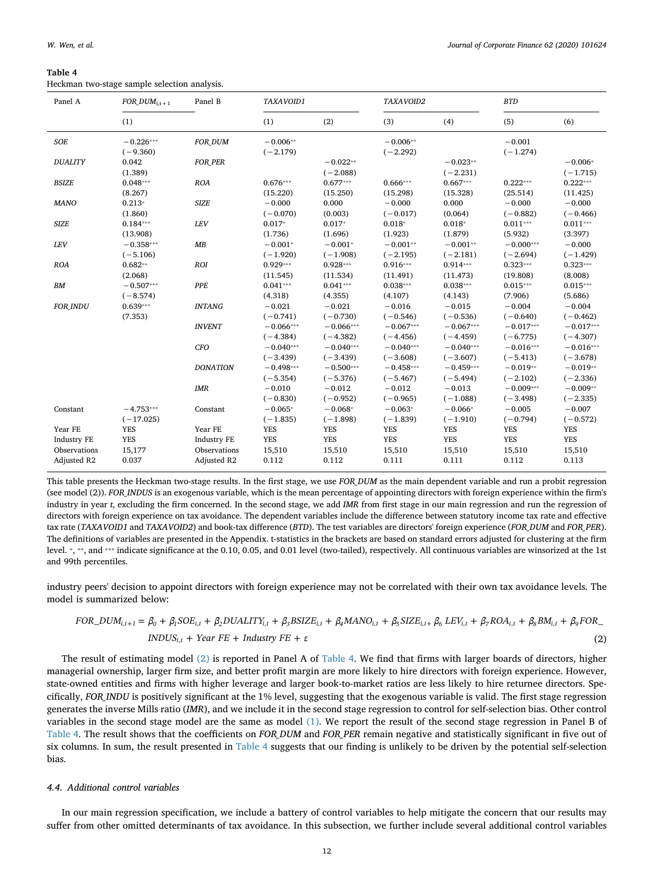<span id="page-11-1"></span>

|  | Heckman two-stage sample selection analysis. |  |  |  |
|--|----------------------------------------------|--|--|--|
|--|----------------------------------------------|--|--|--|

| Panel A                                       | $FOR\_DUM_{i,t+1}$                 | Panel B                                       | TAXAVOID1                          |                                    | TAXAVOID2                          |                                    | <b>BTD</b>                         |                                    |
|-----------------------------------------------|------------------------------------|-----------------------------------------------|------------------------------------|------------------------------------|------------------------------------|------------------------------------|------------------------------------|------------------------------------|
|                                               | (1)                                |                                               | (1)                                | (2)                                | (3)                                | (4)                                | (5)                                | (6)                                |
| <b>SOE</b>                                    | $-0.226***$<br>$(-9.360)$          | FOR DUM                                       | $-0.006**$<br>$(-2.179)$           |                                    | $-0.006**$<br>$(-2.292)$           |                                    | $-0.001$<br>$(-1.274)$             |                                    |
| <b>DUALITY</b>                                | 0.042<br>(1.389)                   | <b>FOR PER</b>                                |                                    | $-0.022**$<br>$(-2.088)$           |                                    | $-0.023**$<br>$(-2.231)$           |                                    | $-0.006*$<br>$(-1.715)$            |
| <b>BSIZE</b>                                  | $0.048***$<br>(8.267)              | <b>ROA</b>                                    | $0.676***$<br>(15.220)             | $0.677***$<br>(15.250)             | $0.666***$<br>(15.298)             | $0.667***$<br>(15.328)             | $0.222***$<br>(25.514)             | $0.222***$<br>(11.425)             |
| <b>MANO</b>                                   | $0.213*$<br>(1.860)                | <b>SIZE</b>                                   | $-0.000$<br>$(-0.070)$             | 0.000<br>(0.003)                   | $-0.000$<br>$(-0.017)$             | 0.000<br>(0.064)                   | $-0.000$<br>$(-0.882)$             | $-0.000$<br>$(-0.466)$             |
| <b>SIZE</b>                                   | $0.184***$<br>(13.908)             | LEV                                           | $0.017*$<br>(1.736)                | $0.017*$<br>(1.696)                | $0.018*$<br>(1.923)                | $0.018*$<br>(1.879)                | $0.011***$<br>(5.932)              | $0.011***$<br>(3.397)              |
| <b>LEV</b>                                    | $-0.358***$<br>$(-5.106)$          | MB                                            | $-0.001*$<br>$(-1.920)$            | $-0.001*$<br>$(-1.908)$            | $-0.001**$<br>$(-2.195)$           | $-0.001**$<br>$(-2.181)$           | $-0.000***$<br>$(-2.694)$          | $-0.000$<br>$(-1.429)$             |
| <b>ROA</b>                                    | $0.682**$<br>(2.068)               | ROI                                           | $0.929***$<br>(11.545)             | $0.928***$<br>(11.534)             | $0.916***$<br>(11.491)             | $0.914***$<br>(11.473)             | $0.323***$<br>(19.808)             | $0.323***$<br>(8.008)              |
| ${\it BM}$                                    | $-0.507***$<br>$(-8.574)$          | <b>PPE</b>                                    | $0.041***$<br>(4.318)              | $0.041***$<br>(4.355)              | $0.038***$<br>(4.107)              | $0.038***$<br>(4.143)              | $0.015***$<br>(7.906)              | $0.015***$<br>(5.686)              |
| <b>FOR_INDU</b>                               | $0.639***$<br>(7.353)              | <b>INTANG</b>                                 | $-0.021$<br>$(-0.741)$             | $-0.021$<br>$(-0.730)$             | $-0.016$<br>$(-0.546)$             | $-0.015$<br>$(-0.536)$             | $-0.004$<br>$(-0.640)$             | $-0.004$<br>$(-0.462)$             |
|                                               |                                    | <b>INVENT</b>                                 | $-0.066***$<br>$(-4.384)$          | $-0.066***$<br>$(-4.382)$          | $-0.067***$<br>$(-4.456)$          | $-0.067***$<br>$(-4.459)$          | $-0.017***$<br>$(-6.775)$          | $-0.017***$<br>$(-4.307)$          |
|                                               |                                    | <b>CFO</b>                                    | $-0.040***$<br>$(-3.439)$          | $-0.040***$<br>$(-3.439)$          | $-0.040***$<br>$(-3.608)$          | $-0.040***$<br>$(-3.607)$          | $-0.016***$<br>$(-5.413)$          | $-0.016***$<br>$(-3.678)$          |
|                                               |                                    | <b>DONATION</b>                               | $-0.498***$<br>$(-5.354)$          | $-0.500***$<br>$(-5.376)$          | $-0.458***$<br>$(-5.467)$          | $-0.459***$<br>$(-5.494)$          | $-0.019**$<br>$(-2.102)$           | $-0.019**$<br>$(-2.336)$           |
|                                               |                                    | <b>IMR</b>                                    | $-0.010$<br>$(-0.830)$             | $-0.012$<br>$(-0.952)$             | $-0.012$<br>$(-0.965)$             | $-0.013$<br>$(-1.088)$             | $-0.009***$<br>$(-3.498)$          | $-0.009**$<br>$(-2.335)$           |
| Constant                                      | $-4.753***$<br>$(-17.025)$         | Constant                                      | $-0.065*$<br>$(-1.835)$            | $-0.068*$<br>$(-1.898)$            | $-0.063*$<br>$(-1.839)$            | $-0.066*$<br>$(-1.910)$            | $-0.005$<br>$(-0.794)$             | $-0.007$<br>$(-0.572)$             |
| Year FE<br><b>Industry FE</b><br>Observations | <b>YES</b><br><b>YES</b><br>15,177 | Year FE<br><b>Industry FE</b><br>Observations | <b>YES</b><br><b>YES</b><br>15,510 | <b>YES</b><br><b>YES</b><br>15,510 | <b>YES</b><br><b>YES</b><br>15,510 | <b>YES</b><br><b>YES</b><br>15,510 | <b>YES</b><br><b>YES</b><br>15,510 | <b>YES</b><br><b>YES</b><br>15,510 |
| Adjusted R2                                   | 0.037                              | Adjusted R2                                   | 0.112                              | 0.112                              | 0.111                              | 0.111                              | 0.112                              | 0.113                              |

This table presents the Heckman two-stage results. In the first stage, we use *FOR\_DUM* as the main dependent variable and run a probit regression (see model (2)). *FOR\_INDUS* is an exogenous variable, which is the mean percentage of appointing directors with foreign experience within the firm's industry in year *t*, excluding the firm concerned. In the second stage, we add *IMR* from first stage in our main regression and run the regression of directors with foreign experience on tax avoidance. The dependent variables include the difference between statutory income tax rate and effective tax rate (*TAXAVOID1* and *TAXAVOID2*) and book-tax difference (*BTD*). The test variables are directors' foreign experience (*FOR\_DUM* and *FOR\_PER*). The definitions of variables are presented in the Appendix. t-statistics in the brackets are based on standard errors adjusted for clustering at the firm level. \*, \*\*, and \*\*\* indicate significance at the 0.10, 0.05, and 0.01 level (two-tailed), respectively. All continuous variables are winsorized at the 1st and 99th percentiles.

<span id="page-11-0"></span>industry peers' decision to appoint directors with foreign experience may not be correlated with their own tax avoidance levels. The model is summarized below:

$$
FOR\_DUM_{i,t+1} = \beta_0 + \beta_1 SOE_{i,t} + \beta_2 DUALITY_{i,t} + \beta_3 BSIZE_{i,t} + \beta_4 MANO_{i,t} + \beta_5 SIZE_{i,t} + \beta_6 LEV_{i,t} + \beta_7 ROA_{i,t} + \beta_8 BM_{i,t} + \beta_9 FOR\_INDUS_{i,t} + Year FE + Industry FE + \varepsilon
$$
\n(2)

The result of estimating model [\(2\)](#page-11-0) is reported in Panel A of [Table 4.](#page-11-1) We find that firms with larger boards of directors, higher managerial ownership, larger firm size, and better profit margin are more likely to hire directors with foreign experience. However, state-owned entities and firms with higher leverage and larger book-to-market ratios are less likely to hire returnee directors. Specifically, *FOR\_INDU* is positively significant at the 1% level, suggesting that the exogenous variable is valid. The first stage regression generates the inverse Mills ratio (*IMR*), and we include it in the second stage regression to control for self-selection bias. Other control variables in the second stage model are the same as model [\(1\).](#page-6-3) We report the result of the second stage regression in Panel B of [Table 4](#page-11-1). The result shows that the coefficients on *FOR\_DUM* and *FOR\_PER* remain negative and statistically significant in five out of six columns. In sum, the result presented in [Table 4](#page-11-1) suggests that our finding is unlikely to be driven by the potential self-selection bias.

# *4.4. Additional control variables*

In our main regression specification, we include a battery of control variables to help mitigate the concern that our results may suffer from other omitted determinants of tax avoidance. In this subsection, we further include several additional control variables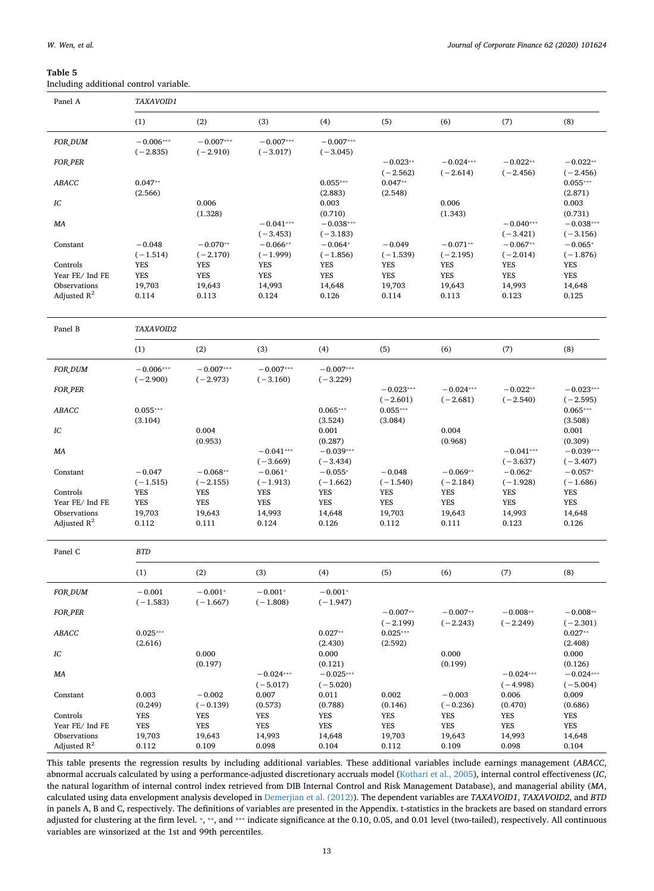<span id="page-12-0"></span>

| Panel A                 | TAXAVOID1                 |                           |                           |                           |                          |                           |                           |                           |
|-------------------------|---------------------------|---------------------------|---------------------------|---------------------------|--------------------------|---------------------------|---------------------------|---------------------------|
|                         | (1)                       | (2)                       | (3)                       | (4)                       | (5)                      | (6)                       | (7)                       | (8)                       |
| <b>FOR_DUM</b>          | $-0.006***$<br>$(-2.835)$ | $-0.007***$<br>$(-2.910)$ | $-0.007***$<br>$(-3.017)$ | $-0.007***$<br>$(-3.045)$ |                          |                           |                           |                           |
| <b>FOR_PER</b>          |                           |                           |                           |                           | $-0.023**$<br>$(-2.562)$ | $-0.024***$<br>$(-2.614)$ | $-0.022**$<br>$(-2.456)$  | $-0.022**$<br>$(-2.456)$  |
| ABACC                   | $0.047**$<br>(2.566)      |                           |                           | $0.055***$<br>(2.883)     | $0.047**$<br>(2.548)     |                           |                           | $0.055***$<br>(2.871)     |
| IC                      |                           | 0.006<br>(1.328)          |                           | 0.003<br>(0.710)          |                          | 0.006<br>(1.343)          |                           | 0.003<br>(0.731)          |
| MA                      |                           |                           | $-0.041***$<br>$(-3.453)$ | $-0.038***$<br>$(-3.183)$ |                          |                           | $-0.040***$<br>$(-3.421)$ | $-0.038***$<br>$(-3.156)$ |
| Constant                | $-0.048$<br>$(-1.514)$    | $-0.070**$<br>$(-2.170)$  | $-0.066**$<br>$(-1.999)$  | $-0.064*$<br>$(-1.856)$   | $-0.049$<br>$(-1.539)$   | $-0.071**$<br>$(-2.195)$  | $-0.067**$<br>$(-2.014)$  | $-0.065*$<br>$(-1.876)$   |
| Controls                | YES                       | YES                       | YES                       | YES                       | YES                      | <b>YES</b>                | <b>YES</b>                | YES                       |
| Year FE/ Ind FE         | YES                       | YES                       | YES                       | <b>YES</b>                | YES                      | YES                       | <b>YES</b>                | <b>YES</b>                |
| Observations            | 19,703                    | 19,643                    | 14,993                    | 14,648                    | 19,703                   | 19,643                    | 14,993                    | 14,648                    |
| Adjusted $R^2$          | 0.114                     | 0.113                     | 0.124                     | 0.126                     | 0.114                    | 0.113                     | 0.123                     | 0.125                     |
| Panel B                 | TAXAVOID2                 |                           |                           |                           |                          |                           |                           |                           |
|                         | (1)                       | (2)                       | (3)                       | (4)                       | (5)                      | (6)                       | (7)                       | (8)                       |
| <b>FOR_DUM</b>          | $-0.006***$               | $-0.007***$               | $-0.007***$               | $-0.007***$               |                          |                           |                           |                           |
|                         | $(-2.900)$                | $(-2.973)$                | $(-3.160)$                | $(-3.229)$                |                          |                           |                           |                           |
| <b>FOR PER</b>          |                           |                           |                           |                           | $-0.023***$              | $-0.024***$               | $-0.022**$                | $-0.023***$               |
|                         |                           |                           |                           |                           | $(-2.601)$               | $(-2.681)$                | $(-2.540)$                | $(-2.595)$                |
| ABACC                   | $0.055***$                |                           |                           | $0.065***$                | $0.055***$               |                           |                           | $0.065***$                |
|                         | (3.104)                   |                           |                           | (3.524)                   | (3.084)                  |                           |                           | (3.508)                   |
| IC                      |                           | 0.004                     |                           | 0.001                     |                          | 0.004                     |                           | 0.001                     |
|                         |                           | (0.953)                   |                           | (0.287)                   |                          | (0.968)                   |                           | (0.309)                   |
| MA                      |                           |                           | $-0.041***$               | $-0.039***$               |                          |                           | $-0.041***$               | $-0.039***$               |
|                         |                           |                           | $(-3.669)$                | $(-3.434)$                |                          |                           | $(-3.637)$                | $(-3.407)$                |
| Constant                | $-0.047$                  | $-0.068**$                | $-0.061*$                 | $-0.055*$                 | $-0.048$                 | $-0.069**$                | $-0.062*$                 | $-0.057*$                 |
|                         | $(-1.515)$                | $(-2.155)$                | $(-1.913)$                | $(-1.662)$                | $(-1.540)$               | $(-2.184)$                | $(-1.928)$                | $(-1.686)$                |
| Controls                | YES                       | YES                       | <b>YES</b>                | <b>YES</b>                | YES                      | YES                       | YES                       | YES                       |
| Year FE/ Ind FE         | <b>YES</b>                | <b>YES</b>                | YES                       | <b>YES</b>                | <b>YES</b>               | <b>YES</b>                | <b>YES</b>                | YES                       |
| Observations            | 19,703                    | 19,643                    | 14,993                    | 14,648                    | 19,703                   | 19,643                    | 14,993                    | 14,648                    |
| Adjusted $\mathbb{R}^2$ | 0.112                     | 0.111                     | 0.124                     | 0.126                     | 0.112                    | 0.111                     | 0.123                     | 0.126                     |
| Panel C                 | <b>BTD</b>                |                           |                           |                           |                          |                           |                           |                           |
|                         | (1)                       | (2)                       | (3)                       | (4)                       | (5)                      | (6)                       | (7)                       | (8)                       |
| <b>FOR DUM</b>          | $-0.001$<br>$(-1.583)$    | $-0.001*$<br>$(-1.667)$   | $-0.001*$<br>$(-1.808)$   | $-0.001*$<br>$(-1.947)$   |                          |                           |                           |                           |
| <b>FOR_PER</b>          |                           |                           |                           |                           | $-0.007**$<br>$(-2.199)$ | $-0.007**$<br>$(-2.243)$  | $-0.008**$<br>$(-2.249)$  | $-0.008**$<br>$(-2.301)$  |
| ABACC                   | $0.025***$<br>(2.616)     |                           |                           | $0.027**$<br>(2.430)      | $0.025***$<br>(2.592)    |                           |                           | $0.027**$<br>(2.408)      |
| IC                      |                           | 0.000<br>(0.197)          |                           | 0.000<br>(0.121)          |                          | 0.000<br>(0.199)          |                           | 0.000<br>(0.126)          |
| ΜA                      |                           |                           | $-0.024***$<br>$(-5.017)$ | $-0.025***$<br>$(-5.020)$ |                          |                           | $-0.024***$<br>$(-4.998)$ | $-0.024***$<br>$(-5.004)$ |
| Constant                | 0.003<br>(0.249)          | $-0.002$<br>$(-0.139)$    | 0.007<br>(0.573)          | 0.011<br>(0.788)          | 0.002<br>(0.146)         | $-0.003$<br>$(-0.236)$    | 0.006<br>(0.470)          | 0.009<br>(0.686)          |
| Controls                | YES                       | YES                       | YES                       | YES                       | YES                      | YES                       | YES                       | YES                       |
| Year FE/ Ind FE         | YES                       | YES                       | YES                       | YES                       | YES                      | YES                       | YES                       | <b>YES</b>                |
|                         |                           |                           |                           |                           |                          |                           |                           |                           |

This table presents the regression results by including additional variables. These additional variables include earnings management (*ABACC*, abnormal accruals calculated by using a performance-adjusted discretionary accruals model ([Kothari et al., 2005](#page-27-35)), internal control effectiveness (*IC*, the natural logarithm of internal control index retrieved from DIB Internal Control and Risk Management Database), and managerial ability (*MA*, calculated using data envelopment analysis developed in [Demerjian et al. \(2012\)](#page-26-31)). The dependent variables are *TAXAVOID1*, *TAXAVOID2*, and *BTD* in panels A, B and C, respectively. The definitions of variables are presented in the Appendix. t-statistics in the brackets are based on standard errors adjusted for clustering at the firm level. \*, \*\*, and \*\*\* indicate significance at the 0.10, 0.05, and 0.01 level (two-tailed), respectively. All continuous variables are winsorized at the 1st and 99th percentiles.

Observations 19,703 19,643 14,993 14,648 19,703 19,643 14,993 14,648 Adjusted R<sup>2</sup> 0.112 0.109 0.098 0.104 0.112 0.109 0.098 0.104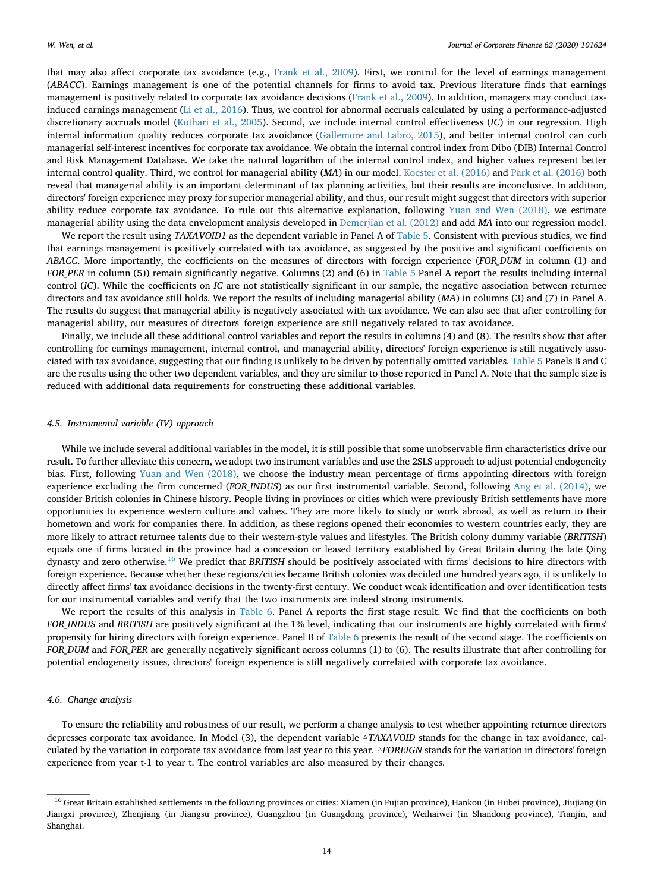that may also affect corporate tax avoidance (e.g., [Frank et al., 2009\)](#page-26-32). First, we control for the level of earnings management (*ABACC*). Earnings management is one of the potential channels for firms to avoid tax. Previous literature finds that earnings management is positively related to corporate tax avoidance decisions [\(Frank et al., 2009](#page-26-32)). In addition, managers may conduct taxinduced earnings management ([Li et al., 2016](#page-27-36)). Thus, we control for abnormal accruals calculated by using a performance-adjusted discretionary accruals model ([Kothari et al., 2005](#page-27-35)). Second, we include internal control effectiveness (*IC*) in our regression. High internal information quality reduces corporate tax avoidance [\(Gallemore and Labro, 2015\)](#page-26-33), and better internal control can curb managerial self-interest incentives for corporate tax avoidance. We obtain the internal control index from Dibo (DIB) Internal Control and Risk Management Database. We take the natural logarithm of the internal control index, and higher values represent better internal control quality. Third, we control for managerial ability (*MA*) in our model. [Koester et al. \(2016\)](#page-27-14) and [Park et al. \(2016\)](#page-27-15) both reveal that managerial ability is an important determinant of tax planning activities, but their results are inconclusive. In addition, directors' foreign experience may proxy for superior managerial ability, and thus, our result might suggest that directors with superior ability reduce corporate tax avoidance. To rule out this alternative explanation, following [Yuan and Wen \(2018\),](#page-27-8) we estimate managerial ability using the data envelopment analysis developed in [Demerjian et al. \(2012\)](#page-26-31) and add *MA* into our regression model.

We report the result using *TAXAVOID1* as the dependent variable in Panel A of [Table 5.](#page-12-0) Consistent with previous studies, we find that earnings management is positively correlated with tax avoidance, as suggested by the positive and significant coefficients on *ABACC*. More importantly, the coefficients on the measures of directors with foreign experience (*FOR\_DUM* in column (1) and *FOR PER* in column (5)) remain significantly negative. Columns (2) and (6) in [Table 5](#page-12-0) Panel A report the results including internal control (*IC*). While the coefficients on *IC* are not statistically significant in our sample, the negative association between returnee directors and tax avoidance still holds. We report the results of including managerial ability (*MA*) in columns (3) and (7) in Panel A. The results do suggest that managerial ability is negatively associated with tax avoidance. We can also see that after controlling for managerial ability, our measures of directors' foreign experience are still negatively related to tax avoidance.

Finally, we include all these additional control variables and report the results in columns (4) and (8). The results show that after controlling for earnings management, internal control, and managerial ability, directors' foreign experience is still negatively associated with tax avoidance, suggesting that our finding is unlikely to be driven by potentially omitted variables. [Table 5](#page-12-0) Panels B and C are the results using the other two dependent variables, and they are similar to those reported in Panel A. Note that the sample size is reduced with additional data requirements for constructing these additional variables.

#### *4.5. Instrumental variable (IV) approach*

While we include several additional variables in the model, it is still possible that some unobservable firm characteristics drive our result. To further alleviate this concern, we adopt two instrument variables and use the 2SLS approach to adjust potential endogeneity bias. First, following [Yuan and Wen \(2018\),](#page-27-8) we choose the industry mean percentage of firms appointing directors with foreign experience excluding the firm concerned (*FOR\_INDUS*) as our first instrumental variable. Second, following [Ang et al. \(2014\),](#page-26-34) we consider British colonies in Chinese history. People living in provinces or cities which were previously British settlements have more opportunities to experience western culture and values. They are more likely to study or work abroad, as well as return to their hometown and work for companies there. In addition, as these regions opened their economies to western countries early, they are more likely to attract returnee talents due to their western-style values and lifestyles. The British colony dummy variable (*BRITISH*) equals one if firms located in the province had a concession or leased territory established by Great Britain during the late Qing dynasty and zero otherwise.[16](#page-13-0) We predict that *BRITISH* should be positively associated with firms' decisions to hire directors with foreign experience. Because whether these regions/cities became British colonies was decided one hundred years ago, it is unlikely to directly affect firms' tax avoidance decisions in the twenty-first century. We conduct weak identification and over identification tests for our instrumental variables and verify that the two instruments are indeed strong instruments.

We report the results of this analysis in [Table 6.](#page-14-1) Panel A reports the first stage result. We find that the coefficients on both *FOR\_INDUS* and *BRITISH* are positively significant at the 1% level, indicating that our instruments are highly correlated with firms' propensity for hiring directors with foreign experience. Panel B of [Table 6](#page-14-1) presents the result of the second stage. The coefficients on *FOR\_DUM* and *FOR\_PER* are generally negatively significant across columns (1) to (6). The results illustrate that after controlling for potential endogeneity issues, directors' foreign experience is still negatively correlated with corporate tax avoidance.

#### *4.6. Change analysis*

<span id="page-13-1"></span>To ensure the reliability and robustness of our result, we perform a change analysis to test whether appointing returnee directors depresses corporate tax avoidance. In Model (3), the dependent variable △*TAXAVOID* stands for the change in tax avoidance, calculated by the variation in corporate tax avoidance from last year to this year. △*FOREIGN* stands for the variation in directors' foreign experience from year t-1 to year t. The control variables are also measured by their changes.

<span id="page-13-0"></span><sup>&</sup>lt;sup>16</sup> Great Britain established settlements in the following provinces or cities: Xiamen (in Fujian province), Hankou (in Hubei province), Jiujiang (in Jiangxi province), Zhenjiang (in Jiangsu province), Guangzhou (in Guangdong province), Weihaiwei (in Shandong province), Tianjin, and Shanghai.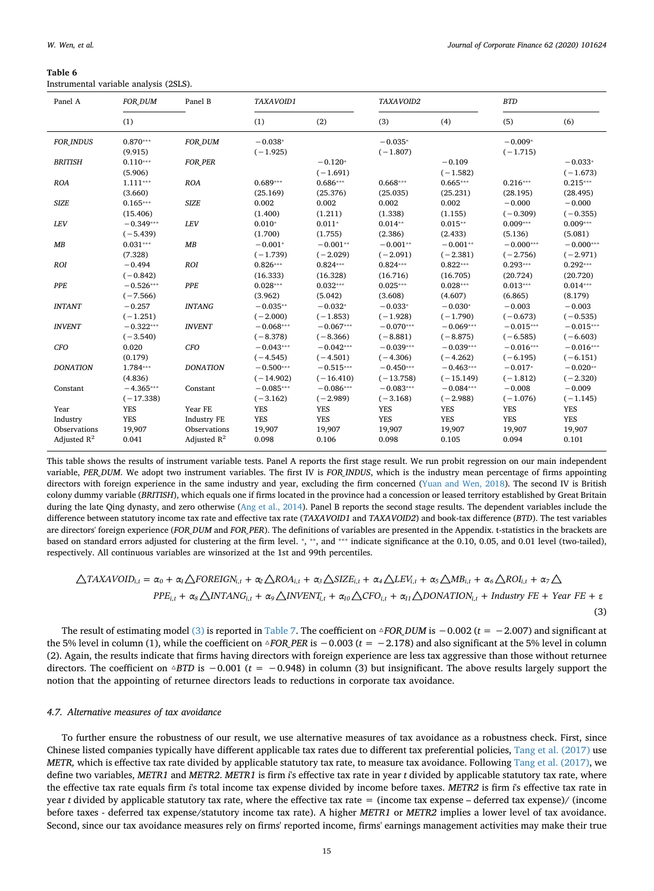<span id="page-14-1"></span>

| Instrumental variable analysis (2SLS). |  |  |  |
|----------------------------------------|--|--|--|
|----------------------------------------|--|--|--|

| Panel A          | FOR DUM     | Panel B             | TAXAVOID1   |             | TAXAVOID2   |             | <b>BTD</b>  |             |
|------------------|-------------|---------------------|-------------|-------------|-------------|-------------|-------------|-------------|
|                  | (1)         |                     | (1)         | (2)         | (3)         | (4)         | (5)         | (6)         |
| <b>FOR INDUS</b> | $0.870***$  | <b>FOR DUM</b>      | $-0.038*$   |             | $-0.035*$   |             | $-0.009*$   |             |
|                  | (9.915)     |                     | $(-1.925)$  |             | $(-1.807)$  |             | $(-1.715)$  |             |
| <b>BRITISH</b>   | $0.110***$  | <b>FOR PER</b>      |             | $-0.120*$   |             | $-0.109$    |             | $-0.033*$   |
|                  | (5.906)     |                     |             | $(-1.691)$  |             | $(-1.582)$  |             | $(-1.673)$  |
| <b>ROA</b>       | $1.111***$  | <b>ROA</b>          | $0.689***$  | $0.686***$  | $0.668***$  | $0.665***$  | $0.216***$  | $0.215***$  |
|                  | (3.660)     |                     | (25.169)    | (25.376)    | (25.035)    | (25.231)    | (28.195)    | (28.495)    |
| <b>SIZE</b>      | $0.165***$  | <b>SIZE</b>         | 0.002       | 0.002       | 0.002       | 0.002       | $-0.000$    | $-0.000$    |
|                  | (15.406)    |                     | (1.400)     | (1.211)     | (1.338)     | (1.155)     | $(-0.309)$  | $(-0.355)$  |
| <b>LEV</b>       | $-0.349***$ | ${\it LEV}$         | $0.010*$    | $0.011*$    | $0.014**$   | $0.015**$   | $0.009***$  | $0.009***$  |
|                  | $(-5.439)$  |                     | (1.700)     | (1.755)     | (2.386)     | (2.433)     | (5.136)     | (5.081)     |
| MB               | $0.031***$  | MB                  | $-0.001*$   | $-0.001**$  | $-0.001**$  | $-0.001**$  | $-0.000***$ | $-0.000***$ |
|                  | (7.328)     |                     | $(-1.739)$  | $(-2.029)$  | $(-2.091)$  | $(-2.381)$  | $(-2.756)$  | $(-2.971)$  |
| ROI              | $-0.494$    | ROI                 | $0.826***$  | $0.824***$  | $0.824***$  | $0.822***$  | $0.293***$  | $0.292***$  |
|                  | $(-0.842)$  |                     | (16.333)    | (16.328)    | (16.716)    | (16.705)    | (20.724)    | (20.720)    |
| PPE              | $-0.526***$ | <b>PPE</b>          | $0.028***$  | $0.032***$  | $0.025***$  | $0.028***$  | $0.013***$  | $0.014***$  |
|                  | $(-7.566)$  |                     | (3.962)     | (5.042)     | (3.608)     | (4.607)     | (6.865)     | (8.179)     |
| <b>INTANT</b>    | $-0.257$    | <b>INTANG</b>       | $-0.035**$  | $-0.032*$   | $-0.033*$   | $-0.030*$   | $-0.003$    | $-0.003$    |
|                  | $(-1.251)$  |                     | $(-2.000)$  | $(-1.853)$  | $(-1.928)$  | $(-1.790)$  | $(-0.673)$  | $(-0.535)$  |
| <b>INVENT</b>    | $-0.322***$ | <b>INVENT</b>       | $-0.068***$ | $-0.067***$ | $-0.070***$ | $-0.069***$ | $-0.015***$ | $-0.015***$ |
|                  | $(-3.540)$  |                     | $(-8.378)$  | $(-8.366)$  | $(-8.881)$  | $(-8.875)$  | $(-6.585)$  | $(-6.603)$  |
| <b>CFO</b>       | 0.020       | <b>CFO</b>          | $-0.043***$ | $-0.042***$ | $-0.039***$ | $-0.039***$ | $-0.016***$ | $-0.016***$ |
|                  | (0.179)     |                     | $(-4.545)$  | $(-4.501)$  | $(-4.306)$  | $(-4.262)$  | $(-6.195)$  | $(-6.151)$  |
| <b>DONATION</b>  | 1.784***    | <b>DONATION</b>     | $-0.500***$ | $-0.515***$ | $-0.450***$ | $-0.463***$ | $-0.017*$   | $-0.020**$  |
|                  | (4.836)     |                     | $(-14.902)$ | $(-16.410)$ | $(-13.758)$ | $(-15.149)$ | $(-1.812)$  | $(-2.320)$  |
| Constant         | $-4.365***$ | Constant            | $-0.085***$ | $-0.086***$ | $-0.083***$ | $-0.084***$ | $-0.008$    | $-0.009$    |
|                  | $(-17.338)$ |                     | $(-3.162)$  | $(-2.989)$  | $(-3.168)$  | $(-2.988)$  | $(-1.076)$  | $(-1.145)$  |
| Year             | <b>YES</b>  | Year FE             | <b>YES</b>  | <b>YES</b>  | <b>YES</b>  | <b>YES</b>  | <b>YES</b>  | <b>YES</b>  |
| Industry         | <b>YES</b>  | <b>Industry FE</b>  | <b>YES</b>  | <b>YES</b>  | <b>YES</b>  | <b>YES</b>  | <b>YES</b>  | <b>YES</b>  |
| Observations     | 19,907      | <b>Observations</b> | 19,907      | 19,907      | 19,907      | 19,907      | 19,907      | 19,907      |
| Adjusted $R^2$   | 0.041       | Adjusted $R^2$      | 0.098       | 0.106       | 0.098       | 0.105       | 0.094       | 0.101       |

This table shows the results of instrument variable tests. Panel A reports the first stage result. We run probit regression on our main independent variable, *PER\_DUM*. We adopt two instrument variables. The first IV is *FOR\_INDUS*, which is the industry mean percentage of firms appointing directors with foreign experience in the same industry and year, excluding the firm concerned ([Yuan and Wen, 2018](#page-27-8)). The second IV is British colony dummy variable (*BRITISH*), which equals one if firms located in the province had a concession or leased territory established by Great Britain during the late Qing dynasty, and zero otherwise [\(Ang et al., 2014\)](#page-26-34). Panel B reports the second stage results. The dependent variables include the difference between statutory income tax rate and effective tax rate (*TAXAVOID1* and *TAXAVOID2*) and book-tax difference (*BTD*). The test variables are directors' foreign experience (*FOR\_DUM* and *FOR\_PER*). The definitions of variables are presented in the Appendix. t-statistics in the brackets are based on standard errors adjusted for clustering at the firm level. \*, \*\*, and \*\*\* indicate significance at the 0.10, 0.05, and 0.01 level (two-tailed), respectively. All continuous variables are winsorized at the 1st and 99th percentiles.

$$
\triangle TAXAVOID_{i,t} = \alpha_0 + \alpha_1 \triangle FOREIGN_{i,t} + \alpha_2 \triangle ROA_{i,t} + \alpha_3 \triangle SIZE_{i,t} + \alpha_4 \triangle LEV_{i,t} + \alpha_5 \triangle MB_{i,t} + \alpha_6 \triangle ROI_{i,t} + \alpha_7 \triangle
$$
  
\n
$$
PPE_{i,t} + \alpha_8 \triangle INTANG_{i,t} + \alpha_9 \triangle INVENT_{i,t} + \alpha_{10} \triangle CFO_{i,t} + \alpha_{11} \triangle DONATION_{i,t} + Industry FE + Year FE + \epsilon
$$
\n(3)

The result of estimating model [\(3\)](#page-13-1) is reported in [Table 7](#page-15-1). The coefficient on △*FOR\_DUM* is −0.002 (*t* = −2.007) and significant at the 5% level in column (1), while the coefficient on △*FOR\_PER* is −0.003 (*t* = −2.178) and also significant at the 5% level in column (2). Again, the results indicate that firms having directors with foreign experience are less tax aggressive than those without returnee directors. The coefficient on  $\triangle BTD$  is  $-0.001$  ( $t = -0.948$ ) in column (3) but insignificant. The above results largely support the notion that the appointing of returnee directors leads to reductions in corporate tax avoidance.

# <span id="page-14-0"></span>*4.7. Alternative measures of tax avoidance*

To further ensure the robustness of our result, we use alternative measures of tax avoidance as a robustness check. First, since Chinese listed companies typically have different applicable tax rates due to different tax preferential policies, [Tang et al. \(2017\)](#page-27-18) use *METR,* which is effective tax rate divided by applicable statutory tax rate, to measure tax avoidance. Following [Tang et al. \(2017\),](#page-27-18) we define two variables, *METR1* and *METR2*. *METR1* is firm *i*'s effective tax rate in year *t* divided by applicable statutory tax rate, where the effective tax rate equals firm *i*'s total income tax expense divided by income before taxes. *METR2* is firm *i*'s effective tax rate in year *t* divided by applicable statutory tax rate, where the effective tax rate = (income tax expense – deferred tax expense)/ (income before taxes - deferred tax expense/statutory income tax rate). A higher *METR1* or *METR2* implies a lower level of tax avoidance. Second, since our tax avoidance measures rely on firms' reported income, firms' earnings management activities may make their true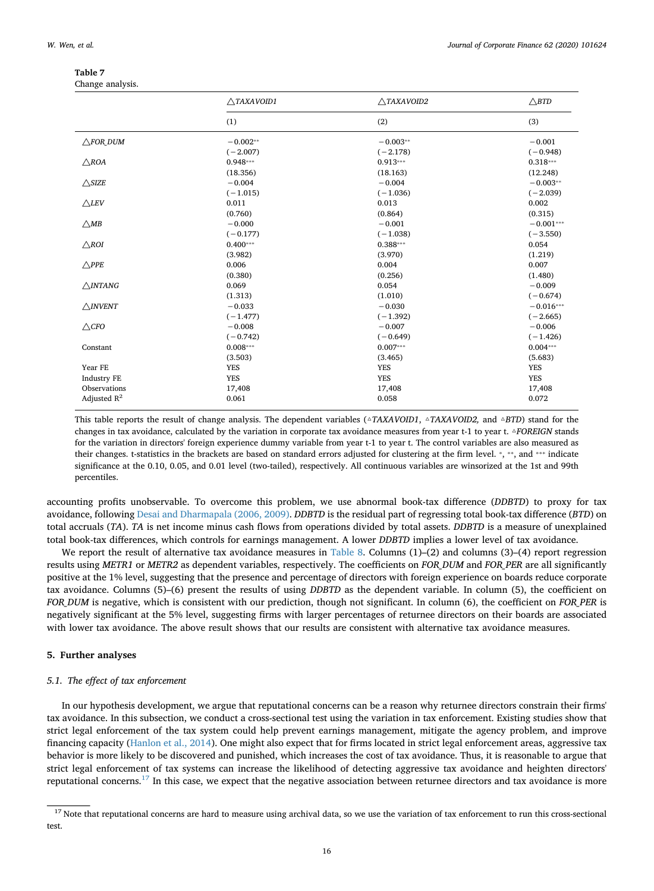<span id="page-15-1"></span>

| Table 7 |                  |
|---------|------------------|
|         | Change analysis. |

| (1)<br>(2)<br>(3)<br>$\triangle$ FOR DUM<br>$-0.002**$<br>$-0.003**$<br>$-0.001$<br>$(-2.007)$<br>$(-0.948)$<br>$(-2.178)$<br>$0.948***$<br>$\triangle$ ROA<br>$0.913***$<br>$0.318***$<br>(18.356)<br>(18.163)<br>(12.248)<br>$\triangle$ SIZE<br>$-0.004$<br>$-0.004$<br>$-0.003**$<br>$(-1.015)$<br>$(-1.036)$<br>$(-2.039)$<br>0.011<br>0.013<br>0.002<br>$\triangle$ LEV<br>(0.760)<br>(0.315)<br>(0.864)<br>$-0.000$<br>$-0.001$<br>$\triangle$ MB<br>$(-1.038)$<br>$(-0.177)$<br>$(-3.550)$<br>$0.400***$<br>$0.388***$<br>0.054<br>$\triangle$ <i>ROI</i><br>(1.219)<br>(3.982)<br>(3.970)<br>$\triangle$ PPE<br>0.006<br>0.004<br>0.007<br>(0.380)<br>(0.256)<br>(1.480)<br>$\triangle INTANG$<br>0.069<br>0.054<br>$-0.009$<br>$(-0.674)$<br>(1.313)<br>(1.010)<br>$\triangle$ <i>INVENT</i><br>$-0.033$<br>$-0.030$<br>$(-1.477)$<br>$(-1.392)$<br>$(-2.665)$<br>$\triangle$ CFO<br>$-0.008$<br>$-0.007$<br>$-0.006$<br>$(-0.742)$<br>$(-0.649)$<br>$(-1.426)$<br>$0.008***$<br>$0.007***$<br>$0.004***$<br>Constant<br>(3.503)<br>(3.465)<br>(5.683)<br>Year FE<br><b>YES</b><br><b>YES</b><br><b>YES</b><br><b>YES</b><br><b>YES</b><br><b>YES</b><br><b>Industry FE</b><br>Observations<br>17,408<br>17,408<br>17,408 |                | $\wedge$ TAXAVOID1 | $\triangle$ TAXAVOID2 | $\triangle BTD$ |
|-------------------------------------------------------------------------------------------------------------------------------------------------------------------------------------------------------------------------------------------------------------------------------------------------------------------------------------------------------------------------------------------------------------------------------------------------------------------------------------------------------------------------------------------------------------------------------------------------------------------------------------------------------------------------------------------------------------------------------------------------------------------------------------------------------------------------------------------------------------------------------------------------------------------------------------------------------------------------------------------------------------------------------------------------------------------------------------------------------------------------------------------------------------------------------------------------------------------------------------|----------------|--------------------|-----------------------|-----------------|
|                                                                                                                                                                                                                                                                                                                                                                                                                                                                                                                                                                                                                                                                                                                                                                                                                                                                                                                                                                                                                                                                                                                                                                                                                                     |                |                    |                       |                 |
|                                                                                                                                                                                                                                                                                                                                                                                                                                                                                                                                                                                                                                                                                                                                                                                                                                                                                                                                                                                                                                                                                                                                                                                                                                     |                |                    |                       |                 |
|                                                                                                                                                                                                                                                                                                                                                                                                                                                                                                                                                                                                                                                                                                                                                                                                                                                                                                                                                                                                                                                                                                                                                                                                                                     |                |                    |                       |                 |
|                                                                                                                                                                                                                                                                                                                                                                                                                                                                                                                                                                                                                                                                                                                                                                                                                                                                                                                                                                                                                                                                                                                                                                                                                                     |                |                    |                       |                 |
|                                                                                                                                                                                                                                                                                                                                                                                                                                                                                                                                                                                                                                                                                                                                                                                                                                                                                                                                                                                                                                                                                                                                                                                                                                     |                |                    |                       |                 |
|                                                                                                                                                                                                                                                                                                                                                                                                                                                                                                                                                                                                                                                                                                                                                                                                                                                                                                                                                                                                                                                                                                                                                                                                                                     |                |                    |                       |                 |
|                                                                                                                                                                                                                                                                                                                                                                                                                                                                                                                                                                                                                                                                                                                                                                                                                                                                                                                                                                                                                                                                                                                                                                                                                                     |                |                    |                       |                 |
|                                                                                                                                                                                                                                                                                                                                                                                                                                                                                                                                                                                                                                                                                                                                                                                                                                                                                                                                                                                                                                                                                                                                                                                                                                     |                |                    |                       |                 |
|                                                                                                                                                                                                                                                                                                                                                                                                                                                                                                                                                                                                                                                                                                                                                                                                                                                                                                                                                                                                                                                                                                                                                                                                                                     |                |                    |                       |                 |
|                                                                                                                                                                                                                                                                                                                                                                                                                                                                                                                                                                                                                                                                                                                                                                                                                                                                                                                                                                                                                                                                                                                                                                                                                                     |                |                    |                       | $-0.001***$     |
|                                                                                                                                                                                                                                                                                                                                                                                                                                                                                                                                                                                                                                                                                                                                                                                                                                                                                                                                                                                                                                                                                                                                                                                                                                     |                |                    |                       |                 |
|                                                                                                                                                                                                                                                                                                                                                                                                                                                                                                                                                                                                                                                                                                                                                                                                                                                                                                                                                                                                                                                                                                                                                                                                                                     |                |                    |                       |                 |
|                                                                                                                                                                                                                                                                                                                                                                                                                                                                                                                                                                                                                                                                                                                                                                                                                                                                                                                                                                                                                                                                                                                                                                                                                                     |                |                    |                       |                 |
|                                                                                                                                                                                                                                                                                                                                                                                                                                                                                                                                                                                                                                                                                                                                                                                                                                                                                                                                                                                                                                                                                                                                                                                                                                     |                |                    |                       |                 |
|                                                                                                                                                                                                                                                                                                                                                                                                                                                                                                                                                                                                                                                                                                                                                                                                                                                                                                                                                                                                                                                                                                                                                                                                                                     |                |                    |                       |                 |
|                                                                                                                                                                                                                                                                                                                                                                                                                                                                                                                                                                                                                                                                                                                                                                                                                                                                                                                                                                                                                                                                                                                                                                                                                                     |                |                    |                       |                 |
|                                                                                                                                                                                                                                                                                                                                                                                                                                                                                                                                                                                                                                                                                                                                                                                                                                                                                                                                                                                                                                                                                                                                                                                                                                     |                |                    |                       |                 |
|                                                                                                                                                                                                                                                                                                                                                                                                                                                                                                                                                                                                                                                                                                                                                                                                                                                                                                                                                                                                                                                                                                                                                                                                                                     |                |                    |                       | $-0.016***$     |
|                                                                                                                                                                                                                                                                                                                                                                                                                                                                                                                                                                                                                                                                                                                                                                                                                                                                                                                                                                                                                                                                                                                                                                                                                                     |                |                    |                       |                 |
|                                                                                                                                                                                                                                                                                                                                                                                                                                                                                                                                                                                                                                                                                                                                                                                                                                                                                                                                                                                                                                                                                                                                                                                                                                     |                |                    |                       |                 |
|                                                                                                                                                                                                                                                                                                                                                                                                                                                                                                                                                                                                                                                                                                                                                                                                                                                                                                                                                                                                                                                                                                                                                                                                                                     |                |                    |                       |                 |
|                                                                                                                                                                                                                                                                                                                                                                                                                                                                                                                                                                                                                                                                                                                                                                                                                                                                                                                                                                                                                                                                                                                                                                                                                                     |                |                    |                       |                 |
|                                                                                                                                                                                                                                                                                                                                                                                                                                                                                                                                                                                                                                                                                                                                                                                                                                                                                                                                                                                                                                                                                                                                                                                                                                     |                |                    |                       |                 |
|                                                                                                                                                                                                                                                                                                                                                                                                                                                                                                                                                                                                                                                                                                                                                                                                                                                                                                                                                                                                                                                                                                                                                                                                                                     |                |                    |                       |                 |
|                                                                                                                                                                                                                                                                                                                                                                                                                                                                                                                                                                                                                                                                                                                                                                                                                                                                                                                                                                                                                                                                                                                                                                                                                                     |                |                    |                       |                 |
|                                                                                                                                                                                                                                                                                                                                                                                                                                                                                                                                                                                                                                                                                                                                                                                                                                                                                                                                                                                                                                                                                                                                                                                                                                     |                |                    |                       |                 |
|                                                                                                                                                                                                                                                                                                                                                                                                                                                                                                                                                                                                                                                                                                                                                                                                                                                                                                                                                                                                                                                                                                                                                                                                                                     | Adjusted $R^2$ | 0.061              | 0.058                 | 0.072           |

This table reports the result of change analysis. The dependent variables (△*TAXAVOID1*, △*TAXAVOID2,* and △*BTD*) stand for the changes in tax avoidance, calculated by the variation in corporate tax avoidance measures from year t-1 to year t. △*FOREIGN* stands for the variation in directors' foreign experience dummy variable from year t-1 to year t. The control variables are also measured as their changes. t-statistics in the brackets are based on standard errors adjusted for clustering at the firm level. \*, \*\*, and \*\*\* indicate significance at the 0.10, 0.05, and 0.01 level (two-tailed), respectively. All continuous variables are winsorized at the 1st and 99th percentiles.

accounting profits unobservable. To overcome this problem, we use abnormal book-tax difference (*DDBTD*) to proxy for tax avoidance, following [Desai and Dharmapala \(2006, 2009\)](#page-26-35). *DDBTD* is the residual part of regressing total book-tax difference (*BTD*) on total accruals (*TA*). *TA* is net income minus cash flows from operations divided by total assets. *DDBTD* is a measure of unexplained total book-tax differences, which controls for earnings management. A lower *DDBTD* implies a lower level of tax avoidance.

We report the result of alternative tax avoidance measures in [Table 8](#page-16-0). Columns  $(1)$ – $(2)$  and columns  $(3)$ – $(4)$  report regression results using *METR1* or *METR2* as dependent variables, respectively. The coefficients on *FOR\_DUM* and *FOR\_PER* are all significantly positive at the 1% level, suggesting that the presence and percentage of directors with foreign experience on boards reduce corporate tax avoidance. Columns (5)–(6) present the results of using *DDBTD* as the dependent variable. In column (5), the coefficient on *FOR\_DUM* is negative, which is consistent with our prediction, though not significant. In column (6), the coefficient on *FOR\_PER* is negatively significant at the 5% level, suggesting firms with larger percentages of returnee directors on their boards are associated with lower tax avoidance. The above result shows that our results are consistent with alternative tax avoidance measures.

## <span id="page-15-0"></span>**5. Further analyses**

#### *5.1. The effect of tax enforcement*

In our hypothesis development, we argue that reputational concerns can be a reason why returnee directors constrain their firms' tax avoidance. In this subsection, we conduct a cross-sectional test using the variation in tax enforcement. Existing studies show that strict legal enforcement of the tax system could help prevent earnings management, mitigate the agency problem, and improve financing capacity [\(Hanlon et al., 2014\)](#page-27-37). One might also expect that for firms located in strict legal enforcement areas, aggressive tax behavior is more likely to be discovered and punished, which increases the cost of tax avoidance. Thus, it is reasonable to argue that strict legal enforcement of tax systems can increase the likelihood of detecting aggressive tax avoidance and heighten directors' reputational concerns.<sup>[17](#page-15-2)</sup> In this case, we expect that the negative association between returnee directors and tax avoidance is more

<span id="page-15-2"></span> $17$  Note that reputational concerns are hard to measure using archival data, so we use the variation of tax enforcement to run this cross-sectional test.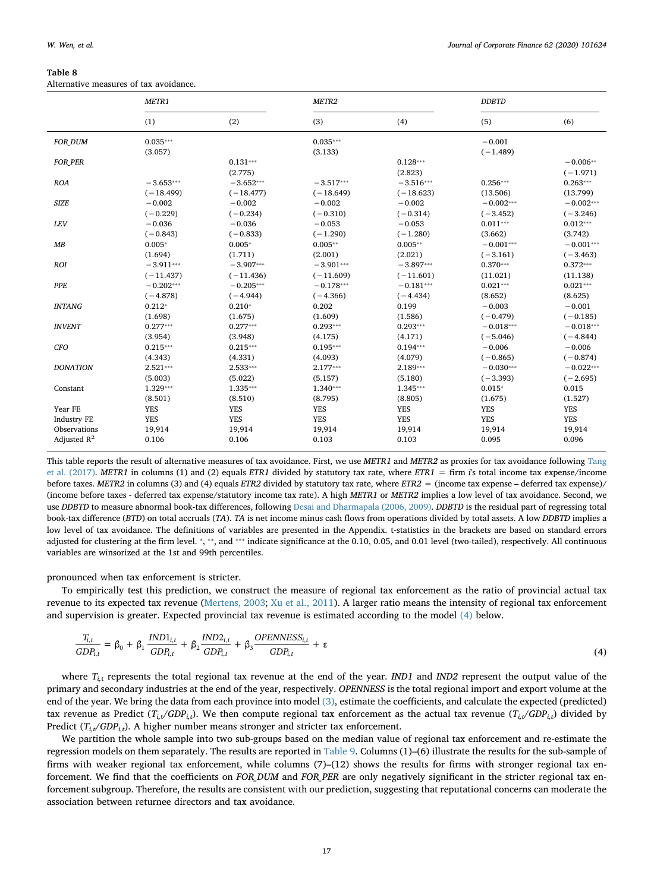#### *W. Wen, et al. Journal of Corporate Finance 62 (2020) 101624*

#### <span id="page-16-0"></span>**Table 8**

Alternative measures of tax avoidance.

|                    | METR1       |             | METR2       |             | <b>DDBTD</b> |             |
|--------------------|-------------|-------------|-------------|-------------|--------------|-------------|
|                    | (1)         | (2)         | (3)         | (4)         | (5)          | (6)         |
| FOR_DUM            | $0.035***$  |             | $0.035***$  |             | $-0.001$     |             |
|                    | (3.057)     |             | (3.133)     |             | $(-1.489)$   |             |
| <b>FOR_PER</b>     |             | $0.131***$  |             | $0.128***$  |              | $-0.006**$  |
|                    |             | (2.775)     |             | (2.823)     |              | $(-1.971)$  |
| <b>ROA</b>         | $-3.653***$ | $-3.652***$ | $-3.517***$ | $-3.516***$ | $0.256***$   | $0.263***$  |
|                    | $(-18.499)$ | $(-18.477)$ | $(-18.649)$ | $(-18.623)$ | (13.506)     | (13.799)    |
| <b>SIZE</b>        | $-0.002$    | $-0.002$    | $-0.002$    | $-0.002$    | $-0.002***$  | $-0.002***$ |
|                    | $(-0.229)$  | $(-0.234)$  | $(-0.310)$  | $(-0.314)$  | $(-3.452)$   | $(-3.246)$  |
| <b>LEV</b>         | $-0.036$    | $-0.036$    | $-0.053$    | $-0.053$    | $0.011***$   | $0.012***$  |
|                    | $(-0.843)$  | $(-0.833)$  | $(-1.290)$  | $(-1.280)$  | (3.662)      | (3.742)     |
| MB                 | $0.005*$    | $0.005*$    | $0.005**$   | $0.005**$   | $-0.001***$  | $-0.001***$ |
|                    | (1.694)     | (1.711)     | (2.001)     | (2.021)     | $(-3.161)$   | $(-3.463)$  |
| <b>ROI</b>         | $-3.911***$ | $-3.907***$ | $-3.901***$ | $-3.897***$ | $0.370***$   | $0.372***$  |
|                    | $(-11.437)$ | $(-11.436)$ | $(-11.609)$ | $(-11.601)$ | (11.021)     | (11.138)    |
| <b>PPE</b>         | $-0.202***$ | $-0.205***$ | $-0.178***$ | $-0.181***$ | $0.021***$   | $0.021***$  |
|                    | $(-4.878)$  | $(-4.944)$  | $(-4.366)$  | $(-4.434)$  | (8.652)      | (8.625)     |
| <b>INTANG</b>      | $0.212*$    | $0.210*$    | 0.202       | 0.199       | $-0.003$     | $-0.001$    |
|                    | (1.698)     | (1.675)     | (1.609)     | (1.586)     | $(-0.479)$   | $(-0.185)$  |
| <b>INVENT</b>      | $0.277***$  | $0.277***$  | $0.293***$  | $0.293***$  | $-0.018***$  | $-0.018***$ |
|                    | (3.954)     | (3.948)     | (4.175)     | (4.171)     | $(-5.046)$   | $(-4.844)$  |
| <b>CFO</b>         | $0.215***$  | $0.215***$  | $0.195***$  | $0.194***$  | $-0.006$     | $-0.006$    |
|                    | (4.343)     | (4.331)     | (4.093)     | (4.079)     | $(-0.865)$   | $(-0.874)$  |
| <b>DONATION</b>    | $2.521***$  | 2.533***    | $2.177***$  | $2.189***$  | $-0.030***$  | $-0.022***$ |
|                    | (5.003)     | (5.022)     | (5.157)     | (5.180)     | $(-3.393)$   | $(-2.695)$  |
| Constant           | 1.329***    | 1.335***    | $1.340***$  | 1.345***    | $0.015*$     | 0.015       |
|                    | (8.501)     | (8.510)     | (8.795)     | (8.805)     | (1.675)      | (1.527)     |
| Year FE            | <b>YES</b>  | <b>YES</b>  | <b>YES</b>  | <b>YES</b>  | <b>YES</b>   | <b>YES</b>  |
| <b>Industry FE</b> | <b>YES</b>  | <b>YES</b>  | <b>YES</b>  | <b>YES</b>  | <b>YES</b>   | <b>YES</b>  |
| Observations       | 19,914      | 19,914      | 19,914      | 19,914      | 19,914       | 19,914      |
| Adjusted $R^2$     | 0.106       | 0.106       | 0.103       | 0.103       | 0.095        | 0.096       |

This table reports the result of alternative measures of tax avoidance. First, we use *METR1* and *METR2* as proxies for tax avoidance following [Tang](#page-27-18) [et al. \(2017\)](#page-27-18). *METR1* in columns (1) and (2) equals *ETR1* divided by statutory tax rate, where *ETR1* = firm *i*'s total income tax expense/income before taxes. *METR2* in columns (3) and (4) equals *ETR2* divided by statutory tax rate, where *ETR2* = (income tax expense – deferred tax expense)/ (income before taxes - deferred tax expense/statutory income tax rate). A high *METR1* or *METR2* implies a low level of tax avoidance. Second, we use *DDBTD* to measure abnormal book-tax differences, following [Desai and Dharmapala \(2006, 2009\)](#page-26-35). *DDBTD* is the residual part of regressing total book-tax difference (*BTD*) on total accruals (*TA*). *TA* is net income minus cash flows from operations divided by total assets. A low *DDBTD* implies a low level of tax avoidance. The definitions of variables are presented in the Appendix. t-statistics in the brackets are based on standard errors adjusted for clustering at the firm level. \*, \*\*, and \*\*\* indicate significance at the 0.10, 0.05, and 0.01 level (two-tailed), respectively. All continuous variables are winsorized at the 1st and 99th percentiles.

pronounced when tax enforcement is stricter.

<span id="page-16-1"></span>To empirically test this prediction, we construct the measure of regional tax enforcement as the ratio of provincial actual tax revenue to its expected tax revenue [\(Mertens, 2003](#page-27-38); [Xu et al., 2011](#page-27-39)). A larger ratio means the intensity of regional tax enforcement and supervision is greater. Expected provincial tax revenue is estimated according to the model [\(4\)](#page-16-1) below.

$$
\frac{T_{i,t}}{GDP_{i,t}} = \beta_0 + \beta_1 \frac{IND1_{i,t}}{GDP_{i,t}} + \beta_2 \frac{IND2_{i,t}}{GDP_{i,t}} + \beta_3 \frac{OPENNESS_{i,t}}{GDP_{i,t}} + \epsilon
$$
\n(4)

where *Ti,*<sup>t</sup> represents the total regional tax revenue at the end of the year. *IND1* and *IND2* represent the output value of the primary and secondary industries at the end of the year, respectively. *OPENNESS* is the total regional import and export volume at the end of the year. We bring the data from each province into model [\(3\),](#page-13-1) estimate the coefficients, and calculate the expected (predicted) tax revenue as Predict ( $T_{i,t}/GDP_{i,t}$ ). We then compute regional tax enforcement as the actual tax revenue ( $T_{i,t}/GDP_{i,t}$ ) divided by Predict ( $T_{i,t}/GDP_{i,t}$ ). A higher number means stronger and stricter tax enforcement.

We partition the whole sample into two sub-groups based on the median value of regional tax enforcement and re-estimate the regression models on them separately. The results are reported in [Table 9.](#page-17-0) Columns (1)–(6) illustrate the results for the sub-sample of firms with weaker regional tax enforcement, while columns (7)–(12) shows the results for firms with stronger regional tax enforcement. We find that the coefficients on *FOR\_DUM* and *FOR\_PER* are only negatively significant in the stricter regional tax enforcement subgroup. Therefore, the results are consistent with our prediction, suggesting that reputational concerns can moderate the association between returnee directors and tax avoidance.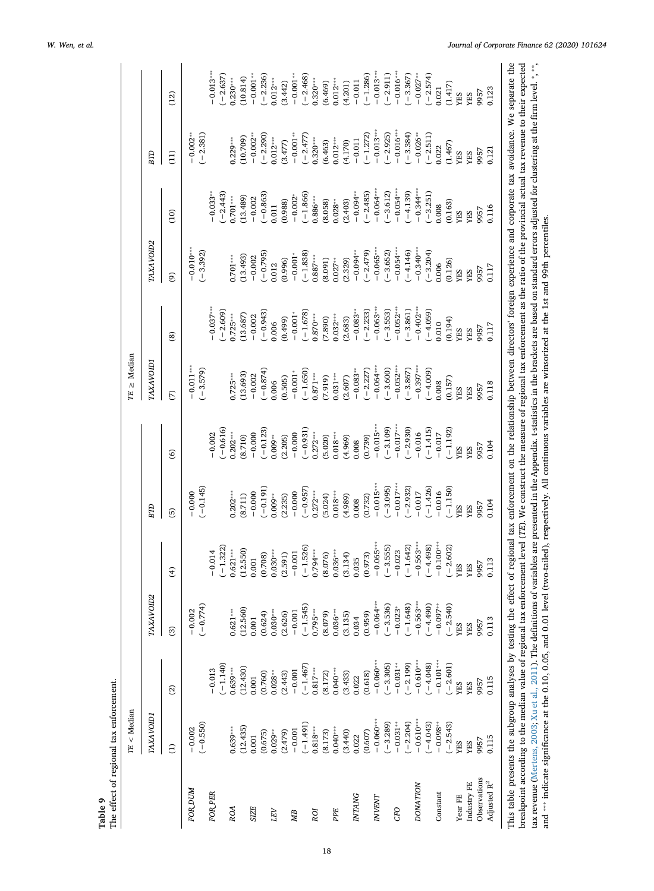<span id="page-17-0"></span>

|                                                                                                                                                                      | $TE <$ Median                                                                                                                                                                                                                                                                                                                                                                                                   |                           |                           |                         |                      |                      | $TE \geq$ Median        |                           |                           |                           |                          |                           |
|----------------------------------------------------------------------------------------------------------------------------------------------------------------------|-----------------------------------------------------------------------------------------------------------------------------------------------------------------------------------------------------------------------------------------------------------------------------------------------------------------------------------------------------------------------------------------------------------------|---------------------------|---------------------------|-------------------------|----------------------|----------------------|-------------------------|---------------------------|---------------------------|---------------------------|--------------------------|---------------------------|
|                                                                                                                                                                      | TAXAVOIDI                                                                                                                                                                                                                                                                                                                                                                                                       |                           | TAXAVOID <sub>2</sub>     |                         | ВTD                  |                      | TAXAVOID I              |                           | TAXAVOID <sub>2</sub>     |                           | ВTD                      |                           |
|                                                                                                                                                                      | a                                                                                                                                                                                                                                                                                                                                                                                                               | $\odot$                   | $\odot$                   | $\widehat{f}$           | ම                    | $\odot$              | $\overline{C}$          | $\circledS$               | ම                         | (10)                      | $\Xi$                    | (12)                      |
| FOR_DUM                                                                                                                                                              | $-0.002$                                                                                                                                                                                                                                                                                                                                                                                                        |                           | $-0.002$                  |                         | $-0.000$             |                      | $-0.011***$             |                           | $-0.010***$               |                           | $-0.002**$               |                           |
|                                                                                                                                                                      | $(-0.550)$                                                                                                                                                                                                                                                                                                                                                                                                      |                           | $(-0.774)$                |                         | $(-0.145)$           |                      | $(-3.579)$              |                           | $(-3.392)$                |                           | $(-2.381)$               |                           |
| FOR PER                                                                                                                                                              |                                                                                                                                                                                                                                                                                                                                                                                                                 | $-1.140$<br>$-0.013$      |                           | $(-1.322)$<br>$-0.014$  |                      | $-0.616$<br>$-0.002$ |                         | $0.037***$<br>$(-2.609)$  |                           | $-0.033***$<br>$-2.443$   |                          | $-0.013***$<br>$(-2.637)$ |
| <b>ROA</b>                                                                                                                                                           | $0.639***$                                                                                                                                                                                                                                                                                                                                                                                                      | $0.639***$                | $0.621***$                | $0.621***$              | $0.202***$           | $0.202***$           | $0.725***$              | $0.725***$                | $0.701***$                | $0.701***$                | $0.229***$               | $0.230***$                |
|                                                                                                                                                                      | (12.435)                                                                                                                                                                                                                                                                                                                                                                                                        | (12.430)                  | (12.560)                  | (12.550)                | (8.711)              | 8.710)               | (13.693)                | (13.687)                  | (13.493)                  | (13.489)                  | (10.709)                 | (10.814)                  |
| SIZE                                                                                                                                                                 | 0.001                                                                                                                                                                                                                                                                                                                                                                                                           | 0.001                     | 0.001                     | 0.001                   | $-0.000$             | $-0.000$             | $-0.002$                | $-0.002$                  | $-0.002$                  | $-0.002$                  | $-0.002**$               | $-0.001**$                |
|                                                                                                                                                                      | (0.675)                                                                                                                                                                                                                                                                                                                                                                                                         | (0.760)                   | (0.624)                   | (0.708)                 | $-0.191$             | $-0.123$             | $-0.874$                | $(-0.943)$                | $(-0.795)$                | $-0.863$                  | $(-2.290)$               | $(-2.236)$                |
| $_{LEV}$                                                                                                                                                             | $0.029**$                                                                                                                                                                                                                                                                                                                                                                                                       | $0.028**$                 | $0.030***$                | $0.030***$              | $0.009**$            | $0.009***$           | 0.006                   | 0.006                     | 0.012                     | 0.011                     | $0.012***$               | $0.012***$                |
| MВ                                                                                                                                                                   | $-0.001$<br>(2.479)                                                                                                                                                                                                                                                                                                                                                                                             | $-0.001$<br>(2.443)       | $-0.001$<br>(2.626)       | $-0.001$<br>(2.591)     | $-0.000$<br>(2.235)  | $-0.000$<br>(2.205)  | $-0.001*$<br>(0.505)    | $-0.001*$<br>(0.499)      | $-0.001*$<br>(0.996)      | $-0.002*$<br>(0.988)      | $-0.001**$<br>(3.477)    | $-0.001**$<br>(3.442)     |
|                                                                                                                                                                      | $(-1.491)$                                                                                                                                                                                                                                                                                                                                                                                                      | $(-1.467)$                | $(-1.545)$                | $(-1.526)$              | $(-0.957)$           | $(-0.931)$           | $(-1.650)$              | $(-1.678)$                | $(-1.838)$                | $(-1.866)$                | $(-2.477)$               | $(-2.468)$                |
| ROI                                                                                                                                                                  | $0.818***$                                                                                                                                                                                                                                                                                                                                                                                                      | $0.817***$                | $0.795***$                | $0.794***$              | $0.272***$           | $0.272***$           | $0.871***$              | $0.870***$                | $0.887***$                | $0.886***$                | $0.320***$               | $0.320***$                |
|                                                                                                                                                                      | (8.173)                                                                                                                                                                                                                                                                                                                                                                                                         | (8.172)                   | (8.079)                   | (8.076)                 | (5.024)              | (5.020)              | (7.919)                 | (7.890)                   | (8.091)                   | (8.058)                   | (6.463)                  | (6.469)                   |
| PPE                                                                                                                                                                  | $0.040***$                                                                                                                                                                                                                                                                                                                                                                                                      | $0.040***$                | $0.036***$                | $0.036***$              | $0.018***$           | $0.018***$           | $0.031***$              | $0.032***$                | $0.027***$                | $0.028**$                 | $0.012***$               | $0.012***$                |
|                                                                                                                                                                      | (3.440)                                                                                                                                                                                                                                                                                                                                                                                                         | (3.433)                   | (3.135)                   | (3.134)                 | (4.989)              | (4.969)              | (2.607)                 | (2.683)                   | (2.329)                   | (2.403)                   | (4.170)                  | (4.201)                   |
| INTANG                                                                                                                                                               | 0.022                                                                                                                                                                                                                                                                                                                                                                                                           | 0.022                     | 0.034                     | 0.035                   | 0.008                | 0.008                | $-0.083**$              | $-0.083**$                | $-0.094***$               | $-0.094***$               | $-0.011$                 | $-0.011$                  |
|                                                                                                                                                                      | (0.607)                                                                                                                                                                                                                                                                                                                                                                                                         | (0.618)                   | (0.959)                   | (0.973)                 | (0.732)              | (0.739)              | $(-2.227)$              | $(-2.233)$                | $(-2.479)$                | $(-2.485)$                | $(-1.272)$               | $(-1.286)$                |
| INVENT                                                                                                                                                               | $-0.060***$                                                                                                                                                                                                                                                                                                                                                                                                     | $-0.060***$               | $-0.064***$               | $-0.065***$             | $-0.015***$          | $-0.015***$          | $-0.064***$             | $-0.063***$               | $-0.065***$               | $-0.064***$               | $-0.013***$              | $-0.013***$               |
|                                                                                                                                                                      | $(-3.289)$                                                                                                                                                                                                                                                                                                                                                                                                      | $(-3.305)$                | $(-3.536)$                | $(-3.555)$              | $-3.095$             | $-3.109$             | $(-3.600)$              | $(-3.553)$                | $(-3.652)$                | $(-3.612)$                | $(-2.925)$               | $(-2.911)$                |
| CFO                                                                                                                                                                  | $-0.031***$                                                                                                                                                                                                                                                                                                                                                                                                     | $-0.031***$               | $-0.023*$                 | $-0.023$                | $-0.017***$          | $-0.017***$          | $-0.052***$             | $-0.052***$               | $-0.054***$               | $-0.054***$               | $-0.016***$              | $-0.016***$               |
| <b>DONATION</b>                                                                                                                                                      | $-0.610***$<br>$(-2.204)$                                                                                                                                                                                                                                                                                                                                                                                       | $-0.610***$<br>$(-2.199)$ | $-0.563***$<br>$(-1.648)$ | $-0.563***$<br>$-1.642$ | $-2.932$<br>$-0.017$ | $-2.930$<br>$-0.016$ | $-0.397***$<br>$-3.867$ | $-0.402***$<br>$(-3.861)$ | $-0.340***$<br>$(-4.146)$ | $-0.344***$<br>$(-4.139)$ | $(-3.384)$<br>$-0.026**$ | $-0.027$<br>$(-3.367)$    |
|                                                                                                                                                                      | $-4.043$                                                                                                                                                                                                                                                                                                                                                                                                        | $(-4.048)$                | $(-4.490)$                | $-4.498$                | $-1.426$             | $-1.415$             | $-4.009$                | $(-4.059)$                | $(-3.204)$                | $-3.251$                  | $(-2.511)$               | $(-2.574)$                |
| Constant                                                                                                                                                             | $-0.098**$                                                                                                                                                                                                                                                                                                                                                                                                      | $-0.101***$               | $-0.097***$               | $-0.100***$             | $-0.016$             | $-0.017$             | 0.008                   | 0.010                     | 0.006                     | 0.008                     | 0.022                    | 0.021                     |
|                                                                                                                                                                      | $(-2.543)$                                                                                                                                                                                                                                                                                                                                                                                                      | $(-2.601)$                | $(-2.540)$                | $-2.602$                | $(-1.150)$           | $-1.192$             | (0.157)                 | (0.194)                   | (0.126)                   | (0.163)                   | (1.467)                  | (1.417)                   |
| Year FE                                                                                                                                                              | YES                                                                                                                                                                                                                                                                                                                                                                                                             | YES                       | YES                       | YES                     | <b>CES</b>           | <b>CES</b>           | YES                     | YES                       | YES                       | YES                       | YES                      | YES                       |
| Industry FE                                                                                                                                                          | YES                                                                                                                                                                                                                                                                                                                                                                                                             | YES                       | YES                       | YES                     | YES                  | <b>YES</b>           | YES                     | YES                       | <b>CER</b>                | YES                       | YES                      | YES                       |
| Observations                                                                                                                                                         | 9957                                                                                                                                                                                                                                                                                                                                                                                                            | 9957                      | 9957                      | 9957                    | 9957                 | 9957                 | 9957                    | 9957                      | 9957                      | 9957                      | 9957                     | 9957                      |
| Adjusted $\mathrm{R}^2$                                                                                                                                              | 0.115                                                                                                                                                                                                                                                                                                                                                                                                           | 0.115                     | 0.113                     | 0.113                   | 0.104                | 0.104                | 0.118                   | 0.117                     | 0.117                     | 0.116                     | 0.121                    | 0.123                     |
|                                                                                                                                                                      | This table presents the subgroup analyses by testing the effect of regional tax enforcement on the relationship between directors' foreign experience and corporate tax avoidance. We separate the<br>breakpoint according to the median value of regional tax enforcement level (TE). We construct the measure of regional tax enforcement as the ratio of the provincial actual tax revenue to their expected |                           |                           |                         |                      |                      |                         |                           |                           |                           |                          |                           |
| and *** indicate significance at the 0.10, 0.05, and 0.01 level (two-tailed), respectively. All continuous variables are winsorized at the 1st and 99th percentiles. | tax revenue (Mertens, 2003; Xu et al., 2011). The definitions of variables are presented in the Appendix. t-statistics in the brackets are based on standard errors adjusted for clustering at the firm level. *, **,                                                                                                                                                                                           |                           |                           |                         |                      |                      |                         |                           |                           |                           |                          |                           |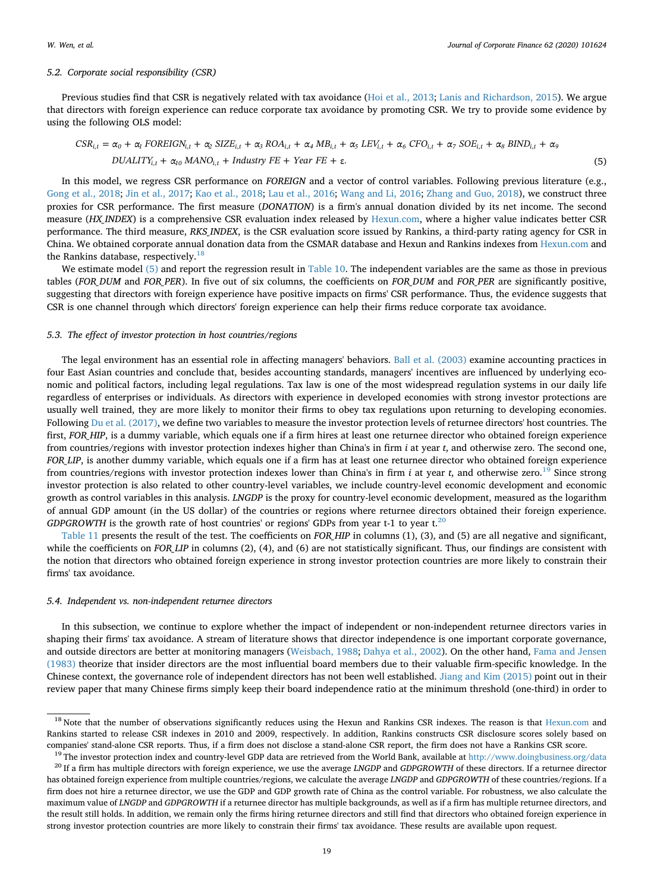#### *5.2. Corporate social responsibility (CSR)*

<span id="page-18-1"></span>Previous studies find that CSR is negatively related with tax avoidance [\(Hoi et al., 2013](#page-27-6); [Lanis and Richardson, 2015](#page-27-27)). We argue that directors with foreign experience can reduce corporate tax avoidance by promoting CSR. We try to provide some evidence by using the following OLS model:

$$
CSR_{i,t} = \alpha_0 + \alpha_1 FOREIGN_{i,t} + \alpha_2 SIZE_{i,t} + \alpha_3 ROA_{i,t} + \alpha_4 MB_{i,t} + \alpha_5 LEV_{i,t} + \alpha_6 CFO_{i,t} + \alpha_7 SOE_{i,t} + \alpha_8 BIND_{i,t} + \alpha_9
$$
  

$$
DUALITY_{i,t} + \alpha_{10} MANO_{i,t} + Industry FE + Year FE + \varepsilon.
$$
 (5)

In this model, we regress CSR performance on *FOREIGN* and a vector of control variables. Following previous literature (e.g., [Gong et al., 2018](#page-26-36); [Jin et al., 2017](#page-27-40); [Kao et al., 2018;](#page-27-41) [Lau et al., 2016;](#page-27-42) [Wang and Li, 2016;](#page-27-43) [Zhang and Guo, 2018\)](#page-27-44), we construct three proxies for CSR performance. The first measure (*DONATION*) is a firm's annual donation divided by its net income. The second measure (*HX\_INDEX*) is a comprehensive CSR evaluation index released by [Hexun.com](http://Hexun.com), where a higher value indicates better CSR performance. The third measure, *RKS\_INDEX*, is the CSR evaluation score issued by Rankins, a third-party rating agency for CSR in China. We obtained corporate annual donation data from the CSMAR database and Hexun and Rankins indexes from [Hexun.com](http://Hexun.com) and the Rankins database, respectively.<sup>[18](#page-18-0)</sup>

We estimate model [\(5\)](#page-18-1) and report the regression result in [Table 10.](#page-19-0) The independent variables are the same as those in previous tables (*FOR\_DUM* and *FOR\_PER*). In five out of six columns, the coefficients on *FOR\_DUM* and *FOR\_PER* are significantly positive, suggesting that directors with foreign experience have positive impacts on firms' CSR performance. Thus, the evidence suggests that CSR is one channel through which directors' foreign experience can help their firms reduce corporate tax avoidance.

#### *5.3. The effect of investor protection in host countries/regions*

The legal environment has an essential role in affecting managers' behaviors. [Ball et al. \(2003\)](#page-26-37) examine accounting practices in four East Asian countries and conclude that, besides accounting standards, managers' incentives are influenced by underlying economic and political factors, including legal regulations. Tax law is one of the most widespread regulation systems in our daily life regardless of enterprises or individuals. As directors with experience in developed economies with strong investor protections are usually well trained, they are more likely to monitor their firms to obey tax regulations upon returning to developing economies. Following [Du et al. \(2017\)](#page-26-38), we define two variables to measure the investor protection levels of returnee directors' host countries. The first, FOR\_HIP, is a dummy variable, which equals one if a firm hires at least one returnee director who obtained foreign experience from countries/regions with investor protection indexes higher than China's in firm *i* at year *t*, and otherwise zero. The second one, *FOR LIP*, is another dummy variable, which equals one if a firm has at least one returnee director who obtained foreign experience from countries/regions with investor protection indexes lower than China's in firm *i* at year *t*, and otherwise zero.[19](#page-18-2) Since strong investor protection is also related to other country-level variables, we include country-level economic development and economic growth as control variables in this analysis. *LNGDP* is the proxy for country-level economic development, measured as the logarithm of annual GDP amount (in the US dollar) of the countries or regions where returnee directors obtained their foreign experience. *GDPGROWTH* is the growth rate of host countries' or regions' GDPs from year t-1 to year t.<sup>[20](#page-18-3)</sup>

[Table 11](#page-20-0) presents the result of the test. The coefficients on *FOR\_HIP* in columns (1), (3), and (5) are all negative and significant, while the coefficients on *FOR<sub>L</sub>IP* in columns (2), (4), and (6) are not statistically significant. Thus, our findings are consistent with the notion that directors who obtained foreign experience in strong investor protection countries are more likely to constrain their firms' tax avoidance.

## *5.4. Independent vs. non-independent returnee directors*

In this subsection, we continue to explore whether the impact of independent or non-independent returnee directors varies in shaping their firms' tax avoidance. A stream of literature shows that director independence is one important corporate governance, and outside directors are better at monitoring managers ([Weisbach, 1988](#page-27-45); [Dahya et al., 2002\)](#page-26-39). On the other hand, [Fama and Jensen](#page-26-0) [\(1983\)](#page-26-0) theorize that insider directors are the most influential board members due to their valuable firm-specific knowledge. In the Chinese context, the governance role of independent directors has not been well established. [Jiang and Kim \(2015\)](#page-27-7) point out in their review paper that many Chinese firms simply keep their board independence ratio at the minimum threshold (one-third) in order to

<span id="page-18-0"></span><sup>&</sup>lt;sup>18</sup> Note that the number of observations significantly reduces using the Hexun and Rankins CSR indexes. The reason is that [Hexun.com](http://Hexun.com) and Rankins started to release CSR indexes in 2010 and 2009, respectively. In addition, Rankins constructs CSR disclosure scores solely based on companies' stand-alone CSR reports. Thus, if a firm does not disclose a stand-alone CSR report, the firm does not have a Rankins CSR score.

<span id="page-18-3"></span><span id="page-18-2"></span><sup>&</sup>lt;sup>19</sup> The investor protection index and country-level GDP data are retrieved from the World Bank, available at <http://www.doingbusiness.org/data> <sup>20</sup> If a firm has multiple directors with foreign experience, we use the average *LNGDP* and *GDPGROWTH* of these directors. If a returnee director has obtained foreign experience from multiple countries/regions, we calculate the average *LNGDP* and *GDPGROWTH* of these countries/regions. If a firm does not hire a returnee director, we use the GDP and GDP growth rate of China as the control variable. For robustness, we also calculate the maximum value of *LNGDP* and *GDPGROWTH* if a returnee director has multiple backgrounds, as well as if a firm has multiple returnee directors, and the result still holds. In addition, we remain only the firms hiring returnee directors and still find that directors who obtained foreign experience in strong investor protection countries are more likely to constrain their firms' tax avoidance. These results are available upon request.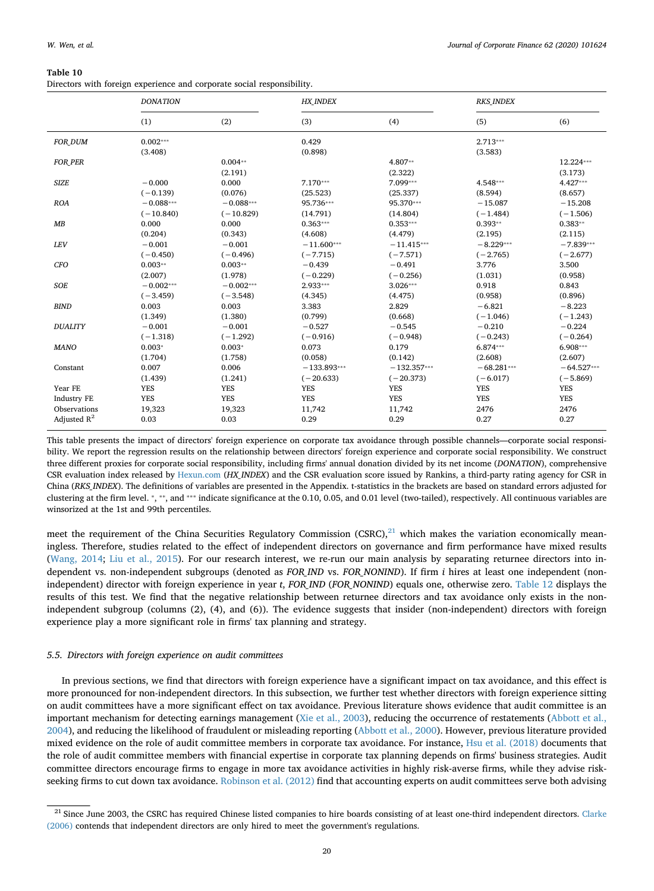<span id="page-19-0"></span>Directors with foreign experience and corporate social responsibility.

|                    | <b>DONATION</b> |             | <b>HX_INDEX</b> |               | <b>RKS_INDEX</b> |              |
|--------------------|-----------------|-------------|-----------------|---------------|------------------|--------------|
|                    | (1)             | (2)         | (3)             | (4)           | (5)              | (6)          |
| <b>FOR DUM</b>     | $0.002***$      |             | 0.429           |               | 2.713***         |              |
|                    | (3.408)         |             | (0.898)         |               | (3.583)          |              |
| <b>FOR_PER</b>     |                 | $0.004**$   |                 | 4.807**       |                  | 12.224***    |
|                    |                 | (2.191)     |                 | (2.322)       |                  | (3.173)      |
| <b>SIZE</b>        | $-0.000$        | 0.000       | $7.170***$      | 7.099***      | 4.548***         | $4.427***$   |
|                    | $(-0.139)$      | (0.076)     | (25.523)        | (25.337)      | (8.594)          | (8.657)      |
| <b>ROA</b>         | $-0.088***$     | $-0.088***$ | 95.736***       | 95.370***     | $-15.087$        | $-15.208$    |
|                    | $(-10.840)$     | $(-10.829)$ | (14.791)        | (14.804)      | $(-1.484)$       | $(-1.506)$   |
| MB                 | 0.000           | 0.000       | $0.363***$      | $0.353***$    | $0.393**$        | $0.383**$    |
|                    | (0.204)         | (0.343)     | (4.608)         | (4.479)       | (2.195)          | (2.115)      |
| LEV                | $-0.001$        | $-0.001$    | $-11.600***$    | $-11.415***$  | $-8.229***$      | $-7.839***$  |
|                    | $(-0.450)$      | $(-0.496)$  | $(-7.715)$      | $(-7.571)$    | $(-2.765)$       | $(-2.677)$   |
| <b>CFO</b>         | $0.003**$       | $0.003**$   | $-0.439$        | $-0.491$      | 3.776            | 3.500        |
|                    | (2.007)         | (1.978)     | $(-0.229)$      | $(-0.256)$    | (1.031)          | (0.958)      |
| <b>SOE</b>         | $-0.002***$     | $-0.002***$ | 2.933***        | $3.026***$    | 0.918            | 0.843        |
|                    | $(-3.459)$      | $(-3.548)$  | (4.345)         | (4.475)       | (0.958)          | (0.896)      |
| <b>BIND</b>        | 0.003           | 0.003       | 3.383           | 2.829         | $-6.821$         | $-8.223$     |
|                    | (1.349)         | (1.380)     | (0.799)         | (0.668)       | $(-1.046)$       | $(-1.243)$   |
| <b>DUALITY</b>     | $-0.001$        | $-0.001$    | $-0.527$        | $-0.545$      | $-0.210$         | $-0.224$     |
|                    | $(-1.318)$      | $(-1.292)$  | $(-0.916)$      | $(-0.948)$    | $(-0.243)$       | $(-0.264)$   |
| <b>MANO</b>        | $0.003*$        | $0.003*$    | 0.073           | 0.179         | $6.874***$       | $6.908***$   |
|                    | (1.704)         | (1.758)     | (0.058)         | (0.142)       | (2.608)          | (2.607)      |
| Constant           | 0.007           | 0.006       | $-133.893***$   | $-132.357***$ | $-68.281***$     | $-64.527***$ |
|                    | (1.439)         | (1.241)     | $(-20.633)$     | $(-20.373)$   | $(-6.017)$       | $(-5.869)$   |
| Year FE            | <b>YES</b>      | <b>YES</b>  | <b>YES</b>      | <b>YES</b>    | <b>YES</b>       | <b>YES</b>   |
| <b>Industry FE</b> | <b>YES</b>      | <b>YES</b>  | <b>YES</b>      | <b>YES</b>    | <b>YES</b>       | <b>YES</b>   |
| Observations       | 19,323          | 19,323      | 11,742          | 11,742        | 2476             | 2476         |
| Adjusted $R^2$     | 0.03            | 0.03        | 0.29            | 0.29          | 0.27             | 0.27         |

This table presents the impact of directors' foreign experience on corporate tax avoidance through possible channels—corporate social responsibility. We report the regression results on the relationship between directors' foreign experience and corporate social responsibility. We construct three different proxies for corporate social responsibility, including firms' annual donation divided by its net income (*DONATION*), comprehensive CSR evaluation index released by [Hexun.com](http://Hexun.com) (*HX\_INDEX*) and the CSR evaluation score issued by Rankins, a third-party rating agency for CSR in China (*RKS\_INDEX*). The definitions of variables are presented in the Appendix. t-statistics in the brackets are based on standard errors adjusted for clustering at the firm level. \*, \*\*, and \*\*\* indicate significance at the 0.10, 0.05, and 0.01 level (two-tailed), respectively. All continuous variables are winsorized at the 1st and 99th percentiles.

meet the requirement of the China Securities Regulatory Commission (CSRC), $^{21}$  $^{21}$  $^{21}$  which makes the variation economically meaningless. Therefore, studies related to the effect of independent directors on governance and firm performance have mixed results [\(Wang, 2014;](#page-27-46) [Liu et al., 2015](#page-27-47)). For our research interest, we re-run our main analysis by separating returnee directors into independent vs. non-independent subgroups (denoted as *FOR\_IND* vs. *FOR\_NONIND*). If firm *i* hires at least one independent (nonindependent) director with foreign experience in year *t*, *FOR\_IND* (*FOR\_NONIND*) equals one, otherwise zero. [Table 12](#page-21-0) displays the results of this test. We find that the negative relationship between returnee directors and tax avoidance only exists in the nonindependent subgroup (columns (2), (4), and (6)). The evidence suggests that insider (non-independent) directors with foreign experience play a more significant role in firms' tax planning and strategy.

#### *5.5. Directors with foreign experience on audit committees*

In previous sections, we find that directors with foreign experience have a significant impact on tax avoidance, and this effect is more pronounced for non-independent directors. In this subsection, we further test whether directors with foreign experience sitting on audit committees have a more significant effect on tax avoidance. Previous literature shows evidence that audit committee is an important mechanism for detecting earnings management ([Xie et al., 2003\)](#page-27-48), reducing the occurrence of restatements ([Abbott et al.,](#page-26-40) [2004\)](#page-26-40), and reducing the likelihood of fraudulent or misleading reporting [\(Abbott et al., 2000\)](#page-26-41). However, previous literature provided mixed evidence on the role of audit committee members in corporate tax avoidance. For instance, [Hsu et al. \(2018\)](#page-27-49) documents that the role of audit committee members with financial expertise in corporate tax planning depends on firms' business strategies. Audit committee directors encourage firms to engage in more tax avoidance activities in highly risk-averse firms, while they advise risk-seeking firms to cut down tax avoidance. [Robinson et al. \(2012\)](#page-27-22) find that accounting experts on audit committees serve both advising

<span id="page-19-1"></span> $21$  Since June 2003, the CSRC has required Chinese listed companies to hire boards consisting of at least one-third independent directors. [Clarke](#page-26-42) [\(2006\)](#page-26-42) contends that independent directors are only hired to meet the government's regulations.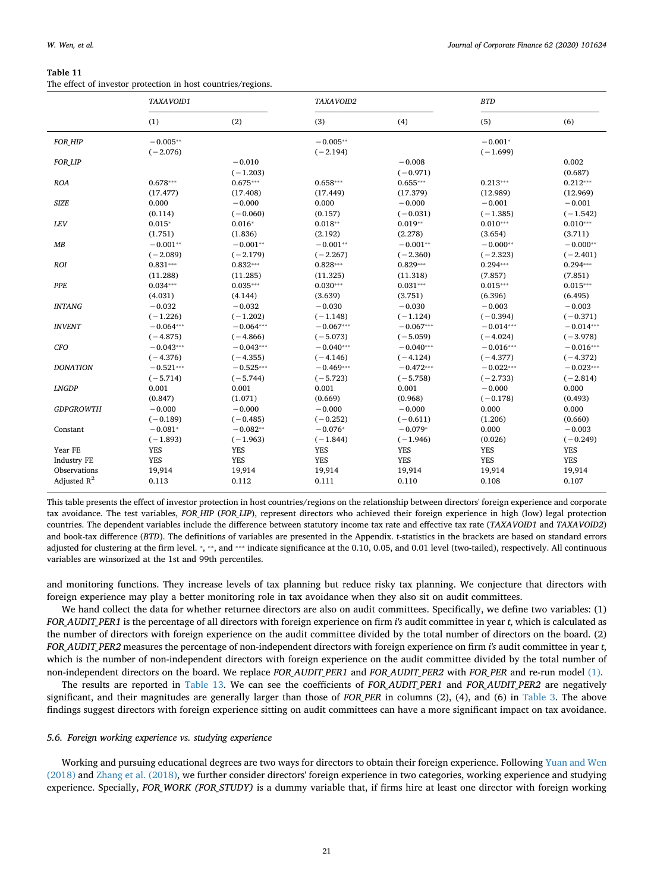<span id="page-20-0"></span>The effect of investor protection in host countries/regions.

|                    | TAXAVOID1                |                        | TAXAVOID2                |                        | <b>BTD</b>              |                  |
|--------------------|--------------------------|------------------------|--------------------------|------------------------|-------------------------|------------------|
|                    | (1)                      | (2)                    | (3)                      | (4)                    | (5)                     | (6)              |
| <b>FOR HIP</b>     | $-0.005**$<br>$(-2.076)$ |                        | $-0.005**$<br>$(-2.194)$ |                        | $-0.001*$<br>$(-1.699)$ |                  |
| <b>FOR LIP</b>     |                          | $-0.010$<br>$(-1.203)$ |                          | $-0.008$<br>$(-0.971)$ |                         | 0.002<br>(0.687) |
| <b>ROA</b>         | $0.678***$               | $0.675***$             | $0.658***$               | $0.655***$             | $0.213***$              | $0.212***$       |
|                    | (17.477)                 | (17.408)               | (17.449)                 | (17.379)               | (12.989)                | (12.969)         |
| <b>SIZE</b>        | 0.000                    | $-0.000$               | 0.000                    | $-0.000$               | $-0.001$                | $-0.001$         |
|                    | (0.114)                  | $(-0.060)$             | (0.157)                  | $(-0.031)$             | $(-1.385)$              | $(-1.542)$       |
| <b>LEV</b>         | $0.015*$                 | $0.016*$               | $0.018**$                | $0.019**$              | $0.010***$              | $0.010***$       |
|                    | (1.751)                  | (1.836)                | (2.192)                  | (2.278)                | (3.654)                 | (3.711)          |
| MB                 | $-0.001**$               | $-0.001**$             | $-0.001**$               | $-0.001**$             | $-0.000**$              | $-0.000**$       |
|                    | $(-2.089)$               | $(-2.179)$             | $(-2.267)$               | $(-2.360)$             | $(-2.323)$              | $(-2.401)$       |
| ROI                | $0.831***$               | $0.832***$             | $0.828***$               | $0.829***$             | $0.294***$              | $0.294***$       |
|                    | (11.288)                 | (11.285)               | (11.325)                 | (11.318)               | (7.857)                 | (7.851)          |
| PPE                | $0.034***$               | $0.035***$             | $0.030***$               | $0.031***$             | $0.015***$              | $0.015***$       |
|                    | (4.031)                  | (4.144)                | (3.639)                  | (3.751)                | (6.396)                 | (6.495)          |
| <b>INTANG</b>      | $-0.032$                 | $-0.032$               | $-0.030$                 | $-0.030$               | $-0.003$                | $-0.003$         |
|                    | $(-1.226)$               | $(-1.202)$             | $(-1.148)$               | $(-1.124)$             | $(-0.394)$              | $(-0.371)$       |
| <b>INVENT</b>      | $-0.064***$              | $-0.064***$            | $-0.067***$              | $-0.067***$            | $-0.014***$             | $-0.014***$      |
|                    | $(-4.875)$               | $(-4.866)$             | $(-5.073)$               | $(-5.059)$             | $(-4.024)$              | $(-3.978)$       |
| <b>CFO</b>         | $-0.043***$              | $-0.043***$            | $-0.040***$              | $-0.040***$            | $-0.016***$             | $-0.016***$      |
|                    | $(-4.376)$               | $(-4.355)$             | $(-4.146)$               | $(-4.124)$             | $(-4.377)$              | $(-4.372)$       |
| <b>DONATION</b>    | $-0.521***$              | $-0.525***$            | $-0.469***$              | $-0.472***$            | $-0.022***$             | $-0.023***$      |
|                    | $(-5.714)$               | $(-5.744)$             | $(-5.723)$               | $(-5.758)$             | $(-2.733)$              | $(-2.814)$       |
| <b>LNGDP</b>       | 0.001                    | 0.001                  | 0.001                    | 0.001                  | $-0.000$                | 0.000            |
|                    | (0.847)                  | (1.071)                | (0.669)                  | (0.968)                | $(-0.178)$              | (0.493)          |
| <b>GDPGROWTH</b>   | $-0.000$                 | $-0.000$               | $-0.000$                 | $-0.000$               | 0.000                   | 0.000            |
|                    | $(-0.189)$               | $(-0.485)$             | $(-0.252)$               | $(-0.611)$             | (1.206)                 | (0.660)          |
| Constant           | $-0.081*$                | $-0.082**$             | $-0.076*$                | $-0.079*$              | 0.000                   | $-0.003$         |
|                    | $(-1.893)$               | $(-1.963)$             | $(-1.844)$               | $(-1.946)$             | (0.026)                 | $(-0.249)$       |
| Year FE            | <b>YES</b>               | <b>YES</b>             | <b>YES</b>               | <b>YES</b>             | <b>YES</b>              | <b>YES</b>       |
| <b>Industry FE</b> | <b>YES</b>               | <b>YES</b>             | <b>YES</b>               | <b>YES</b>             | <b>YES</b>              | <b>YES</b>       |
| Observations       | 19,914                   | 19,914                 | 19,914                   | 19,914                 | 19,914                  | 19,914           |
| Adjusted $R^2$     | 0.113                    | 0.112                  | 0.111                    | 0.110                  | 0.108                   | 0.107            |

This table presents the effect of investor protection in host countries/regions on the relationship between directors' foreign experience and corporate tax avoidance. The test variables, *FOR\_HIP* (*FOR\_LIP*), represent directors who achieved their foreign experience in high (low) legal protection countries. The dependent variables include the difference between statutory income tax rate and effective tax rate (*TAXAVOID1* and *TAXAVOID2*) and book-tax difference (*BTD*). The definitions of variables are presented in the Appendix. t-statistics in the brackets are based on standard errors adjusted for clustering at the firm level. \*, \*\*, and \*\*\* indicate significance at the 0.10, 0.05, and 0.01 level (two-tailed), respectively. All continuous variables are winsorized at the 1st and 99th percentiles.

and monitoring functions. They increase levels of tax planning but reduce risky tax planning. We conjecture that directors with foreign experience may play a better monitoring role in tax avoidance when they also sit on audit committees.

We hand collect the data for whether returnee directors are also on audit committees. Specifically, we define two variables: (1) *FOR\_AUDIT\_PER1* is the percentage of all directors with foreign experience on firm *i's* audit committee in year *t*, which is calculated as the number of directors with foreign experience on the audit committee divided by the total number of directors on the board. (2) *FOR\_AUDIT\_PER2* measures the percentage of non-independent directors with foreign experience on firm *i's* audit committee in year *t*, which is the number of non-independent directors with foreign experience on the audit committee divided by the total number of non-independent directors on the board. We replace *FOR\_AUDIT\_PER1* and *FOR\_AUDIT\_PER2* with *FOR\_PER* and re-run model [\(1\)](#page-6-3).

The results are reported in [Table 13](#page-22-1). We can see the coefficients of *FOR\_AUDIT\_PER1* and *FOR\_AUDIT\_PER2* are negatively significant, and their magnitudes are generally larger than those of *FOR\_PER* in columns (2), (4), and (6) in [Table 3](#page-10-0). The above findings suggest directors with foreign experience sitting on audit committees can have a more significant impact on tax avoidance.

# *5.6. Foreign working experience vs. studying experience*

Working and pursuing educational degrees are two ways for directors to obtain their foreign experience. Following [Yuan and Wen](#page-27-8) [\(2018\)](#page-27-8) and [Zhang et al. \(2018\),](#page-27-5) we further consider directors' foreign experience in two categories, working experience and studying experience. Specially, *FOR\_WORK (FOR\_STUDY)* is a dummy variable that, if firms hire at least one director with foreign working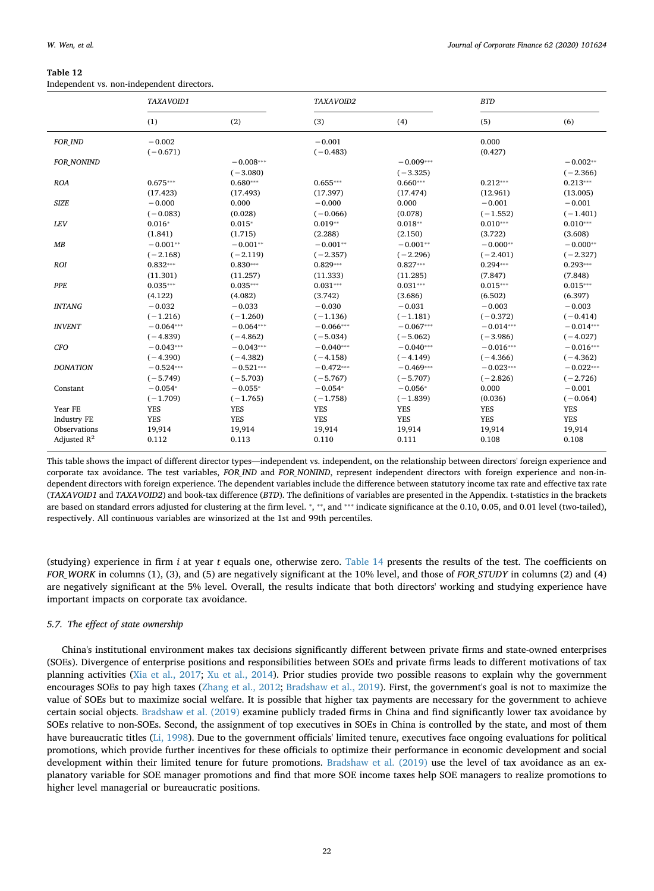<span id="page-21-0"></span>

|  | Independent vs. non-independent directors. |  |
|--|--------------------------------------------|--|
|--|--------------------------------------------|--|

|                    | TAXAVOID1   |             | TAXAVOID2   |             | <b>BTD</b>  |             |
|--------------------|-------------|-------------|-------------|-------------|-------------|-------------|
|                    | (1)         | (2)         | (3)         | (4)         | (5)         | (6)         |
| <b>FOR IND</b>     | $-0.002$    |             | $-0.001$    |             | 0.000       |             |
|                    | $(-0.671)$  |             | $(-0.483)$  |             | (0.427)     |             |
| <b>FOR NONIND</b>  |             | $-0.008***$ |             | $-0.009***$ |             | $-0.002**$  |
|                    |             | $(-3.080)$  |             | $(-3.325)$  |             | $(-2.366)$  |
| <b>ROA</b>         | $0.675***$  | $0.680***$  | $0.655***$  | $0.660***$  | $0.212***$  | $0.213***$  |
|                    | (17.423)    | (17.493)    | (17.397)    | (17.474)    | (12.961)    | (13.005)    |
| <b>SIZE</b>        | $-0.000$    | 0.000       | $-0.000$    | 0.000       | $-0.001$    | $-0.001$    |
|                    | $(-0.083)$  | (0.028)     | $(-0.066)$  | (0.078)     | $(-1.552)$  | $(-1.401)$  |
| <b>LEV</b>         | $0.016*$    | $0.015*$    | $0.019**$   | $0.018**$   | $0.010***$  | $0.010***$  |
|                    | (1.841)     | (1.715)     | (2.288)     | (2.150)     | (3.722)     | (3.608)     |
| MB                 | $-0.001**$  | $-0.001**$  | $-0.001**$  | $-0.001**$  | $-0.000**$  | $-0.000**$  |
|                    | $(-2.168)$  | $(-2.119)$  | $(-2.357)$  | $(-2.296)$  | $(-2.401)$  | $(-2.327)$  |
| ROI                | $0.832***$  | $0.830***$  | $0.829***$  | $0.827***$  | $0.294***$  | $0.293***$  |
|                    | (11.301)    | (11.257)    | (11.333)    | (11.285)    | (7.847)     | (7.848)     |
| <b>PPE</b>         | $0.035***$  | $0.035***$  | $0.031***$  | $0.031***$  | $0.015***$  | $0.015***$  |
|                    | (4.122)     | (4.082)     | (3.742)     | (3.686)     | (6.502)     | (6.397)     |
| <b>INTANG</b>      | $-0.032$    | $-0.033$    | $-0.030$    | $-0.031$    | $-0.003$    | $-0.003$    |
|                    | $(-1.216)$  | $(-1.260)$  | $(-1.136)$  | $(-1.181)$  | $(-0.372)$  | $(-0.414)$  |
| <b>INVENT</b>      | $-0.064***$ | $-0.064***$ | $-0.066***$ | $-0.067***$ | $-0.014***$ | $-0.014***$ |
|                    | $(-4.839)$  | $(-4.862)$  | $(-5.034)$  | $(-5.062)$  | $(-3.986)$  | $(-4.027)$  |
| <b>CFO</b>         | $-0.043***$ | $-0.043***$ | $-0.040***$ | $-0.040***$ | $-0.016***$ | $-0.016***$ |
|                    | $(-4.390)$  | $(-4.382)$  | $(-4.158)$  | $(-4.149)$  | $(-4.366)$  | $(-4.362)$  |
| <b>DONATION</b>    | $-0.524***$ | $-0.521***$ | $-0.472***$ | $-0.469***$ | $-0.023***$ | $-0.022***$ |
|                    | $(-5.749)$  | $(-5.703)$  | $(-5.767)$  | $(-5.707)$  | $(-2.826)$  | $(-2.726)$  |
| Constant           | $-0.054*$   | $-0.055*$   | $-0.054*$   | $-0.056*$   | 0.000       | $-0.001$    |
|                    | $(-1.709)$  | $(-1.765)$  | $(-1.758)$  | $(-1.839)$  | (0.036)     | $(-0.064)$  |
| Year FE            | <b>YES</b>  | <b>YES</b>  | <b>YES</b>  | <b>YES</b>  | <b>YES</b>  | <b>YES</b>  |
| <b>Industry FE</b> | <b>YES</b>  | <b>YES</b>  | <b>YES</b>  | <b>YES</b>  | <b>YES</b>  | <b>YES</b>  |
| Observations       | 19,914      | 19,914      | 19,914      | 19,914      | 19,914      | 19,914      |
| Adjusted $R^2$     | 0.112       | 0.113       | 0.110       | 0.111       | 0.108       | 0.108       |

This table shows the impact of different director types—independent vs. independent, on the relationship between directors' foreign experience and corporate tax avoidance. The test variables, *FOR\_IND* and *FOR\_NONIND*, represent independent directors with foreign experience and non-independent directors with foreign experience. The dependent variables include the difference between statutory income tax rate and effective tax rate (*TAXAVOID1* and *TAXAVOID2*) and book-tax difference (*BTD*). The definitions of variables are presented in the Appendix. t-statistics in the brackets are based on standard errors adjusted for clustering at the firm level. \*, \*\*, and \*\*\* indicate significance at the 0.10, 0.05, and 0.01 level (two-tailed), respectively. All continuous variables are winsorized at the 1st and 99th percentiles.

(studying) experience in firm *i* at year *t* equals one, otherwise zero. [Table 14](#page-23-0) presents the results of the test. The coefficients on *FOR\_WORK* in columns (1), (3), and (5) are negatively significant at the 10% level, and those of *FOR\_STUDY* in columns (2) and (4) are negatively significant at the 5% level. Overall, the results indicate that both directors' working and studying experience have important impacts on corporate tax avoidance.

# *5.7. The effect of state ownership*

China's institutional environment makes tax decisions significantly different between private firms and state-owned enterprises (SOEs). Divergence of enterprise positions and responsibilities between SOEs and private firms leads to different motivations of tax planning activities [\(Xia et al., 2017](#page-27-50); [Xu et al., 2014](#page-27-51)). Prior studies provide two possible reasons to explain why the government encourages SOEs to pay high taxes [\(Zhang et al., 2012;](#page-27-52) [Bradshaw et al., 2019](#page-26-8)). First, the government's goal is not to maximize the value of SOEs but to maximize social welfare. It is possible that higher tax payments are necessary for the government to achieve certain social objects. [Bradshaw et al. \(2019\)](#page-26-8) examine publicly traded firms in China and find significantly lower tax avoidance by SOEs relative to non-SOEs. Second, the assignment of top executives in SOEs in China is controlled by the state, and most of them have bureaucratic titles ([Li, 1998\)](#page-27-53). Due to the government officials' limited tenure, executives face ongoing evaluations for political promotions, which provide further incentives for these officials to optimize their performance in economic development and social development within their limited tenure for future promotions. [Bradshaw et al. \(2019\)](#page-26-8) use the level of tax avoidance as an explanatory variable for SOE manager promotions and find that more SOE income taxes help SOE managers to realize promotions to higher level managerial or bureaucratic positions.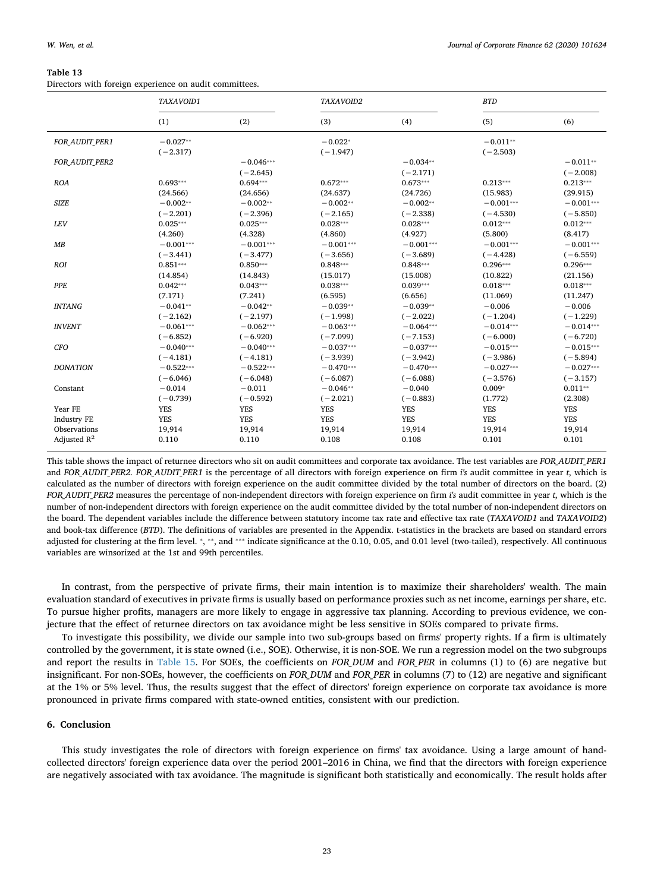<span id="page-22-1"></span>Directors with foreign experience on audit committees.

|                       | TAXAVOID1   |             | TAXAVOID2   |             | <b>BTD</b>  |             |
|-----------------------|-------------|-------------|-------------|-------------|-------------|-------------|
|                       | (1)         | (2)         | (3)         | (4)         | (5)         | (6)         |
| <b>FOR AUDIT PER1</b> | $-0.027**$  |             | $-0.022*$   |             | $-0.011**$  |             |
|                       | $(-2.317)$  |             | $(-1.947)$  |             | $(-2.503)$  |             |
| <b>FOR AUDIT PER2</b> |             | $-0.046***$ |             | $-0.034**$  |             | $-0.011**$  |
|                       |             | $(-2.645)$  |             | $(-2.171)$  |             | $(-2.008)$  |
| <b>ROA</b>            | $0.693***$  | $0.694***$  | $0.672***$  | $0.673***$  | $0.213***$  | $0.213***$  |
|                       | (24.566)    | (24.656)    | (24.637)    | (24.726)    | (15.983)    | (29.915)    |
| <b>SIZE</b>           | $-0.002**$  | $-0.002**$  | $-0.002**$  | $-0.002**$  | $-0.001***$ | $-0.001***$ |
|                       | $(-2.201)$  | $(-2.396)$  | $(-2.165)$  | $(-2.338)$  | $(-4.530)$  | $(-5.850)$  |
| <b>LEV</b>            | $0.025***$  | $0.025***$  | $0.028***$  | $0.028***$  | $0.012***$  | $0.012***$  |
|                       | (4.260)     | (4.328)     | (4.860)     | (4.927)     | (5.800)     | (8.417)     |
| MB                    | $-0.001***$ | $-0.001***$ | $-0.001***$ | $-0.001***$ | $-0.001***$ | $-0.001***$ |
|                       | $(-3.441)$  | $(-3.477)$  | $(-3.656)$  | $(-3.689)$  | $(-4.428)$  | $(-6.559)$  |
| ROI                   | $0.851***$  | $0.850***$  | $0.848***$  | $0.848***$  | $0.296***$  | $0.296***$  |
|                       | (14.854)    | (14.843)    | (15.017)    | (15.008)    | (10.822)    | (21.156)    |
| <b>PPE</b>            | $0.042***$  | $0.043***$  | $0.038***$  | $0.039***$  | $0.018***$  | $0.018***$  |
|                       | (7.171)     | (7.241)     | (6.595)     | (6.656)     | (11.069)    | (11.247)    |
| <b>INTANG</b>         | $-0.041**$  | $-0.042**$  | $-0.039**$  | $-0.039**$  | $-0.006$    | $-0.006$    |
|                       | $(-2.162)$  | $(-2.197)$  | $(-1.998)$  | $(-2.022)$  | $(-1.204)$  | $(-1.229)$  |
| <b>INVENT</b>         | $-0.061***$ | $-0.062***$ | $-0.063***$ | $-0.064***$ | $-0.014***$ | $-0.014***$ |
|                       | $(-6.852)$  | $(-6.920)$  | $(-7.099)$  | $(-7.153)$  | $(-6.000)$  | $(-6.720)$  |
| <b>CFO</b>            | $-0.040***$ | $-0.040***$ | $-0.037***$ | $-0.037***$ | $-0.015***$ | $-0.015***$ |
|                       | $(-4.181)$  | $(-4.181)$  | $(-3.939)$  | $(-3.942)$  | $(-3.986)$  | $(-5.894)$  |
| <b>DONATION</b>       | $-0.522***$ | $-0.522***$ | $-0.470***$ | $-0.470***$ | $-0.027***$ | $-0.027***$ |
|                       | $(-6.046)$  | $(-6.048)$  | $(-6.087)$  | $(-6.088)$  | $(-3.576)$  | $(-3.157)$  |
| Constant              | $-0.014$    | $-0.011$    | $-0.046**$  | $-0.040$    | $0.009*$    | $0.011**$   |
|                       | $(-0.739)$  | $(-0.592)$  | $(-2.021)$  | $(-0.883)$  | (1.772)     | (2.308)     |
| Year FE               | <b>YES</b>  | <b>YES</b>  | <b>YES</b>  | <b>YES</b>  | <b>YES</b>  | <b>YES</b>  |
| <b>Industry FE</b>    | <b>YES</b>  | <b>YES</b>  | <b>YES</b>  | <b>YES</b>  | <b>YES</b>  | <b>YES</b>  |
| Observations          | 19,914      | 19,914      | 19,914      | 19,914      | 19,914      | 19,914      |
| Adjusted $R^2$        | 0.110       | 0.110       | 0.108       | 0.108       | 0.101       | 0.101       |

This table shows the impact of returnee directors who sit on audit committees and corporate tax avoidance. The test variables are *FOR\_AUDIT\_PER1* and *FOR\_AUDIT\_PER2. FOR\_AUDIT\_PER1* is the percentage of all directors with foreign experience on firm *i's* audit committee in year *t*, which is calculated as the number of directors with foreign experience on the audit committee divided by the total number of directors on the board. (2) *FOR\_AUDIT\_PER2* measures the percentage of non-independent directors with foreign experience on firm *i's* audit committee in year *t*, which is the number of non-independent directors with foreign experience on the audit committee divided by the total number of non-independent directors on the board. The dependent variables include the difference between statutory income tax rate and effective tax rate (*TAXAVOID1* and *TAXAVOID2*) and book-tax difference (*BTD*). The definitions of variables are presented in the Appendix. t-statistics in the brackets are based on standard errors adjusted for clustering at the firm level. \*, \*\*, and \*\*\* indicate significance at the 0.10, 0.05, and 0.01 level (two-tailed), respectively. All continuous variables are winsorized at the 1st and 99th percentiles.

In contrast, from the perspective of private firms, their main intention is to maximize their shareholders' wealth. The main evaluation standard of executives in private firms is usually based on performance proxies such as net income, earnings per share, etc. To pursue higher profits, managers are more likely to engage in aggressive tax planning. According to previous evidence, we conjecture that the effect of returnee directors on tax avoidance might be less sensitive in SOEs compared to private firms.

To investigate this possibility, we divide our sample into two sub-groups based on firms' property rights. If a firm is ultimately controlled by the government, it is state owned (i.e., SOE). Otherwise, it is non-SOE. We run a regression model on the two subgroups and report the results in [Table 15.](#page-24-0) For SOEs, the coefficients on *FOR\_DUM* and *FOR\_PER* in columns (1) to (6) are negative but insignificant. For non-SOEs, however, the coefficients on *FOR DUM* and *FOR PER* in columns (7) to (12) are negative and significant at the 1% or 5% level. Thus, the results suggest that the effect of directors' foreign experience on corporate tax avoidance is more pronounced in private firms compared with state-owned entities, consistent with our prediction.

# <span id="page-22-0"></span>**6. Conclusion**

This study investigates the role of directors with foreign experience on firms' tax avoidance. Using a large amount of handcollected directors' foreign experience data over the period 2001–2016 in China, we find that the directors with foreign experience are negatively associated with tax avoidance. The magnitude is significant both statistically and economically. The result holds after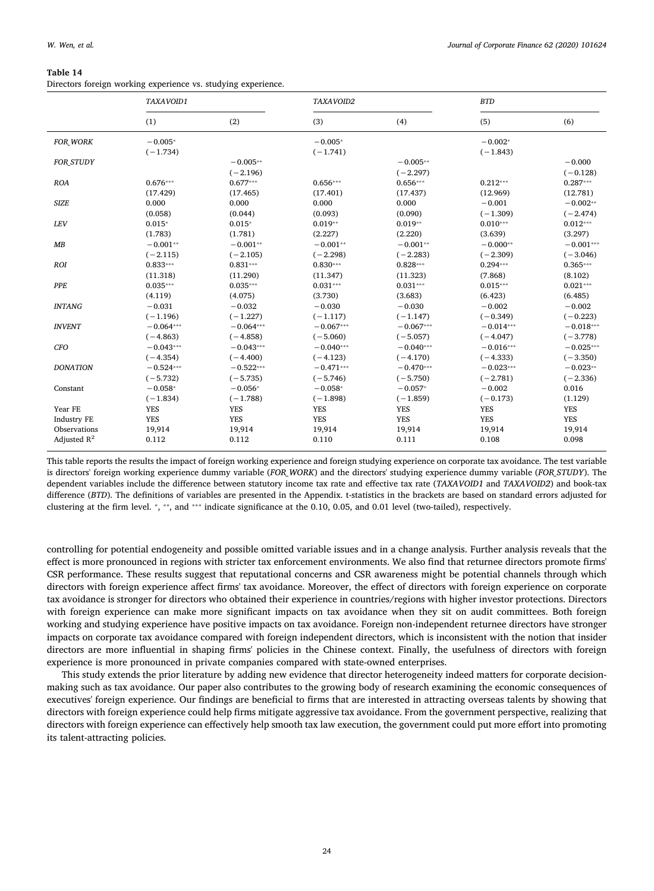<span id="page-23-0"></span>Directors foreign working experience vs. studying experience.

|                    | TAXAVOID1   |             | TAXAVOID2   |             | <b>BTD</b>  |             |
|--------------------|-------------|-------------|-------------|-------------|-------------|-------------|
|                    | (1)         | (2)         | (3)         | (4)         | (5)         | (6)         |
| <b>FOR WORK</b>    | $-0.005*$   |             | $-0.005*$   |             | $-0.002*$   |             |
|                    | $(-1.734)$  |             | $(-1.741)$  |             | $(-1.843)$  |             |
| <b>FOR_STUDY</b>   |             | $-0.005**$  |             | $-0.005**$  |             | $-0.000$    |
|                    |             | $(-2.196)$  |             | $(-2.297)$  |             | $(-0.128)$  |
| <b>ROA</b>         | $0.676***$  | $0.677***$  | $0.656***$  | $0.656***$  | $0.212***$  | $0.287***$  |
|                    | (17.429)    | (17.465)    | (17.401)    | (17.437)    | (12.969)    | (12.781)    |
| <b>SIZE</b>        | 0.000       | 0.000       | 0.000       | 0.000       | $-0.001$    | $-0.002**$  |
|                    | (0.058)     | (0.044)     | (0.093)     | (0.090)     | $(-1.309)$  | $(-2.474)$  |
| <b>LEV</b>         | $0.015*$    | $0.015*$    | $0.019**$   | $0.019**$   | $0.010***$  | $0.012***$  |
|                    | (1.783)     | (1.781)     | (2.227)     | (2.220)     | (3.639)     | (3.297)     |
| MB                 | $-0.001**$  | $-0.001**$  | $-0.001**$  | $-0.001**$  | $-0.000**$  | $-0.001***$ |
|                    | $(-2.115)$  | $(-2.105)$  | $(-2.298)$  | $(-2.283)$  | $(-2.309)$  | $(-3.046)$  |
| ROI                | $0.833***$  | $0.831***$  | $0.830***$  | $0.828***$  | $0.294***$  | $0.365***$  |
|                    | (11.318)    | (11.290)    | (11.347)    | (11.323)    | (7.868)     | (8.102)     |
| <b>PPE</b>         | $0.035***$  | $0.035***$  | $0.031***$  | $0.031***$  | $0.015***$  | $0.021***$  |
|                    | (4.119)     | (4.075)     | (3.730)     | (3.683)     | (6.423)     | (6.485)     |
| <b>INTANG</b>      | $-0.031$    | $-0.032$    | $-0.030$    | $-0.030$    | $-0.002$    | $-0.002$    |
|                    | $(-1.196)$  | $(-1.227)$  | $(-1.117)$  | $(-1.147)$  | $(-0.349)$  | $(-0.223)$  |
| <b>INVENT</b>      | $-0.064***$ | $-0.064***$ | $-0.067***$ | $-0.067***$ | $-0.014***$ | $-0.018***$ |
|                    | $(-4.863)$  | $(-4.858)$  | $(-5.060)$  | $(-5.057)$  | $(-4.047)$  | $(-3.778)$  |
| <b>CFO</b>         | $-0.043***$ | $-0.043***$ | $-0.040***$ | $-0.040***$ | $-0.016***$ | $-0.025***$ |
|                    | $(-4.354)$  | $(-4.400)$  | $(-4.123)$  | $(-4.170)$  | $(-4.333)$  | $(-3.350)$  |
| <b>DONATION</b>    | $-0.524***$ | $-0.522***$ | $-0.471***$ | $-0.470***$ | $-0.023***$ | $-0.023**$  |
|                    | $(-5.732)$  | $(-5.735)$  | $(-5.746)$  | $(-5.750)$  | $(-2.781)$  | $(-2.336)$  |
| Constant           | $-0.058*$   | $-0.056*$   | $-0.058*$   | $-0.057*$   | $-0.002$    | 0.016       |
|                    | $(-1.834)$  | $(-1.788)$  | $(-1.898)$  | $(-1.859)$  | $(-0.173)$  | (1.129)     |
| Year FE            | <b>YES</b>  | <b>YES</b>  | <b>YES</b>  | <b>YES</b>  | <b>YES</b>  | <b>YES</b>  |
| <b>Industry FE</b> | <b>YES</b>  | <b>YES</b>  | <b>YES</b>  | <b>YES</b>  | <b>YES</b>  | <b>YES</b>  |
| Observations       | 19,914      | 19,914      | 19,914      | 19,914      | 19,914      | 19,914      |
| Adjusted $R^2$     | 0.112       | 0.112       | 0.110       | 0.111       | 0.108       | 0.098       |

This table reports the results the impact of foreign working experience and foreign studying experience on corporate tax avoidance. The test variable is directors' foreign working experience dummy variable (*FOR\_WORK*) and the directors' studying experience dummy variable (*FOR\_STUDY*). The dependent variables include the difference between statutory income tax rate and effective tax rate (*TAXAVOID1* and *TAXAVOID2*) and book-tax difference (*BTD*). The definitions of variables are presented in the Appendix. t-statistics in the brackets are based on standard errors adjusted for clustering at the firm level. \*, \*\*, and \*\*\* indicate significance at the 0.10, 0.05, and 0.01 level (two-tailed), respectively.

controlling for potential endogeneity and possible omitted variable issues and in a change analysis. Further analysis reveals that the effect is more pronounced in regions with stricter tax enforcement environments. We also find that returnee directors promote firms' CSR performance. These results suggest that reputational concerns and CSR awareness might be potential channels through which directors with foreign experience affect firms' tax avoidance. Moreover, the effect of directors with foreign experience on corporate tax avoidance is stronger for directors who obtained their experience in countries/regions with higher investor protections. Directors with foreign experience can make more significant impacts on tax avoidance when they sit on audit committees. Both foreign working and studying experience have positive impacts on tax avoidance. Foreign non-independent returnee directors have stronger impacts on corporate tax avoidance compared with foreign independent directors, which is inconsistent with the notion that insider directors are more influential in shaping firms' policies in the Chinese context. Finally, the usefulness of directors with foreign experience is more pronounced in private companies compared with state-owned enterprises.

This study extends the prior literature by adding new evidence that director heterogeneity indeed matters for corporate decisionmaking such as tax avoidance. Our paper also contributes to the growing body of research examining the economic consequences of executives' foreign experience. Our findings are beneficial to firms that are interested in attracting overseas talents by showing that directors with foreign experience could help firms mitigate aggressive tax avoidance. From the government perspective, realizing that directors with foreign experience can effectively help smooth tax law execution, the government could put more effort into promoting its talent-attracting policies.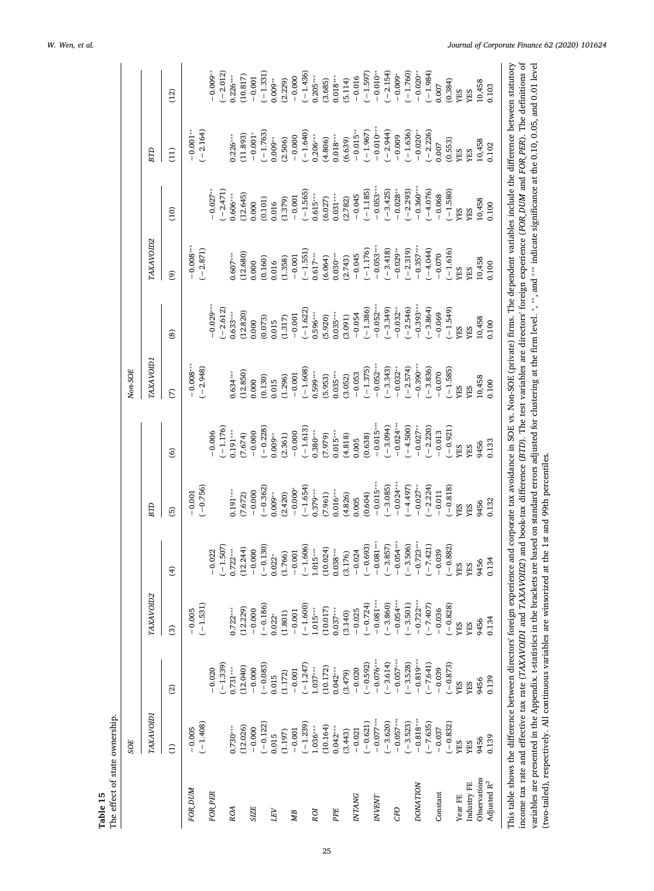<span id="page-24-0"></span>

| The effect of state ownership. |                                                |                                                                                                                                                                   |                                                                         |                                                                                                                                                                                                                                                                                                                                                             |                                                                                                                                                                                                                                                                                                      |                                                                                                                                                                                                                                                                                                               |                        |                                                                                                                                                                                                                                                                                                                                                     |                                                                                                                                                                                                                                                                                   |                                                                                                                                                                                                                                                                                                                              |                                                                                                                                                                                                                                  |                                                                                                              |
|--------------------------------|------------------------------------------------|-------------------------------------------------------------------------------------------------------------------------------------------------------------------|-------------------------------------------------------------------------|-------------------------------------------------------------------------------------------------------------------------------------------------------------------------------------------------------------------------------------------------------------------------------------------------------------------------------------------------------------|------------------------------------------------------------------------------------------------------------------------------------------------------------------------------------------------------------------------------------------------------------------------------------------------------|---------------------------------------------------------------------------------------------------------------------------------------------------------------------------------------------------------------------------------------------------------------------------------------------------------------|------------------------|-----------------------------------------------------------------------------------------------------------------------------------------------------------------------------------------------------------------------------------------------------------------------------------------------------------------------------------------------------|-----------------------------------------------------------------------------------------------------------------------------------------------------------------------------------------------------------------------------------------------------------------------------------|------------------------------------------------------------------------------------------------------------------------------------------------------------------------------------------------------------------------------------------------------------------------------------------------------------------------------|----------------------------------------------------------------------------------------------------------------------------------------------------------------------------------------------------------------------------------|--------------------------------------------------------------------------------------------------------------|
|                                | SOE                                            |                                                                                                                                                                   |                                                                         |                                                                                                                                                                                                                                                                                                                                                             |                                                                                                                                                                                                                                                                                                      |                                                                                                                                                                                                                                                                                                               | Von-SOE                |                                                                                                                                                                                                                                                                                                                                                     |                                                                                                                                                                                                                                                                                   |                                                                                                                                                                                                                                                                                                                              |                                                                                                                                                                                                                                  |                                                                                                              |
|                                | TAXAVOIDI                                      |                                                                                                                                                                   | TAXAVOID2                                                               |                                                                                                                                                                                                                                                                                                                                                             | STD <sub>3</sub>                                                                                                                                                                                                                                                                                     |                                                                                                                                                                                                                                                                                                               | <b>TAXAVOID</b>        |                                                                                                                                                                                                                                                                                                                                                     | AXAVOID <sub>2</sub>                                                                                                                                                                                                                                                              |                                                                                                                                                                                                                                                                                                                              | STP <sub>3</sub>                                                                                                                                                                                                                 |                                                                                                              |
|                                |                                                | ව                                                                                                                                                                 | $\widehat{\mathcal{E}}$                                                 | E                                                                                                                                                                                                                                                                                                                                                           |                                                                                                                                                                                                                                                                                                      | $\widehat{\Theta}$                                                                                                                                                                                                                                                                                            |                        | $\circledcirc$                                                                                                                                                                                                                                                                                                                                      | $\widehat{\mathbf{e}}$                                                                                                                                                                                                                                                            | $\frac{1}{2}$                                                                                                                                                                                                                                                                                                                |                                                                                                                                                                                                                                  | (12)                                                                                                         |
| FOR_DUM                        | $-0.005$                                       |                                                                                                                                                                   | $-0.005$                                                                |                                                                                                                                                                                                                                                                                                                                                             | $-0.001$                                                                                                                                                                                                                                                                                             |                                                                                                                                                                                                                                                                                                               | $0.008$ **             |                                                                                                                                                                                                                                                                                                                                                     | $-0.008$                                                                                                                                                                                                                                                                          |                                                                                                                                                                                                                                                                                                                              | $-0.001**$<br>$(-2.164)$                                                                                                                                                                                                         |                                                                                                              |
|                                | $(-1.408)$                                     |                                                                                                                                                                   | $(-1.531)$                                                              |                                                                                                                                                                                                                                                                                                                                                             | $(-0.756)$                                                                                                                                                                                                                                                                                           |                                                                                                                                                                                                                                                                                                               | $-2.948$               |                                                                                                                                                                                                                                                                                                                                                     | $-2.871)$                                                                                                                                                                                                                                                                         |                                                                                                                                                                                                                                                                                                                              |                                                                                                                                                                                                                                  |                                                                                                              |
| FOR_PER                        |                                                | $(-1.339)$<br>$-0.020$                                                                                                                                            |                                                                         | $-0.022$<br>$(-1.507)$<br>$0.722***$                                                                                                                                                                                                                                                                                                                        |                                                                                                                                                                                                                                                                                                      | $\frac{-0.006}{(-1.176)}$<br>0.191***                                                                                                                                                                                                                                                                         |                        | $-0.029***$<br>$(-2.612)$<br>$0.633***$                                                                                                                                                                                                                                                                                                             |                                                                                                                                                                                                                                                                                   | $\begin{array}{r} \n 1.373 \\ -0.027471 \\ -0.60645 \\ -0.0101 \\ -0.0101 \\ -0.0101 \\ -0.0010 \\ -0.001 \\ -0.001 \\ -0.001 \\ -0.001 \\ -0.001 \\ -0.001 \\ -0.001 \\ -0.002 \\ -0.002 \\ -0.002 \\ -0.002 \\ -0.002 \\ -0.002 \\ -0.003 \\ -0.002 \\ -0.003 \\ -0.003 \\ -0.003 \\ -0.003 \\ -0.003 \\ -0.003 \\ -0.003$ |                                                                                                                                                                                                                                  | $-0.009$ **                                                                                                  |
| ROA                            | $0.730***$                                     | $0.731***$                                                                                                                                                        | $0.722***$                                                              |                                                                                                                                                                                                                                                                                                                                                             |                                                                                                                                                                                                                                                                                                      |                                                                                                                                                                                                                                                                                                               |                        |                                                                                                                                                                                                                                                                                                                                                     | $0.607***$                                                                                                                                                                                                                                                                        |                                                                                                                                                                                                                                                                                                                              | $0.226***$                                                                                                                                                                                                                       | $(-2.012)$<br>$0.226***$                                                                                     |
|                                | (12.026)                                       | (12.040)                                                                                                                                                          | (12.229)                                                                |                                                                                                                                                                                                                                                                                                                                                             | $0.191***$<br>$(7.672)$<br>$-0.000$<br>$(-0.362)$<br>$0.009**$                                                                                                                                                                                                                                       |                                                                                                                                                                                                                                                                                                               | $0.634***$<br>(12.850) | 12.820)                                                                                                                                                                                                                                                                                                                                             | 12.680)                                                                                                                                                                                                                                                                           |                                                                                                                                                                                                                                                                                                                              |                                                                                                                                                                                                                                  |                                                                                                              |
| SIZE                           | $-0.000$                                       |                                                                                                                                                                   | $-0.000$                                                                | $(12.244)$<br>$-0.000$<br>$(-0.130)$<br>$0.022$ *                                                                                                                                                                                                                                                                                                           |                                                                                                                                                                                                                                                                                                      | $\begin{array}{l} (7.674)\\ (-0.0000\\ (-0.2361)\\ (-0.2361)\\ (-0.2361)\\ (-0.2361)\\ (-0.2361)\\ (-0.2361)\\ (-0.2361)\\ (-0.2361)\\ (-0.2361)\\ (-0.2361)\\ (-0.2361)\\ (-0.2361)\\ (-0.2361)\\ (-0.2361)\\ (-0.2361)\\ (-0.2361)\\ (-0.2361)\\ (-0.2361)\\ (-0.2361)\\ (-0.2361)\\ (-0.2361)\\ (-0.2361)$ |                        |                                                                                                                                                                                                                                                                                                                                                     |                                                                                                                                                                                                                                                                                   |                                                                                                                                                                                                                                                                                                                              | $(11.893)$<br>-0.001*<br>$(-1.763)$<br>0.009**                                                                                                                                                                                   | $(10.817)$<br>$-0.001$                                                                                       |
|                                | $(-0.122)$                                     | $-0.000$<br>$(-0.083)$<br>$0.015$                                                                                                                                 |                                                                         |                                                                                                                                                                                                                                                                                                                                                             |                                                                                                                                                                                                                                                                                                      |                                                                                                                                                                                                                                                                                                               |                        |                                                                                                                                                                                                                                                                                                                                                     |                                                                                                                                                                                                                                                                                   |                                                                                                                                                                                                                                                                                                                              |                                                                                                                                                                                                                                  |                                                                                                              |
| LEV                            | 0.015                                          |                                                                                                                                                                   | $(-0.186)$<br>$0.022*$                                                  |                                                                                                                                                                                                                                                                                                                                                             |                                                                                                                                                                                                                                                                                                      |                                                                                                                                                                                                                                                                                                               |                        |                                                                                                                                                                                                                                                                                                                                                     |                                                                                                                                                                                                                                                                                   |                                                                                                                                                                                                                                                                                                                              |                                                                                                                                                                                                                                  | $(-1.331)$<br>$0.009**$                                                                                      |
|                                | (1.197)                                        | (1.172)                                                                                                                                                           | $(1.801)$                                                               | $\begin{array}{l} (1.766)\\ (-1.606)\\ (-1.606)\\ 1.015^{***}\\ (1.015^{***}\\ (1.015^{***}\\ (1.015^{***}\\ (-0.693)\\ (-0.693)\\ (-0.693)\\ (-0.693)\\ (-0.693)\\ (-0.695^{***}\\ (-0.695^{***}\\ (-0.7421)\\ (-0.723^{***}\\ (-0.7421)\\ (-0.723^{***}\\ (-0.7421)\\ (-0.723^{***}\\ (-0.7421)\\ (-0.723^{***}\\ (-0.723^{***}\\ (-0.723^{***}\\ (-0.72$ |                                                                                                                                                                                                                                                                                                      |                                                                                                                                                                                                                                                                                                               |                        |                                                                                                                                                                                                                                                                                                                                                     |                                                                                                                                                                                                                                                                                   |                                                                                                                                                                                                                                                                                                                              |                                                                                                                                                                                                                                  | $(2.229)$<br>-0.000<br>(-1.436)<br>0.205***                                                                  |
| MВ                             | $-0.001$                                       | $-0.001$                                                                                                                                                          | $-0.001$                                                                |                                                                                                                                                                                                                                                                                                                                                             |                                                                                                                                                                                                                                                                                                      |                                                                                                                                                                                                                                                                                                               |                        |                                                                                                                                                                                                                                                                                                                                                     |                                                                                                                                                                                                                                                                                   |                                                                                                                                                                                                                                                                                                                              |                                                                                                                                                                                                                                  |                                                                                                              |
|                                |                                                | $(-1.247)$<br>1.037***                                                                                                                                            |                                                                         |                                                                                                                                                                                                                                                                                                                                                             |                                                                                                                                                                                                                                                                                                      |                                                                                                                                                                                                                                                                                                               |                        |                                                                                                                                                                                                                                                                                                                                                     |                                                                                                                                                                                                                                                                                   |                                                                                                                                                                                                                                                                                                                              |                                                                                                                                                                                                                                  |                                                                                                              |
| ROI                            |                                                |                                                                                                                                                                   |                                                                         |                                                                                                                                                                                                                                                                                                                                                             |                                                                                                                                                                                                                                                                                                      |                                                                                                                                                                                                                                                                                                               |                        |                                                                                                                                                                                                                                                                                                                                                     |                                                                                                                                                                                                                                                                                   |                                                                                                                                                                                                                                                                                                                              |                                                                                                                                                                                                                                  |                                                                                                              |
|                                | $(-1.239)$<br>1.036***<br>(10.164)<br>0.042*** |                                                                                                                                                                   | $\begin{array}{l}(-1.600)\\ 1.015***\\ (10.017)\\ 0.037*** \end{array}$ |                                                                                                                                                                                                                                                                                                                                                             |                                                                                                                                                                                                                                                                                                      |                                                                                                                                                                                                                                                                                                               |                        |                                                                                                                                                                                                                                                                                                                                                     |                                                                                                                                                                                                                                                                                   |                                                                                                                                                                                                                                                                                                                              |                                                                                                                                                                                                                                  |                                                                                                              |
| PPE                            |                                                |                                                                                                                                                                   |                                                                         |                                                                                                                                                                                                                                                                                                                                                             |                                                                                                                                                                                                                                                                                                      |                                                                                                                                                                                                                                                                                                               |                        |                                                                                                                                                                                                                                                                                                                                                     |                                                                                                                                                                                                                                                                                   |                                                                                                                                                                                                                                                                                                                              |                                                                                                                                                                                                                                  |                                                                                                              |
|                                | (3.443)                                        | $\begin{array}{l} (10.172) \\ 0.042^{***} \\ (3.479) \\ -0.020 \\ (-0.592) \\ -0.592) \\ (-3.614) \\ -0.057^{***} \\ -0.057^{***} \\ -0.057^{***} \\ \end{array}$ | (3.140)                                                                 |                                                                                                                                                                                                                                                                                                                                                             |                                                                                                                                                                                                                                                                                                      |                                                                                                                                                                                                                                                                                                               |                        |                                                                                                                                                                                                                                                                                                                                                     |                                                                                                                                                                                                                                                                                   |                                                                                                                                                                                                                                                                                                                              |                                                                                                                                                                                                                                  | $(3.685)$<br>$0.018***$<br>$-6.114$<br>$-0.016$<br>$-1.597$<br>$-1.597$<br>$-0.010**$<br>$-0.154$<br>$-1.54$ |
| INTANG                         | $-0.021$                                       |                                                                                                                                                                   | $-0.025$                                                                |                                                                                                                                                                                                                                                                                                                                                             |                                                                                                                                                                                                                                                                                                      |                                                                                                                                                                                                                                                                                                               |                        |                                                                                                                                                                                                                                                                                                                                                     |                                                                                                                                                                                                                                                                                   |                                                                                                                                                                                                                                                                                                                              |                                                                                                                                                                                                                                  |                                                                                                              |
|                                | $(-0.621)$                                     |                                                                                                                                                                   |                                                                         |                                                                                                                                                                                                                                                                                                                                                             |                                                                                                                                                                                                                                                                                                      |                                                                                                                                                                                                                                                                                                               |                        |                                                                                                                                                                                                                                                                                                                                                     |                                                                                                                                                                                                                                                                                   |                                                                                                                                                                                                                                                                                                                              |                                                                                                                                                                                                                                  |                                                                                                              |
| <b>INVENT</b>                  | $-0.077***$                                    |                                                                                                                                                                   |                                                                         |                                                                                                                                                                                                                                                                                                                                                             |                                                                                                                                                                                                                                                                                                      |                                                                                                                                                                                                                                                                                                               |                        |                                                                                                                                                                                                                                                                                                                                                     |                                                                                                                                                                                                                                                                                   |                                                                                                                                                                                                                                                                                                                              |                                                                                                                                                                                                                                  |                                                                                                              |
|                                | $(-3.620)$                                     |                                                                                                                                                                   | $(-0.724)$<br>$-0.081***$<br>$(-3.860)$<br>$(-0.054***$                 |                                                                                                                                                                                                                                                                                                                                                             |                                                                                                                                                                                                                                                                                                      |                                                                                                                                                                                                                                                                                                               |                        |                                                                                                                                                                                                                                                                                                                                                     |                                                                                                                                                                                                                                                                                   |                                                                                                                                                                                                                                                                                                                              |                                                                                                                                                                                                                                  |                                                                                                              |
| <b>GFO</b>                     | $-0.057***$                                    |                                                                                                                                                                   |                                                                         |                                                                                                                                                                                                                                                                                                                                                             |                                                                                                                                                                                                                                                                                                      |                                                                                                                                                                                                                                                                                                               |                        |                                                                                                                                                                                                                                                                                                                                                     |                                                                                                                                                                                                                                                                                   |                                                                                                                                                                                                                                                                                                                              |                                                                                                                                                                                                                                  |                                                                                                              |
|                                | $(-3.523)$                                     |                                                                                                                                                                   | $(-3.501)$<br>-0.722***                                                 |                                                                                                                                                                                                                                                                                                                                                             |                                                                                                                                                                                                                                                                                                      |                                                                                                                                                                                                                                                                                                               |                        |                                                                                                                                                                                                                                                                                                                                                     |                                                                                                                                                                                                                                                                                   |                                                                                                                                                                                                                                                                                                                              |                                                                                                                                                                                                                                  |                                                                                                              |
| DONATION                       | $-0.818$                                       | $-0.819***$                                                                                                                                                       |                                                                         |                                                                                                                                                                                                                                                                                                                                                             |                                                                                                                                                                                                                                                                                                      |                                                                                                                                                                                                                                                                                                               |                        |                                                                                                                                                                                                                                                                                                                                                     |                                                                                                                                                                                                                                                                                   |                                                                                                                                                                                                                                                                                                                              |                                                                                                                                                                                                                                  |                                                                                                              |
|                                | $(-7.635)$                                     |                                                                                                                                                                   | $(-7.407)$                                                              |                                                                                                                                                                                                                                                                                                                                                             |                                                                                                                                                                                                                                                                                                      |                                                                                                                                                                                                                                                                                                               |                        |                                                                                                                                                                                                                                                                                                                                                     |                                                                                                                                                                                                                                                                                   |                                                                                                                                                                                                                                                                                                                              |                                                                                                                                                                                                                                  |                                                                                                              |
| Constant                       | $-0.037$                                       |                                                                                                                                                                   |                                                                         |                                                                                                                                                                                                                                                                                                                                                             |                                                                                                                                                                                                                                                                                                      |                                                                                                                                                                                                                                                                                                               |                        |                                                                                                                                                                                                                                                                                                                                                     |                                                                                                                                                                                                                                                                                   |                                                                                                                                                                                                                                                                                                                              |                                                                                                                                                                                                                                  | $-0.020$<br>$(-1.984)$<br>0.007                                                                              |
|                                | $(-0.832)$ YES                                 | $(-7.641)$<br>-0.039<br>(-0.873)<br>YES                                                                                                                           | $-0.036$<br>$(-0.828)$<br>YES                                           | $(-0.882)$ YES                                                                                                                                                                                                                                                                                                                                              | $\begin{array}{l} (2.420)\\ (-1.654)\\ (-1.654)\\ (7.361)\\ (8.426)\\ (9.64)\\ (1.656)\\ (1.657)\\ (1.658)\\ (1.659)\\ (1.659)\\ (1.659)\\ (1.659)\\ (1.659)\\ (1.659)\\ (-1.659)\\ (-1.659)\\ (-1.659)\\ (-1.659)\\ (-1.659)\\ (-1.659)\\ (1.659)\\ (1.659)\\ (1.659)\\ (1.659)\\ (1.659)\\ (1.659$ |                                                                                                                                                                                                                                                                                                               |                        | $\begin{smallmatrix} 0.0000\\ 0.0073\\ 0.015\\ 0.117\\ 0.596^{**}\\ -1.626^{**}\\ -1.626^{**}\\ -1.626^{**}\\ -1.626^{**}\\ -1.626^{**}\\ -1.626^{**}\\ -1.626^{**}\\ -1.626^{**}\\ -1.626^{**}\\ -1.626^{**}\\ -1.626^{**}\\ -1.626^{**}\\ -1.626^{**}\\ -1.626^{**}\\ -1.626^{**}\\ -1.649^{**}\\ -1.649^{**}\\ -1.649^{**}\\ -1.649^{**}\\ -1.6$ | 0.000<br>(0.160)<br>(0.160)<br>(0.160)<br>(1.358)<br>(1.511)<br>(1.511)<br>(1.513)<br>(1.513)<br>(1.513)<br>(1.513)<br>(1.514)<br>(1.514)<br>(1.514)<br>(1.514)<br>(1.53)<br>(1.53)<br>(1.53)<br>(1.53)<br>(1.53)<br>(1.53)<br>(1.53)<br>(1.53)<br>(1.53)<br>(1.53)<br>(1.53)<br> |                                                                                                                                                                                                                                                                                                                              | $\begin{array}{l} (2.506)\\ (-1.640)\\ (-1.640)\\ (2.206^{***}\\ (0.018^{***}\\ (0.639)\\ (-1.967)\\ (-1.967)\\ (-1.967)\\ (-1.636)\\ (-1.636)\\ (-1.636)\\ (-1.636)\\ (-1.633)\\ (-2.2226)\\ (-2.333)\\ \text{YES} \end{array}$ | $(0.384)$<br>YES                                                                                             |
| Year FE                        |                                                |                                                                                                                                                                   |                                                                         |                                                                                                                                                                                                                                                                                                                                                             |                                                                                                                                                                                                                                                                                                      |                                                                                                                                                                                                                                                                                                               |                        |                                                                                                                                                                                                                                                                                                                                                     |                                                                                                                                                                                                                                                                                   |                                                                                                                                                                                                                                                                                                                              |                                                                                                                                                                                                                                  |                                                                                                              |

| own      |
|----------|
| of state |
|          |
| ffect    |
| Ξ        |

| $0.009**$                            | $-2.012$<br>$0.226***$ | (10.817) | $-0.001$             | $(-1.331)$<br>$0.009**$                                                                                                                                                                                                                                                                                          |          | (2.229)                                                      | $-0.000$<br>$(-1.436)$<br>0.205*** |                        |                                                                    | (3.685)                  | $0.018***$ | (5.114)                                                                                                                           |               |            |                                         | $-0.016$<br>$(-1.597)$<br>$-0.010**$<br>$-0.010**$<br>$(-2.154)$<br>$(-1.760)$<br>$-0.000**$<br>$(-1.760)$                                             |             |            |             |                                         |          | $(0.384)$<br>YES |            | ŒS          | 10,458<br>0.103 |                         | income tax rate and effective tax rate (TAXAVOD1 and TAXAVOD2) and book-tax difference (BTD). The test variables are directors' foreign experience (FOR,DUM and FOR,PER). The definitions of                                                                                                                                                                                                                                                                                                                                          |
|--------------------------------------|------------------------|----------|----------------------|------------------------------------------------------------------------------------------------------------------------------------------------------------------------------------------------------------------------------------------------------------------------------------------------------------------|----------|--------------------------------------------------------------|------------------------------------|------------------------|--------------------------------------------------------------------|--------------------------|------------|-----------------------------------------------------------------------------------------------------------------------------------|---------------|------------|-----------------------------------------|--------------------------------------------------------------------------------------------------------------------------------------------------------|-------------|------------|-------------|-----------------------------------------|----------|------------------|------------|-------------|-----------------|-------------------------|---------------------------------------------------------------------------------------------------------------------------------------------------------------------------------------------------------------------------------------------------------------------------------------------------------------------------------------------------------------------------------------------------------------------------------------------------------------------------------------------------------------------------------------|
|                                      | $0.226***$             | 11.893)  | $-0.001*$            | $(-1.763)$<br>0.009**                                                                                                                                                                                                                                                                                            |          | $(2.506)$<br>-0.000<br>(-1.640)<br>0.206***                  |                                    |                        |                                                                    | (4.806)                  | $0.018***$ |                                                                                                                                   |               |            |                                         | $(6.639)$<br>$-0.015**$<br>$-0.015**$<br>$-0.010***$<br>$-0.010***$<br>$-0.009$<br>$-0.005$<br>$(-1.636)$<br>$-0.020**$<br>$-0.020**$                  |             |            |             |                                         |          | (0.553)          | ES         | ЕS          | 10,458          | 1.102                   |                                                                                                                                                                                                                                                                                                                                                                                                                                                                                                                                       |
| $-0.027**$<br>$(-2.471)$<br>0.606*** |                        | 12.645)  | 0.000                | $\begin{array}{l} (0.101) \\ 0.016 \\ (1.379) \\ -0.001 \\ (-1.565) \\ 0.615*** \end{array}$                                                                                                                                                                                                                     |          |                                                              |                                    |                        |                                                                    | $(6.027)$<br>$0.031***$  |            |                                                                                                                                   |               |            |                                         | $(2.782)$<br>$-0.045$<br>$(-1.185)$<br>$-0.053***$<br>$-0.053***$<br>$(-3.425)$<br>$-0.2293)$<br>$(-2.293)$<br>$(-4.076)$<br>$-0.360***$<br>$-0.068$   |             |            |             |                                         |          |                  | ES         | ЕS          | 10,458          | 001.0                   |                                                                                                                                                                                                                                                                                                                                                                                                                                                                                                                                       |
|                                      | $.607***$              | (12.680) | 0.000                | $\begin{array}{l} (0.160)\\ 0.016\\ -1.551\\ -1.511\\ 0.617^{***}\\ -1.764\\ -1.764\\ -1.764\\ -1.764\\ -1.764\\ -1.765^{***}\\ -1.765^{***}\\ -1.764\\ -1.765^{***}\\ -1.764\\ -1.764\\ -1.764\\ -1.764\\ -1.764\\ -1.765\\ -1.766\\ -1.766\\ -1.766\\ -1.766\\ -1.766\\ -1.766\\ -1.766\\ -1.766\\ -1.766\\ -$ |          |                                                              |                                    |                        |                                                                    |                          |            |                                                                                                                                   |               |            |                                         |                                                                                                                                                        |             |            |             |                                         |          |                  | ES         | ES          | 10,458          | 001.0                   |                                                                                                                                                                                                                                                                                                                                                                                                                                                                                                                                       |
| $0.029***$<br>$-2.612$               | $0.633***$             | (12.820) | 0.000                | (0.073)                                                                                                                                                                                                                                                                                                          |          | $0.015$<br>$(1.317)$<br>$-0.001$<br>$(-1.622)$<br>$0.596***$ |                                    |                        |                                                                    | (5.920)                  | $0.035***$ |                                                                                                                                   |               |            |                                         | $(3.091)$<br>$-0.054$<br>$(-1.386)$<br>$-0.052***$<br>$(-3.349)$<br>$(-3.349)$<br>$(-2.546)$<br>$(-2.546)$<br>$(-3.930***$<br>$(-1.549)$<br>$(-1.549)$ |             |            |             |                                         |          |                  |            | ŒS          | 10,458          | <b>00T</b>              |                                                                                                                                                                                                                                                                                                                                                                                                                                                                                                                                       |
|                                      | $.634***$              | 12.850)  | 0000                 | $(0.130)$<br>$0.015$<br>$(1.296)$<br>$-0.001$<br>$-0.608$<br>$(-1.608)$<br>$0.599***$                                                                                                                                                                                                                            |          |                                                              |                                    |                        |                                                                    | $(5.953)$<br>0.035***    |            |                                                                                                                                   |               |            |                                         | $(-1.375)$<br>$(-1.375)$<br>$(-1.375)$<br>$(-3.343)$<br>$(-3.343)$<br>$(-3.347)$<br>$(-2.574)$<br>$(-2.576)$<br>$(-3.836)$                             |             |            |             |                                         |          |                  | ŒS         | <b>ES</b>   | 10,458          | .100                    |                                                                                                                                                                                                                                                                                                                                                                                                                                                                                                                                       |
| 0.006                                | $(-1.176)$<br>0.191*** | (1,674)  | $-0.000$             | $(-0.228)$<br>$0.009**$                                                                                                                                                                                                                                                                                          |          | $(2.361)$<br>-0.000<br>(-1.613)<br>0.380***                  |                                    |                        |                                                                    |                          |            |                                                                                                                                   |               |            |                                         | $(7.979)$<br>0.015***<br>0.015***<br>0.005<br>0.005<br>-0.024***<br>-0.0227***<br>-0.0227***<br>-0.013<br>-0.013                                       |             |            |             |                                         |          |                  | ŒS         | ŒS          | A56             | 133                     |                                                                                                                                                                                                                                                                                                                                                                                                                                                                                                                                       |
|                                      | 1.191***               | (7.672)  | $-0.000$             | $(-0.362)$<br>0.009**                                                                                                                                                                                                                                                                                            |          | $(2.420)$<br>-0.000*                                         |                                    |                        | $\begin{array}{c}(-1.654)\\0.379***\\(7.961)\\0.016***\end{array}$ |                          |            | $(4.826)$<br>0.005                                                                                                                |               | (0.604)    |                                         |                                                                                                                                                        |             |            |             |                                         |          | $-0.818$         | <b>CER</b> | CES         | 9456            | 1.32                    |                                                                                                                                                                                                                                                                                                                                                                                                                                                                                                                                       |
| $-0.022$                             | $-1.507$<br>$0.722***$ |          | $(12.244)$<br>-0.000 | $(-0.130)$<br>0.022*                                                                                                                                                                                                                                                                                             |          |                                                              |                                    |                        |                                                                    |                          |            | $\begin{array}{l} (1.766) \\ -0.001 \\ (-1.606) \\ 1.015*** \\ (10.024) \\ (10.024) \\ 0.038*** \\ (3.176) \\ -0.024 \end{array}$ |               |            | $-0.081***$                             | $(-3.857)$                                                                                                                                             | $-0.054***$ |            |             | $(-3.506)$<br>$-0.723***$<br>$(-7.421)$ | $-0.039$ | $-0.882$         | CES        | YES         | 9456            | 0.134                   |                                                                                                                                                                                                                                                                                                                                                                                                                                                                                                                                       |
|                                      | $0.722***$             | (12.229) | $-0.000$             | $(-0.186)$                                                                                                                                                                                                                                                                                                       | $0.022*$ | (1.801)                                                      | $-0.001$                           |                        | $(-1.600)$<br>1.015***                                             | (10.017)                 | $0.037***$ | (3.140)                                                                                                                           | $-0.025$      | $(-0.724)$ | $-0.081***$                             | $(-3.860)$                                                                                                                                             | $-0.054***$ | $(-3.501)$ | $-0.722***$ | $(-7.407)$                              | $-0.036$ | $(-0.828)$       | YES        | <b>YES</b>  | 9456            | 0.134                   |                                                                                                                                                                                                                                                                                                                                                                                                                                                                                                                                       |
| $-0.020$                             | $-1.339$<br>$0.731***$ | (12.040) | $-0.000$             | $(-0.083)$                                                                                                                                                                                                                                                                                                       | 0.015    | (1.172)                                                      | $-0.001$                           | $(-1.247)$<br>1.037*** |                                                                    | (10.172)                 | $0.042***$ | (3.479)                                                                                                                           | $-0.020$      |            | $(-0.592)$<br>$-0.076***$<br>$(-3.614)$ |                                                                                                                                                        | $-0.057***$ | $(-3.528)$ | $-0.819***$ | $(-7.641)$                              | $-0.039$ | $(-0.873)$       | YES        | YES         | 9456            | 0.139                   |                                                                                                                                                                                                                                                                                                                                                                                                                                                                                                                                       |
|                                      | $2.730***$             | (12.026) | $-0.000$             | $(-0.122)$                                                                                                                                                                                                                                                                                                       | 0.015    | $(1.197)$<br>$-0.001$<br>$(-1.239)$<br>$1.036***$            |                                    |                        |                                                                    | $(10.164)$<br>$0.042***$ |            | (3.443)                                                                                                                           | $-0.021$      |            | $(-0.621)$<br>-0.077***                 | $(-3.620)$                                                                                                                                             | $-0.057***$ | $(-3.523)$ | $-0.818***$ | $(-7.635)$                              | $-0.037$ | $(-0.832)$       | YES        | <b>CER</b>  | 9456            | 1.139                   |                                                                                                                                                                                                                                                                                                                                                                                                                                                                                                                                       |
| FOR PER                              | ROA                    |          | <b>SIZE</b>          |                                                                                                                                                                                                                                                                                                                  | LEV      |                                                              | MВ                                 |                        | ROI                                                                |                          | PPE        |                                                                                                                                   | <b>INTANG</b> |            | INVENT                                  |                                                                                                                                                        | CFO         |            | DONATION    |                                         | Constant |                  | Year FE    | Industry FE | Observations    | Adjusted R <sup>2</sup> | This table shows the difference between directors' foreign experience and corporate tax avoidance in SOE vs. Non-SOE (private) firms. The dependent variables include the difference between statutory<br>variables are presented in the Appendix. t-statistics in the brackets are based on standard errors adjusted for clustering at the firm level. *, **, and *** indicate significance at the 0.10, 0.05, and 0.01 level<br>(two-tailed), respectively. All continuous variables are winsorized at the 1st and 99th percentiles |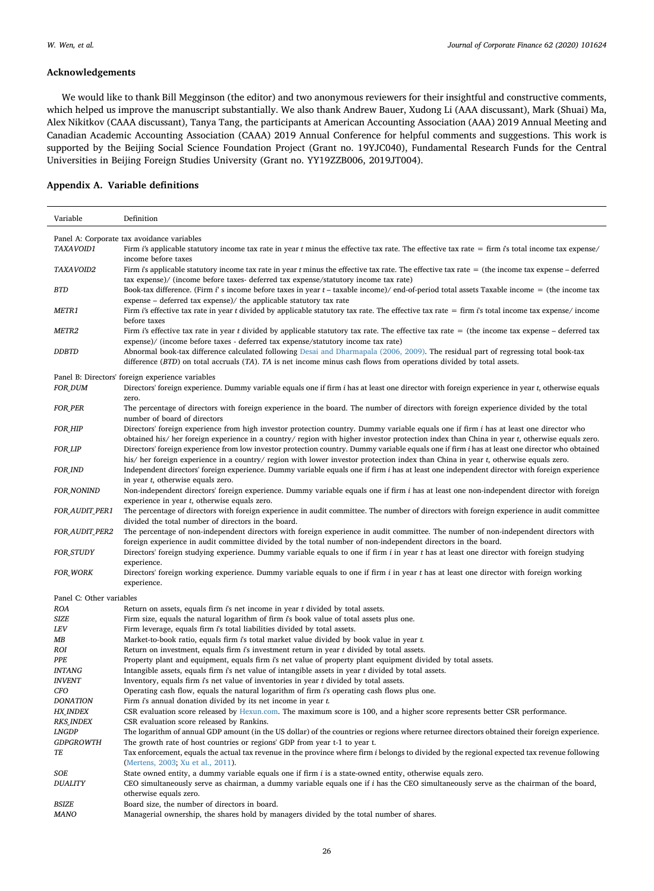# **Acknowledgements**

We would like to thank Bill Megginson (the editor) and two anonymous reviewers for their insightful and constructive comments, which helped us improve the manuscript substantially. We also thank Andrew Bauer, Xudong Li (AAA discussant), Mark (Shuai) Ma, Alex Nikitkov (CAAA discussant), Tanya Tang, the participants at American Accounting Association (AAA) 2019 Annual Meeting and Canadian Academic Accounting Association (CAAA) 2019 Annual Conference for helpful comments and suggestions. This work is supported by the Beijing Social Science Foundation Project (Grant no. 19YJC040), Fundamental Research Funds for the Central Universities in Beijing Foreign Studies University (Grant no. YY19ZZB006, 2019JT004).

# **Appendix A. Variable definitions**

| Variable                 | Definition                                                                                                                                                                                                                                                                                       |
|--------------------------|--------------------------------------------------------------------------------------------------------------------------------------------------------------------------------------------------------------------------------------------------------------------------------------------------|
|                          | Panel A: Corporate tax avoidance variables                                                                                                                                                                                                                                                       |
| TAXAVOID1                | Firm i's applicable statutory income tax rate in year t minus the effective tax rate. The effective tax rate = firm i's total income tax expense/                                                                                                                                                |
|                          | income before taxes                                                                                                                                                                                                                                                                              |
| TAXAVOID2                | Firm i's applicable statutory income tax rate in year $t$ minus the effective tax rate. The effective tax rate $=$ (the income tax expense $-$ deferred<br>tax expense)/ (income before taxes- deferred tax expense/statutory income tax rate)                                                   |
| <b>BTD</b>               | Book-tax difference. (Firm $i$ 's income before taxes in year $t -$ taxable income)/end-of-period total assets Taxable income = (the income tax<br>expense - deferred tax expense)/ the applicable statutory tax rate                                                                            |
| METR1                    | Firm i's effective tax rate in year $t$ divided by applicable statutory tax rate. The effective tax rate = firm i's total income tax expense/ income<br>before taxes                                                                                                                             |
| METR2                    | Firm i's effective tax rate in year t divided by applicable statutory tax rate. The effective tax rate $=$ (the income tax expense – deferred tax<br>expense)/ (income before taxes - deferred tax expense/statutory income tax rate)                                                            |
| <b>DDBTD</b>             | Abnormal book-tax difference calculated following Desai and Dharmapala (2006, 2009). The residual part of regressing total book-tax<br>difference (BTD) on total accruals (TA). TA is net income minus cash flows from operations divided by total assets.                                       |
|                          | Panel B: Directors' foreign experience variables                                                                                                                                                                                                                                                 |
| <b>FOR DUM</b>           | Directors' foreign experience. Dummy variable equals one if firm <i>i</i> has at least one director with foreign experience in year <i>t</i> , otherwise equals<br>zero.                                                                                                                         |
| <b>FOR PER</b>           | The percentage of directors with foreign experience in the board. The number of directors with foreign experience divided by the total<br>number of board of directors                                                                                                                           |
| <b>FOR HIP</b>           | Directors' foreign experience from high investor protection country. Dummy variable equals one if firm <i>i</i> has at least one director who<br>obtained his/ her foreign experience in a country/ region with higher investor protection index than China in year $t$ , otherwise equals zero. |
| <b>FOR_LIP</b>           | Directors' foreign experience from low investor protection country. Dummy variable equals one if firm <i>i</i> has at least one director who obtained<br>his/ her foreign experience in a country/ region with lower investor protection index than China in year t, otherwise equals zero.      |
| <b>FOR_IND</b>           | Independent directors' foreign experience. Dummy variable equals one if firm i has at least one independent director with foreign experience<br>in year t, otherwise equals zero.                                                                                                                |
| <b>FOR_NONIND</b>        | Non-independent directors' foreign experience. Dummy variable equals one if firm i has at least one non-independent director with foreign<br>experience in year $t$ , otherwise equals zero.                                                                                                     |
| FOR AUDIT PER1           | The percentage of directors with foreign experience in audit committee. The number of directors with foreign experience in audit committee<br>divided the total number of directors in the board.                                                                                                |
| FOR AUDIT PER2           | The percentage of non-independent directors with foreign experience in audit committee. The number of non-independent directors with<br>foreign experience in audit committee divided by the total number of non-independent directors in the board.                                             |
| <b>FOR_STUDY</b>         | Directors' foreign studying experience. Dummy variable equals to one if firm <i>i</i> in year <i>t</i> has at least one director with foreign studying<br>experience.                                                                                                                            |
| <b>FOR_WORK</b>          | Directors' foreign working experience. Dummy variable equals to one if firm <i>i</i> in year <i>t</i> has at least one director with foreign working<br>experience.                                                                                                                              |
| Panel C: Other variables |                                                                                                                                                                                                                                                                                                  |
| ROA                      | Return on assets, equals firm i's net income in year t divided by total assets.                                                                                                                                                                                                                  |
| <b>SIZE</b>              | Firm size, equals the natural logarithm of firm i's book value of total assets plus one.                                                                                                                                                                                                         |
| LEV                      | Firm leverage, equals firm i's total liabilities divided by total assets.                                                                                                                                                                                                                        |
| МB                       | Market-to-book ratio, equals firm i's total market value divided by book value in year t.                                                                                                                                                                                                        |
| <b>ROI</b>               | Return on investment, equals firm i's investment return in year t divided by total assets.                                                                                                                                                                                                       |
| PPE                      | Property plant and equipment, equals firm i's net value of property plant equipment divided by total assets.                                                                                                                                                                                     |
| <b>INTANG</b>            | Intangible assets, equals firm $i$ 's net value of intangible assets in year $t$ divided by total assets.                                                                                                                                                                                        |
| <b>INVENT</b>            | Inventory, equals firm i's net value of inventories in year t divided by total assets.                                                                                                                                                                                                           |
| <b>CFO</b>               | Operating cash flow, equals the natural logarithm of firm i's operating cash flows plus one.                                                                                                                                                                                                     |
| <b>DONATION</b>          | Firm i's annual donation divided by its net income in year t.                                                                                                                                                                                                                                    |
| <b>HX_INDEX</b>          | CSR evaluation score released by Hexun.com. The maximum score is 100, and a higher score represents better CSR performance.                                                                                                                                                                      |
| <b>RKS_INDEX</b>         | CSR evaluation score released by Rankins.                                                                                                                                                                                                                                                        |
| <b>LNGDP</b>             | The logarithm of annual GDP amount (in the US dollar) of the countries or regions where returnee directors obtained their foreign experience.                                                                                                                                                    |
| <b>GDPGROWTH</b>         | The growth rate of host countries or regions' GDP from year t-1 to year t.                                                                                                                                                                                                                       |
| TE                       | Tax enforcement, equals the actual tax revenue in the province where firm i belongs to divided by the regional expected tax revenue following<br>(Mertens, 2003; Xu et al., 2011).                                                                                                               |
| <b>SOE</b>               | State owned entity, a dummy variable equals one if firm <i>i</i> is a state-owned entity, otherwise equals zero.                                                                                                                                                                                 |
| <b>DUALITY</b>           | CEO simultaneously serve as chairman, a dummy variable equals one if $i$ has the CEO simultaneously serve as the chairman of the board,<br>otherwise equals zero.                                                                                                                                |
| <b>BSIZE</b>             | Board size, the number of directors in board.                                                                                                                                                                                                                                                    |
| <b>MANO</b>              | Managerial ownership, the shares hold by managers divided by the total number of shares.                                                                                                                                                                                                         |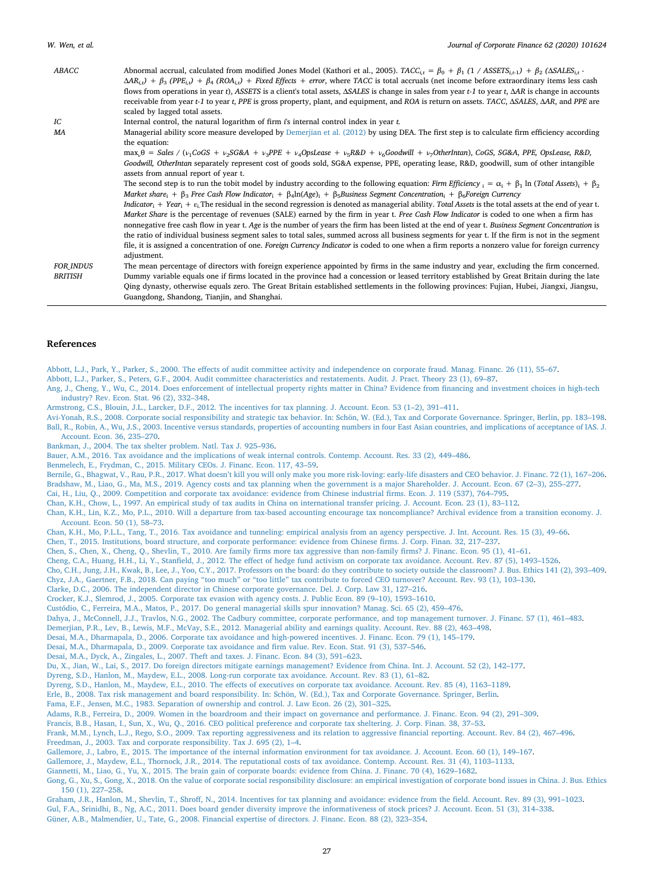| ABACC                              | Abnormal accrual, calculated from modified Jones Model (Kathori et al., 2005). TACC <sub>it</sub> = $\beta_0$ + $\beta_1$ (1 / ASSETS <sub>it-1</sub> ) + $\beta_2$ ( $\Delta SALES_{i,t}$ -<br>$\Delta AR_{i}$ , $\theta$ + $\beta_3$ (PPE <sub>i</sub> , $\theta$ + $\beta_4$ (ROA <sub>i,</sub> $\theta$ + Fixed Effects + error, where TACC is total accruals (net income before extraordinary items less cash                                                                                                                                                                                                                                                                                                                                                                                                        |
|------------------------------------|---------------------------------------------------------------------------------------------------------------------------------------------------------------------------------------------------------------------------------------------------------------------------------------------------------------------------------------------------------------------------------------------------------------------------------------------------------------------------------------------------------------------------------------------------------------------------------------------------------------------------------------------------------------------------------------------------------------------------------------------------------------------------------------------------------------------------|
|                                    | flows from operations in year t), ASSETS is a client's total assets, $\Delta SALES$ is change in sales from year t-1 to year t, $\Delta AR$ is change in accounts<br>receivable from year t-1 to year t, PPE is gross property, plant, and equipment, and ROA is return on assets. TACC, $\triangle SALES$ , $\triangle AR$ , and PPE are                                                                                                                                                                                                                                                                                                                                                                                                                                                                                 |
|                                    | scaled by lagged total assets.                                                                                                                                                                                                                                                                                                                                                                                                                                                                                                                                                                                                                                                                                                                                                                                            |
| IC                                 | Internal control, the natural logarithm of firm <i>i's</i> internal control index in year <i>t</i> .                                                                                                                                                                                                                                                                                                                                                                                                                                                                                                                                                                                                                                                                                                                      |
| ΜA                                 | Managerial ability score measure developed by Demerjian et al. (2012) by using DEA. The first step is to calculate firm efficiency according<br>the equation:                                                                                                                                                                                                                                                                                                                                                                                                                                                                                                                                                                                                                                                             |
|                                    | $\max_v \theta = Sales / (\nu_1 C oGS + \nu_2 S G & + \nu_3 PPE + \nu_4 O p s Lease + \nu_5 R & + \nu_6 Goodwill + \nu_7 O the rint (1000 m) C o G. S G & A. PPE. Op s Lease, R & D.$<br>Goodwill, OtherIntan separately represent cost of goods sold, SG&A expense, PPE, operating lease, R&D, goodwill, sum of other intangible<br>assets from annual report of year t.                                                                                                                                                                                                                                                                                                                                                                                                                                                 |
|                                    | The second step is to run the tobit model by industry according to the following equation: Firm Efficiency $i = \alpha_i + \beta_1 \ln (Total Assets_i + \beta_2)$<br>Market share, $\theta_3$ Free Cash Flow Indicator, $\theta_4$ + $\beta_4$ ln(Age), $\theta_5$ Business Segment Concentration, $\theta_5$ Foreign Currency                                                                                                                                                                                                                                                                                                                                                                                                                                                                                           |
|                                    | <i>Indicator</i> <sub>i</sub> + Year <sub>i</sub> + $\epsilon_i$ . The residual in the second regression is denoted as managerial ability. Total Assets is the total assets at the end of year t.<br>Market Share is the percentage of revenues (SALE) earned by the firm in year t. Free Cash Flow Indicator is coded to one when a firm has<br>nonnegative free cash flow in year t. Age is the number of years the firm has been listed at the end of year t. Business Segment Concentration is<br>the ratio of individual business segment sales to total sales, summed across all business segments for year t. If the firm is not in the segment<br>file, it is assigned a concentration of one. Foreign Currency Indicator is coded to one when a firm reports a nonzero value for foreign currency<br>adjustment. |
| <b>FOR INDUS</b><br><b>BRITISH</b> | The mean percentage of directors with foreign experience appointed by firms in the same industry and year, excluding the firm concerned.<br>Dummy variable equals one if firms located in the province had a concession or leased territory established by Great Britain during the late<br>Qing dynasty, otherwise equals zero. The Great Britain established settlements in the following provinces: Fujian, Hubei, Jiangxi, Jiangsu,<br>Guangdong, Shandong, Tianjin, and Shanghai.                                                                                                                                                                                                                                                                                                                                    |

#### **References**

<span id="page-26-41"></span>[Abbott, L.J., Park, Y., Parker, S., 2000. The effects of audit committee activity and independence on corporate fraud. Manag. Financ. 26 \(11\), 55–67.](http://refhub.elsevier.com/S0929-1199(20)30068-7/rf0005)

- <span id="page-26-40"></span>[Abbott, L.J., Parker, S., Peters, G.F., 2004. Audit committee characteristics and restatements. Audit. J. Pract. Theory 23 \(1\), 69–87.](http://refhub.elsevier.com/S0929-1199(20)30068-7/rf0010)
- <span id="page-26-34"></span>[Ang, J., Cheng, Y., Wu, C., 2014. Does enforcement of intellectual property rights matter in China? Evidence from financing and investment choices in high-tech](http://refhub.elsevier.com/S0929-1199(20)30068-7/rf0015) [industry? Rev. Econ. Stat. 96 \(2\), 332–348.](http://refhub.elsevier.com/S0929-1199(20)30068-7/rf0015)
- <span id="page-26-19"></span>[Armstrong, C.S., Blouin, J.L., Larcker, D.F., 2012. The incentives for tax planning. J. Account. Econ. 53 \(1–2\), 391–411](http://refhub.elsevier.com/S0929-1199(20)30068-7/rf0020).
- <span id="page-26-37"></span><span id="page-26-26"></span>[Avi-Yonah, R.S., 2008. Corporate social responsibility and strategic tax behavior. In: Schön, W. \(Ed.\), Tax and Corporate Governance. Springer, Berlin, pp. 183–198](http://refhub.elsevier.com/S0929-1199(20)30068-7/rf0025). [Ball, R., Robin, A., Wu, J.S., 2003. Incentive versus standards, properties of accounting numbers in four East Asian countries, and implications of acceptance of IAS. J.](http://refhub.elsevier.com/S0929-1199(20)30068-7/rf0030) [Account. Econ. 36, 235–270](http://refhub.elsevier.com/S0929-1199(20)30068-7/rf0030).
- <span id="page-26-27"></span>[Bankman, J., 2004. The tax shelter problem. Natl. Tax J. 925–936](http://refhub.elsevier.com/S0929-1199(20)30068-7/rf0035).
- <span id="page-26-18"></span>[Bauer, A.M., 2016. Tax avoidance and the implications of weak internal controls. Contemp. Account. Res. 33 \(2\), 449–486](http://refhub.elsevier.com/S0929-1199(20)30068-7/rf0040).
- <span id="page-26-22"></span>[Benmelech, E., Frydman, C., 2015. Military CEOs. J. Financ. Econ. 117, 43–59](http://refhub.elsevier.com/S0929-1199(20)30068-7/rf0045).

<span id="page-26-23"></span><span id="page-26-8"></span>[Bernile, G., Bhagwat, V., Rau, P.R., 2017. What doesn't kill you will only make you more risk-loving: early-life disasters and CEO behavior. J. Financ. 72 \(1\), 167–206](http://refhub.elsevier.com/S0929-1199(20)30068-7/rf0050). [Bradshaw, M., Liao, G., Ma, M.S., 2019. Agency costs and tax planning when the government is a major Shareholder. J. Account. Econ. 67 \(2–3\), 255–277](http://refhub.elsevier.com/S0929-1199(20)30068-7/rf0055).

<span id="page-26-14"></span><span id="page-26-13"></span>[Cai, H., Liu, Q., 2009. Competition and corporate tax avoidance: evidence from Chinese industrial firms. Econ. J. 119 \(537\), 764–795.](http://refhub.elsevier.com/S0929-1199(20)30068-7/rf0060) [Chan, K.H., Chow, L., 1997. An empirical study of tax audits in China on international transfer pricing. J. Account. Econ. 23 \(1\), 83–112](http://refhub.elsevier.com/S0929-1199(20)30068-7/rf0065).

<span id="page-26-15"></span>[Chan, K.H., Lin, K.Z., Mo, P.L., 2010. Will a departure from tax-based accounting encourage tax noncompliance? Archival evidence from a transition economy. J.](http://refhub.elsevier.com/S0929-1199(20)30068-7/rf0070) [Account. Econ. 50 \(1\), 58–73.](http://refhub.elsevier.com/S0929-1199(20)30068-7/rf0070)

<span id="page-26-30"></span>[Chan, K.H., Mo, P.L.L., Tang, T., 2016. Tax avoidance and tunneling: empirical analysis from an agency perspective. J. Int. Account. Res. 15 \(3\), 49–66.](http://refhub.elsevier.com/S0929-1199(20)30068-7/rf0075)

<span id="page-26-9"></span>[Chen, T., 2015. Institutions, board structure, and corporate performance: evidence from Chinese firms. J. Corp. Finan. 32, 217–237.](http://refhub.elsevier.com/S0929-1199(20)30068-7/rf0080)

<span id="page-26-28"></span>[Chen, S., Chen, X., Cheng, Q., Shevlin, T., 2010. Are family firms more tax aggressive than non-family firms? J. Financ. Econ. 95 \(1\), 41–61](http://refhub.elsevier.com/S0929-1199(20)30068-7/rf0085).

- <span id="page-26-29"></span>[Cheng, C.A., Huang, H.H., Li, Y., Stanfield, J., 2012. The effect of hedge fund activism on corporate tax avoidance. Account. Rev. 87 \(5\), 1493–1526](http://refhub.elsevier.com/S0929-1199(20)30068-7/rf0090).
- <span id="page-26-7"></span><span id="page-26-2"></span>[Cho, C.H., Jung, J.H., Kwak, B., Lee, J., Yoo, C.Y., 2017. Professors on the board: do they contribute to society outside the classroom? J. Bus. Ethics 141 \(2\), 393–409](http://refhub.elsevier.com/S0929-1199(20)30068-7/rf0095). [Chyz, J.A., Gaertner, F.B., 2018. Can paying "too much" or "too little" tax contribute to forced CEO turnover? Account. Rev. 93 \(1\), 103–130](http://refhub.elsevier.com/S0929-1199(20)30068-7/rf0100).

<span id="page-26-42"></span>[Clarke, D.C., 2006. The independent director in Chinese corporate governance. Del. J. Corp. Law 31, 127–216](http://refhub.elsevier.com/S0929-1199(20)30068-7/rf0105).

<span id="page-26-16"></span>[Crocker, K.J., Slemrod, J., 2005. Corporate tax evasion with agency costs. J. Public Econ. 89 \(9–10\), 1593–1610.](http://refhub.elsevier.com/S0929-1199(20)30068-7/rf0110)

<span id="page-26-24"></span>[Custódio, C., Ferreira, M.A., Matos, P., 2017. Do general managerial skills spur innovation? Manag. Sci. 65 \(2\), 459–476.](http://refhub.elsevier.com/S0929-1199(20)30068-7/rf0115)

- <span id="page-26-39"></span>[Dahya, J., McConnell, J.J., Travlos, N.G., 2002. The Cadbury committee, corporate performance, and top management turnover. J. Financ. 57 \(1\), 461–483.](http://refhub.elsevier.com/S0929-1199(20)30068-7/rf0120)
- <span id="page-26-31"></span>[Demerjian, P.R., Lev, B., Lewis, M.F., McVay, S.E., 2012. Managerial ability and earnings quality. Account. Rev. 88 \(2\), 463–498.](http://refhub.elsevier.com/S0929-1199(20)30068-7/rf0125)
- <span id="page-26-35"></span>[Desai, M.A., Dharmapala, D., 2006. Corporate tax avoidance and high-powered incentives. J. Financ. Econ. 79 \(1\), 145–179.](http://refhub.elsevier.com/S0929-1199(20)30068-7/rf0130)
- [Desai, M.A., Dharmapala, D., 2009. Corporate tax avoidance and firm value. Rev. Econ. Stat. 91 \(3\), 537–546](http://refhub.elsevier.com/S0929-1199(20)30068-7/rf0135).
- <span id="page-26-17"></span>[Desai, M.A., Dyck, A., Zingales, L., 2007. Theft and taxes. J. Financ. Econ. 84 \(3\), 591–623.](http://refhub.elsevier.com/S0929-1199(20)30068-7/rf0140)
- <span id="page-26-38"></span>[Du, X., Jian, W., Lai, S., 2017. Do foreign directors mitigate earnings management? Evidence from China. Int. J. Account. 52 \(2\), 142–177.](http://refhub.elsevier.com/S0929-1199(20)30068-7/rf0145)

<span id="page-26-12"></span>[Dyreng, S.D., Hanlon, M., Maydew, E.L., 2008. Long-run corporate tax avoidance. Account. Rev. 83 \(1\), 61–82.](http://refhub.elsevier.com/S0929-1199(20)30068-7/rf0150)

<span id="page-26-10"></span>[Dyreng, S.D., Hanlon, M., Maydew, E.L., 2010. The effects of executives on corporate tax avoidance. Account. Rev. 85 \(4\), 1163–1189.](http://refhub.elsevier.com/S0929-1199(20)30068-7/rf0155)

<span id="page-26-6"></span>[Erle, B., 2008. Tax risk management and board responsibility. In: Schön, W. \(Ed.\), Tax and Corporate Governance. Springer, Berlin.](http://refhub.elsevier.com/S0929-1199(20)30068-7/rf0160)

<span id="page-26-0"></span>[Fama, E.F., Jensen, M.C., 1983. Separation of ownership and control. J. Law Econ. 26 \(2\), 301–325](http://refhub.elsevier.com/S0929-1199(20)30068-7/rf0165).

<span id="page-26-1"></span>[Adams, R.B., Ferreira, D., 2009. Women in the boardroom and their impact on governance and performance. J. Financ. Econ. 94 \(2\), 291–309.](http://refhub.elsevier.com/S0929-1199(20)30068-7/rf0170)

<span id="page-26-11"></span>[Francis, B.B., Hasan, I., Sun, X., Wu, Q., 2016. CEO political preference and corporate tax sheltering. J. Corp. Finan. 38, 37–53](http://refhub.elsevier.com/S0929-1199(20)30068-7/rf0175).

<span id="page-26-32"></span>[Frank, M.M., Lynch, L.J., Rego, S.O., 2009. Tax reporting aggressiveness and its relation to aggressive financial reporting. Account. Rev. 84 \(2\), 467–496](http://refhub.elsevier.com/S0929-1199(20)30068-7/rf0180).

<span id="page-26-25"></span>[Freedman, J., 2003. Tax and corporate responsibility. Tax J. 695 \(2\), 1–4](http://refhub.elsevier.com/S0929-1199(20)30068-7/rf0185).

<span id="page-26-33"></span>[Gallemore, J., Labro, E., 2015. The importance of the internal information environment for tax avoidance. J. Account. Econ. 60 \(1\), 149–167](http://refhub.elsevier.com/S0929-1199(20)30068-7/rf0190).

<span id="page-26-20"></span>Gallemore, J., Maydew, E.L., Thornock, J.R., 2014. The reputational costs of tax avoidance. Contemp. Account. Res. 31 (4), 1103-1133.

<span id="page-26-5"></span>[Giannetti, M., Liao, G., Yu, X., 2015. The brain gain of corporate boards: evidence from China. J. Financ. 70 \(4\), 1629–1682.](http://refhub.elsevier.com/S0929-1199(20)30068-7/rf0200)

<span id="page-26-36"></span>[Gong, G., Xu, S., Gong, X., 2018. On the value of corporate social responsibility disclosure: an empirical investigation of corporate bond issues in China. J. Bus. Ethics](http://refhub.elsevier.com/S0929-1199(20)30068-7/rf0205) [150 \(1\), 227–258.](http://refhub.elsevier.com/S0929-1199(20)30068-7/rf0205)

<span id="page-26-21"></span>Graham, J.R., Hanlon, M., Shevlin, T., Shroff, N., 2014. Incentives for tax planning and avoidance: evidence from the field. Account. Rev. 89 (3), 991-1023.

<span id="page-26-3"></span>[Gul, F.A., Srinidhi, B., Ng, A.C., 2011. Does board gender diversity improve the informativeness of stock prices? J. Account. Econ. 51 \(3\), 314–338.](http://refhub.elsevier.com/S0929-1199(20)30068-7/rf0215)

<span id="page-26-4"></span>[Güner, A.B., Malmendier, U., Tate, G., 2008. Financial expertise of directors. J. Financ. Econ. 88 \(2\), 323–354](http://refhub.elsevier.com/S0929-1199(20)30068-7/rf0220).